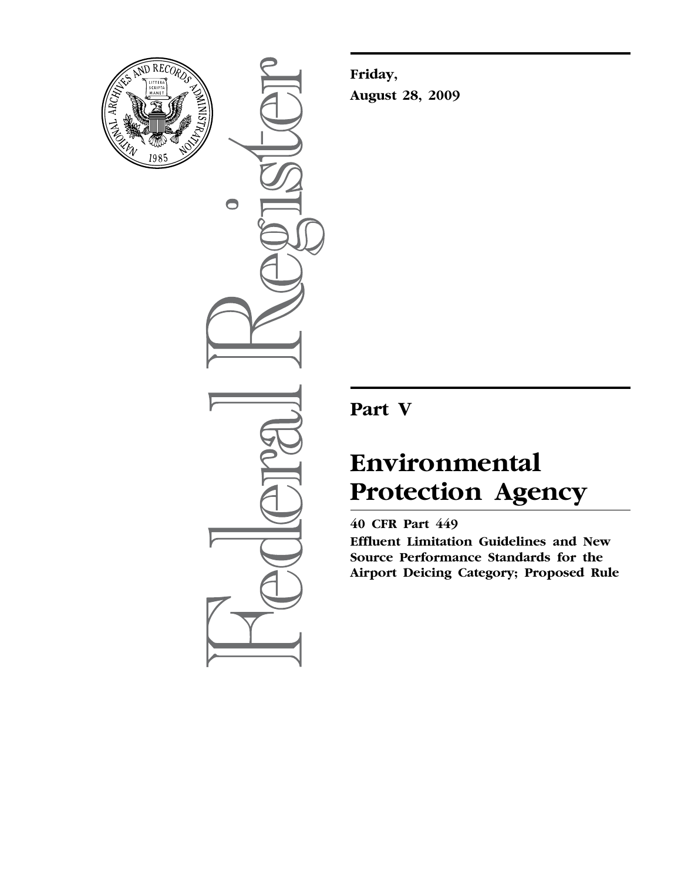

 $\bullet$ 

**Friday, August 28, 2009** 

# **Part V**

# **Environmental Protection Agency**

## **40 CFR Part 449**

**Effluent Limitation Guidelines and New Source Performance Standards for the Airport Deicing Category; Proposed Rule**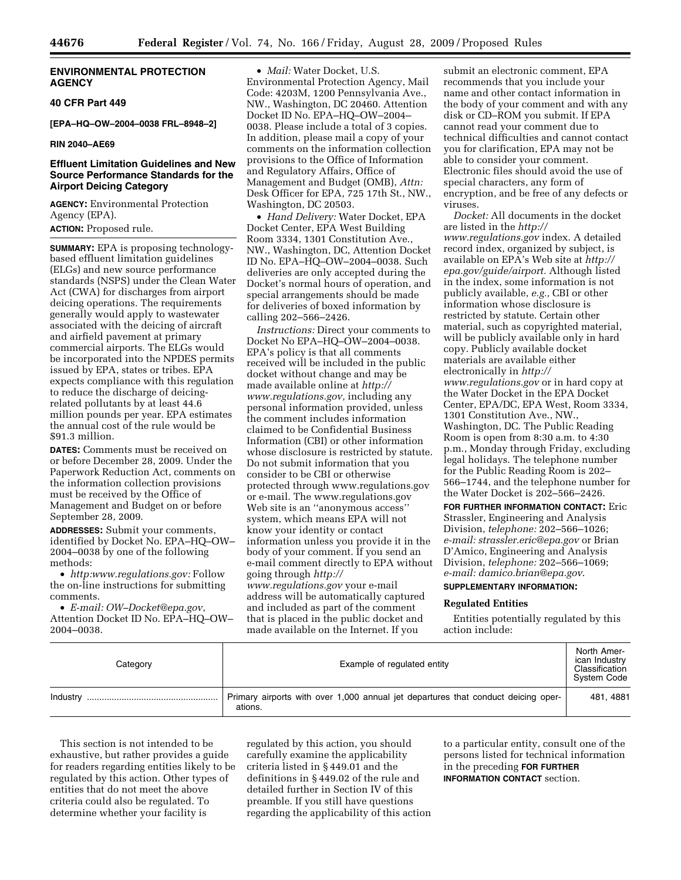## **ENVIRONMENTAL PROTECTION AGENCY**

## **40 CFR Part 449**

**[EPA–HQ–OW–2004–0038 FRL–8948–2]** 

**RIN 2040–AE69** 

## **Effluent Limitation Guidelines and New Source Performance Standards for the Airport Deicing Category**

**AGENCY:** Environmental Protection Agency (EPA). **ACTION:** Proposed rule.

**SUMMARY:** EPA is proposing technologybased effluent limitation guidelines (ELGs) and new source performance standards (NSPS) under the Clean Water Act (CWA) for discharges from airport deicing operations. The requirements generally would apply to wastewater associated with the deicing of aircraft and airfield pavement at primary commercial airports. The ELGs would be incorporated into the NPDES permits issued by EPA, states or tribes. EPA expects compliance with this regulation to reduce the discharge of deicingrelated pollutants by at least 44.6 million pounds per year. EPA estimates the annual cost of the rule would be \$91.3 million.

**DATES:** Comments must be received on or before December 28, 2009. Under the Paperwork Reduction Act, comments on the information collection provisions must be received by the Office of Management and Budget on or before September 28, 2009.

**ADDRESSES:** Submit your comments, identified by Docket No. EPA–HQ–OW– 2004–0038 by one of the following methods:

• *http:[www.regulations.gov:](http://www.regulations.gov:)* Follow the on-line instructions for submitting comments.

• *E-mail: [OW–Docket@epa.gov](mailto:OW-Docket@epa.gov)*, Attention Docket ID No. EPA–HQ–OW– 2004–0038.

• *Mail:* Water Docket, U.S. Environmental Protection Agency, Mail Code: 4203M, 1200 Pennsylvania Ave., NW., Washington, DC 20460. Attention Docket ID No. EPA–HQ–OW–2004– 0038. Please include a total of 3 copies. In addition, please mail a copy of your comments on the information collection provisions to the Office of Information and Regulatory Affairs, Office of Management and Budget (OMB), *Attn:*  Desk Officer for EPA, 725 17th St., NW., Washington, DC 20503.

• *Hand Delivery:* Water Docket, EPA Docket Center, EPA West Building Room 3334, 1301 Constitution Ave., NW., Washington, DC, Attention Docket ID No. EPA–HQ–OW–2004–0038. Such deliveries are only accepted during the Docket's normal hours of operation, and special arrangements should be made for deliveries of boxed information by calling 202–566–2426.

*Instructions:* Direct your comments to Docket No EPA–HQ–OW–2004–0038. EPA's policy is that all comments received will be included in the public docket without change and may be [made available online at](http://www.regulations.gov) *http:// www.regulations.gov,* including any personal information provided, unless the comment includes information claimed to be Confidential Business Information (CBI) or other information whose disclosure is restricted by statute. Do not submit information that you consider to be CBI or otherwise protected through [www.regulations.gov](http://www.regulations.gov)  or e-mail. The [www.regulations.gov](http://www.regulations.gov)  Web site is an ''anonymous access'' system, which means EPA will not know your identity or contact information unless you provide it in the body of your comment. If you send an e-mail comment directly to EPA without going through *http:// [www.regulations.gov](http://www.regulations.gov)* your e-mail address will be automatically captured

and included as part of the comment that is placed in the public docket and made available on the Internet. If you

submit an electronic comment, EPA recommends that you include your name and other contact information in the body of your comment and with any disk or CD–ROM you submit. If EPA cannot read your comment due to technical difficulties and cannot contact you for clarification, EPA may not be able to consider your comment. Electronic files should avoid the use of special characters, any form of encryption, and be free of any defects or viruses.

*Docket:* All documents in the docket are listed in the *http:// [www.regulations.gov](http://www.regulations.gov)* index. A detailed record index, organized by subject, is [available on EPA's Web site at](http://epa.gov/guide/airport) *http:// epa.gov/guide/airport.* Although listed in the index, some information is not publicly available, *e.g.,* CBI or other information whose disclosure is restricted by statute. Certain other material, such as copyrighted material, will be publicly available only in hard copy. Publicly available docket materials are available either electronically in *http:// [www.regulations.gov](http://www.regulations.gov)* or in hard copy at the Water Docket in the EPA Docket Center, EPA/DC, EPA West, Room 3334, 1301 Constitution Ave., NW., Washington, DC. The Public Reading Room is open from 8:30 a.m. to 4:30 p.m., Monday through Friday, excluding legal holidays. The telephone number for the Public Reading Room is 202– 566–1744, and the telephone number for the Water Docket is 202–566–2426.

**FOR FURTHER INFORMATION CONTACT:** Eric Strassler, Engineering and Analysis Division, *telephone:* 202–566–1026; *e-mail: [strassler.eric@epa.gov](mailto:strassler.eric@epa.gov)* or Brian D'Amico, Engineering and Analysis Division, *telephone:* 202–566–1069; *e-mail: [damico.brian@epa.gov](mailto:damico.brian@epa.gov)*.

## **SUPPLEMENTARY INFORMATION:**

#### **Regulated Entities**

Entities potentially regulated by this action include:

| Category | Example of regulated entity                                                                  | North Amer-<br>ican Industry<br>Classification<br>System Code |
|----------|----------------------------------------------------------------------------------------------|---------------------------------------------------------------|
| Industry | Primary airports with over 1,000 annual jet departures that conduct deicing oper-<br>ations. | 481, 4881                                                     |

This section is not intended to be exhaustive, but rather provides a guide for readers regarding entities likely to be regulated by this action. Other types of entities that do not meet the above criteria could also be regulated. To determine whether your facility is

regulated by this action, you should carefully examine the applicability criteria listed in § 449.01 and the definitions in § 449.02 of the rule and detailed further in Section IV of this preamble. If you still have questions regarding the applicability of this action

to a particular entity, consult one of the persons listed for technical information in the preceding **FOR FURTHER INFORMATION CONTACT** section.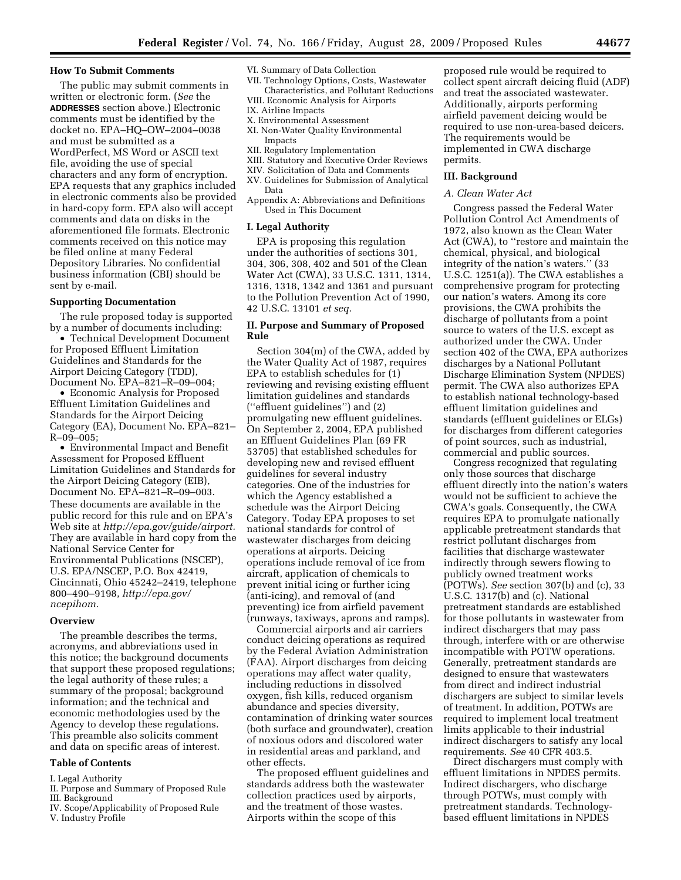#### **How To Submit Comments**

The public may submit comments in written or electronic form. (*See* the **ADDRESSES** section above.) Electronic comments must be identified by the docket no. EPA–HQ–OW–2004–0038 and must be submitted as a WordPerfect, MS Word or ASCII text file, avoiding the use of special characters and any form of encryption. EPA requests that any graphics included in electronic comments also be provided in hard-copy form. EPA also will accept comments and data on disks in the aforementioned file formats. Electronic comments received on this notice may be filed online at many Federal Depository Libraries. No confidential business information (CBI) should be sent by e-mail.

#### **Supporting Documentation**

The rule proposed today is supported by a number of documents including:

• Technical Development Document for Proposed Effluent Limitation Guidelines and Standards for the Airport Deicing Category (TDD), Document No. EPA–821–R–09–004;

• Economic Analysis for Proposed Effluent Limitation Guidelines and Standards for the Airport Deicing Category (EA), Document No. EPA–821– R–09–005;

• Environmental Impact and Benefit Assessment for Proposed Effluent Limitation Guidelines and Standards for the Airport Deicing Category (EIB), Document No. EPA–821–R–09–003. These documents are available in the public record for this rule and on EPA's Web site at *[http://epa.gov/guide/airport.](http://epa.gov/guide/airport)*  They are available in hard copy from the National Service Center for Environmental Publications (NSCEP), U.S. EPA/NSCEP, P.O. Box 42419, Cincinnati, Ohio 45242–2419, telephone [800–490–9198,](http://epa.gov/ncepihom) *http://epa.gov/ ncepihom.* 

#### **Overview**

The preamble describes the terms, acronyms, and abbreviations used in this notice; the background documents that support these proposed regulations; the legal authority of these rules; a summary of the proposal; background information; and the technical and economic methodologies used by the Agency to develop these regulations. This preamble also solicits comment and data on specific areas of interest.

## **Table of Contents**

I. Legal Authority

II. Purpose and Summary of Proposed Rule III. Background

IV. Scope/Applicability of Proposed Rule V. Industry Profile

#### VI. Summary of Data Collection

VII. Technology Options, Costs, Wastewater Characteristics, and Pollutant Reductions VIII. Economic Analysis for Airports

## IX. Airline Impacts

- X. Environmental Assessment
- XI. Non-Water Quality Environmental
- Impacts
- XII. Regulatory Implementation
- XIII. Statutory and Executive Order Reviews XIV. Solicitation of Data and Comments
- XV. Guidelines for Submission of Analytical
- Data Appendix A: Abbreviations and Definitions
- Used in This Document

## **I. Legal Authority**

EPA is proposing this regulation under the authorities of sections 301, 304, 306, 308, 402 and 501 of the Clean Water Act (CWA), 33 U.S.C. 1311, 1314, 1316, 1318, 1342 and 1361 and pursuant to the Pollution Prevention Act of 1990, 42 U.S.C. 13101 *et seq.* 

## **II. Purpose and Summary of Proposed Rule**

Section 304(m) of the CWA, added by the Water Quality Act of 1987, requires EPA to establish schedules for (1) reviewing and revising existing effluent limitation guidelines and standards (''effluent guidelines'') and (2) promulgating new effluent guidelines. On September 2, 2004, EPA published an Effluent Guidelines Plan (69 FR 53705) that established schedules for developing new and revised effluent guidelines for several industry categories. One of the industries for which the Agency established a schedule was the Airport Deicing Category. Today EPA proposes to set national standards for control of wastewater discharges from deicing operations at airports. Deicing operations include removal of ice from aircraft, application of chemicals to prevent initial icing or further icing (anti-icing), and removal of (and preventing) ice from airfield pavement (runways, taxiways, aprons and ramps).

Commercial airports and air carriers conduct deicing operations as required by the Federal Aviation Administration (FAA). Airport discharges from deicing operations may affect water quality, including reductions in dissolved oxygen, fish kills, reduced organism abundance and species diversity, contamination of drinking water sources (both surface and groundwater), creation of noxious odors and discolored water in residential areas and parkland, and other effects.

The proposed effluent guidelines and standards address both the wastewater collection practices used by airports, and the treatment of those wastes. Airports within the scope of this

proposed rule would be required to collect spent aircraft deicing fluid (ADF) and treat the associated wastewater. Additionally, airports performing airfield pavement deicing would be required to use non-urea-based deicers. The requirements would be implemented in CWA discharge permits.

#### **III. Background**

## *A. Clean Water Act*

Congress passed the Federal Water Pollution Control Act Amendments of 1972, also known as the Clean Water Act (CWA), to ''restore and maintain the chemical, physical, and biological integrity of the nation's waters.'' (33 U.S.C. 1251(a)). The CWA establishes a comprehensive program for protecting our nation's waters. Among its core provisions, the CWA prohibits the discharge of pollutants from a point source to waters of the U.S. except as authorized under the CWA. Under section 402 of the CWA, EPA authorizes discharges by a National Pollutant Discharge Elimination System (NPDES) permit. The CWA also authorizes EPA to establish national technology-based effluent limitation guidelines and standards (effluent guidelines or ELGs) for discharges from different categories of point sources, such as industrial, commercial and public sources.

Congress recognized that regulating only those sources that discharge effluent directly into the nation's waters would not be sufficient to achieve the CWA's goals. Consequently, the CWA requires EPA to promulgate nationally applicable pretreatment standards that restrict pollutant discharges from facilities that discharge wastewater indirectly through sewers flowing to publicly owned treatment works (POTWs). *See* section 307(b) and (c), 33 U.S.C. 1317(b) and (c). National pretreatment standards are established for those pollutants in wastewater from indirect dischargers that may pass through, interfere with or are otherwise incompatible with POTW operations. Generally, pretreatment standards are designed to ensure that wastewaters from direct and indirect industrial dischargers are subject to similar levels of treatment. In addition, POTWs are required to implement local treatment limits applicable to their industrial indirect dischargers to satisfy any local requirements. *See* 40 CFR 403.5.

Direct dischargers must comply with effluent limitations in NPDES permits. Indirect dischargers, who discharge through POTWs, must comply with pretreatment standards. Technologybased effluent limitations in NPDES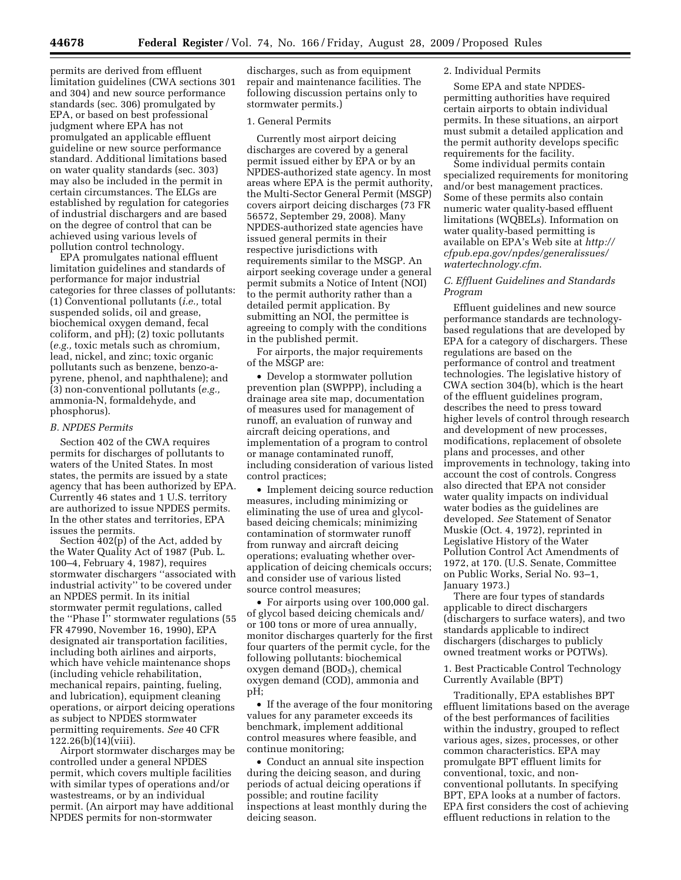permits are derived from effluent limitation guidelines (CWA sections 301 and 304) and new source performance standards (sec. 306) promulgated by EPA, or based on best professional judgment where EPA has not promulgated an applicable effluent guideline or new source performance standard. Additional limitations based on water quality standards (sec. 303) may also be included in the permit in certain circumstances. The ELGs are established by regulation for categories of industrial dischargers and are based on the degree of control that can be achieved using various levels of pollution control technology.

EPA promulgates national effluent limitation guidelines and standards of performance for major industrial categories for three classes of pollutants: (1) Conventional pollutants (*i.e.,* total suspended solids, oil and grease, biochemical oxygen demand, fecal coliform, and pH); (2) toxic pollutants (*e.g.,* toxic metals such as chromium, lead, nickel, and zinc; toxic organic pollutants such as benzene, benzo-apyrene, phenol, and naphthalene); and (3) non-conventional pollutants (*e.g.,*  ammonia-N, formaldehyde, and phosphorus).

## *B. NPDES Permits*

Section 402 of the CWA requires permits for discharges of pollutants to waters of the United States. In most states, the permits are issued by a state agency that has been authorized by EPA. Currently 46 states and 1 U.S. territory are authorized to issue NPDES permits. In the other states and territories, EPA issues the permits.

Section 402(p) of the Act, added by the Water Quality Act of 1987 (Pub. L. 100–4, February 4, 1987), requires stormwater dischargers ''associated with industrial activity'' to be covered under an NPDES permit. In its initial stormwater permit regulations, called the ''Phase I'' stormwater regulations (55 FR 47990, November 16, 1990), EPA designated air transportation facilities, including both airlines and airports, which have vehicle maintenance shops (including vehicle rehabilitation, mechanical repairs, painting, fueling, and lubrication), equipment cleaning operations, or airport deicing operations as subject to NPDES stormwater permitting requirements. *See* 40 CFR 122.26(b)(14)(viii).

Airport stormwater discharges may be controlled under a general NPDES permit, which covers multiple facilities with similar types of operations and/or wastestreams, or by an individual permit. (An airport may have additional NPDES permits for non-stormwater

discharges, such as from equipment repair and maintenance facilities. The following discussion pertains only to stormwater permits.)

## 1. General Permits

Currently most airport deicing discharges are covered by a general permit issued either by EPA or by an NPDES-authorized state agency. In most areas where EPA is the permit authority, the Multi-Sector General Permit (MSGP) covers airport deicing discharges (73 FR 56572, September 29, 2008). Many NPDES-authorized state agencies have issued general permits in their respective jurisdictions with requirements similar to the MSGP. An airport seeking coverage under a general permit submits a Notice of Intent (NOI) to the permit authority rather than a detailed permit application. By submitting an NOI, the permittee is agreeing to comply with the conditions in the published permit.

For airports, the major requirements of the MSGP are:

• Develop a stormwater pollution prevention plan (SWPPP), including a drainage area site map, documentation of measures used for management of runoff, an evaluation of runway and aircraft deicing operations, and implementation of a program to control or manage contaminated runoff, including consideration of various listed control practices;

• Implement deicing source reduction measures, including minimizing or eliminating the use of urea and glycolbased deicing chemicals; minimizing contamination of stormwater runoff from runway and aircraft deicing operations; evaluating whether overapplication of deicing chemicals occurs; and consider use of various listed source control measures;

• For airports using over 100,000 gal. of glycol based deicing chemicals and/ or 100 tons or more of urea annually, monitor discharges quarterly for the first four quarters of the permit cycle, for the following pollutants: biochemical  $oxygen demand (BOD<sub>5</sub>)$ , chemical oxygen demand (COD), ammonia and pH;

• If the average of the four monitoring values for any parameter exceeds its benchmark, implement additional control measures where feasible, and continue monitoring;

• Conduct an annual site inspection during the deicing season, and during periods of actual deicing operations if possible; and routine facility inspections at least monthly during the deicing season.

## 2. Individual Permits

Some EPA and state NPDESpermitting authorities have required certain airports to obtain individual permits. In these situations, an airport must submit a detailed application and the permit authority develops specific requirements for the facility.

Some individual permits contain specialized requirements for monitoring and/or best management practices. Some of these permits also contain numeric water quality-based effluent limitations (WQBELs). Information on water quality-based permitting is available on EPA's Web site at *http:// [cfpub.epa.gov/npdes/generalissues/](http://cfpub.epa.gov/npdes/generalissues/watertechnology.cfm)  watertechnology.cfm*.

## *C. Effluent Guidelines and Standards Program*

Effluent guidelines and new source performance standards are technologybased regulations that are developed by EPA for a category of dischargers. These regulations are based on the performance of control and treatment technologies. The legislative history of CWA section 304(b), which is the heart of the effluent guidelines program, describes the need to press toward higher levels of control through research and development of new processes, modifications, replacement of obsolete plans and processes, and other improvements in technology, taking into account the cost of controls. Congress also directed that EPA not consider water quality impacts on individual water bodies as the guidelines are developed. *See* Statement of Senator Muskie (Oct. 4, 1972), reprinted in Legislative History of the Water Pollution Control Act Amendments of 1972, at 170. (U.S. Senate, Committee on Public Works, Serial No. 93–1, January 1973.)

There are four types of standards applicable to direct dischargers (dischargers to surface waters), and two standards applicable to indirect dischargers (discharges to publicly owned treatment works or POTWs).

1. Best Practicable Control Technology Currently Available (BPT)

Traditionally, EPA establishes BPT effluent limitations based on the average of the best performances of facilities within the industry, grouped to reflect various ages, sizes, processes, or other common characteristics. EPA may promulgate BPT effluent limits for conventional, toxic, and nonconventional pollutants. In specifying BPT, EPA looks at a number of factors. EPA first considers the cost of achieving effluent reductions in relation to the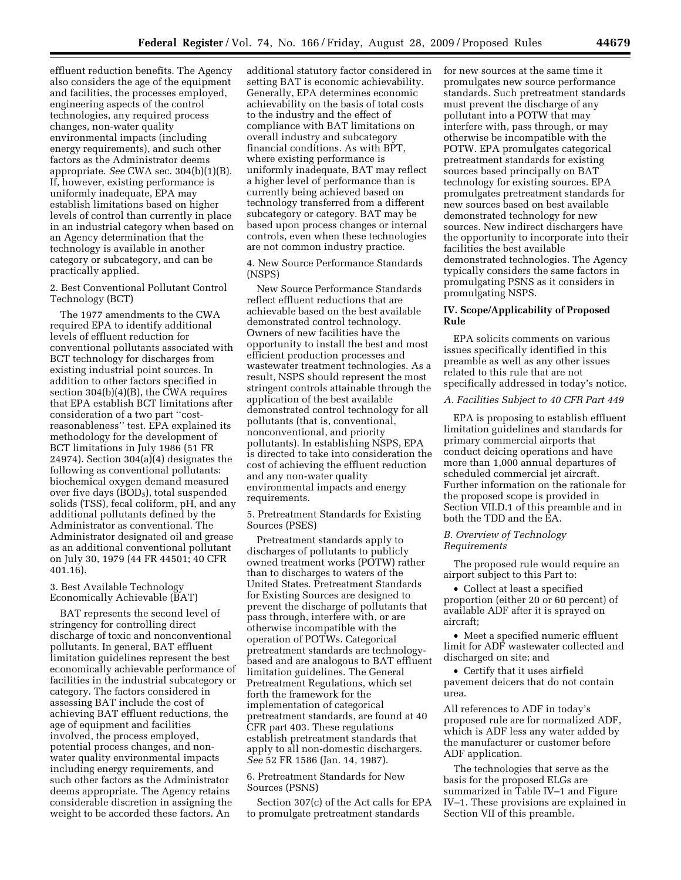effluent reduction benefits. The Agency also considers the age of the equipment and facilities, the processes employed, engineering aspects of the control technologies, any required process changes, non-water quality environmental impacts (including energy requirements), and such other factors as the Administrator deems appropriate. *See* CWA sec. 304(b)(1)(B). If, however, existing performance is uniformly inadequate, EPA may establish limitations based on higher levels of control than currently in place in an industrial category when based on an Agency determination that the technology is available in another category or subcategory, and can be practically applied.

2. Best Conventional Pollutant Control Technology (BCT)

The 1977 amendments to the CWA required EPA to identify additional levels of effluent reduction for conventional pollutants associated with BCT technology for discharges from existing industrial point sources. In addition to other factors specified in section 304(b)(4)(B), the CWA requires that EPA establish BCT limitations after consideration of a two part ''costreasonableness'' test. EPA explained its methodology for the development of BCT limitations in July 1986 (51 FR 24974). Section 304(a)(4) designates the following as conventional pollutants: biochemical oxygen demand measured over five days  $(BOD<sub>5</sub>)$ , total suspended solids (TSS), fecal coliform, pH, and any additional pollutants defined by the Administrator as conventional. The Administrator designated oil and grease as an additional conventional pollutant on July 30, 1979 (44 FR 44501; 40 CFR 401.16).

3. Best Available Technology Economically Achievable (BAT)

BAT represents the second level of stringency for controlling direct discharge of toxic and nonconventional pollutants. In general, BAT effluent limitation guidelines represent the best economically achievable performance of facilities in the industrial subcategory or category. The factors considered in assessing BAT include the cost of achieving BAT effluent reductions, the age of equipment and facilities involved, the process employed, potential process changes, and nonwater quality environmental impacts including energy requirements, and such other factors as the Administrator deems appropriate. The Agency retains considerable discretion in assigning the weight to be accorded these factors. An

additional statutory factor considered in setting BAT is economic achievability. Generally, EPA determines economic achievability on the basis of total costs to the industry and the effect of compliance with BAT limitations on overall industry and subcategory financial conditions. As with BPT, where existing performance is uniformly inadequate, BAT may reflect a higher level of performance than is currently being achieved based on technology transferred from a different subcategory or category. BAT may be based upon process changes or internal controls, even when these technologies are not common industry practice.

4. New Source Performance Standards (NSPS)

New Source Performance Standards reflect effluent reductions that are achievable based on the best available demonstrated control technology. Owners of new facilities have the opportunity to install the best and most efficient production processes and wastewater treatment technologies. As a result, NSPS should represent the most stringent controls attainable through the application of the best available demonstrated control technology for all pollutants (that is, conventional, nonconventional, and priority pollutants). In establishing NSPS, EPA is directed to take into consideration the cost of achieving the effluent reduction and any non-water quality environmental impacts and energy requirements.

5. Pretreatment Standards for Existing Sources (PSES)

Pretreatment standards apply to discharges of pollutants to publicly owned treatment works (POTW) rather than to discharges to waters of the United States. Pretreatment Standards for Existing Sources are designed to prevent the discharge of pollutants that pass through, interfere with, or are otherwise incompatible with the operation of POTWs. Categorical pretreatment standards are technologybased and are analogous to BAT effluent limitation guidelines. The General Pretreatment Regulations, which set forth the framework for the implementation of categorical pretreatment standards, are found at 40 CFR part 403. These regulations establish pretreatment standards that apply to all non-domestic dischargers. *See* 52 FR 1586 (Jan. 14, 1987).

6. Pretreatment Standards for New Sources (PSNS)

Section 307(c) of the Act calls for EPA to promulgate pretreatment standards

for new sources at the same time it promulgates new source performance standards. Such pretreatment standards must prevent the discharge of any pollutant into a POTW that may interfere with, pass through, or may otherwise be incompatible with the POTW. EPA promulgates categorical pretreatment standards for existing sources based principally on BAT technology for existing sources. EPA promulgates pretreatment standards for new sources based on best available demonstrated technology for new sources. New indirect dischargers have the opportunity to incorporate into their facilities the best available demonstrated technologies. The Agency typically considers the same factors in promulgating PSNS as it considers in promulgating NSPS.

#### **IV. Scope/Applicability of Proposed Rule**

EPA solicits comments on various issues specifically identified in this preamble as well as any other issues related to this rule that are not specifically addressed in today's notice.

## *A. Facilities Subject to 40 CFR Part 449*

EPA is proposing to establish effluent limitation guidelines and standards for primary commercial airports that conduct deicing operations and have more than 1,000 annual departures of scheduled commercial jet aircraft. Further information on the rationale for the proposed scope is provided in Section VII.D.1 of this preamble and in both the TDD and the EA.

#### *B. Overview of Technology Requirements*

The proposed rule would require an airport subject to this Part to:

• Collect at least a specified proportion (either 20 or 60 percent) of available ADF after it is sprayed on aircraft;

• Meet a specified numeric effluent limit for ADF wastewater collected and discharged on site; and

• Certify that it uses airfield pavement deicers that do not contain urea.

All references to ADF in today's proposed rule are for normalized ADF, which is ADF less any water added by the manufacturer or customer before ADF application.

The technologies that serve as the basis for the proposed ELGs are summarized in Table IV–1 and Figure IV–1. These provisions are explained in Section VII of this preamble.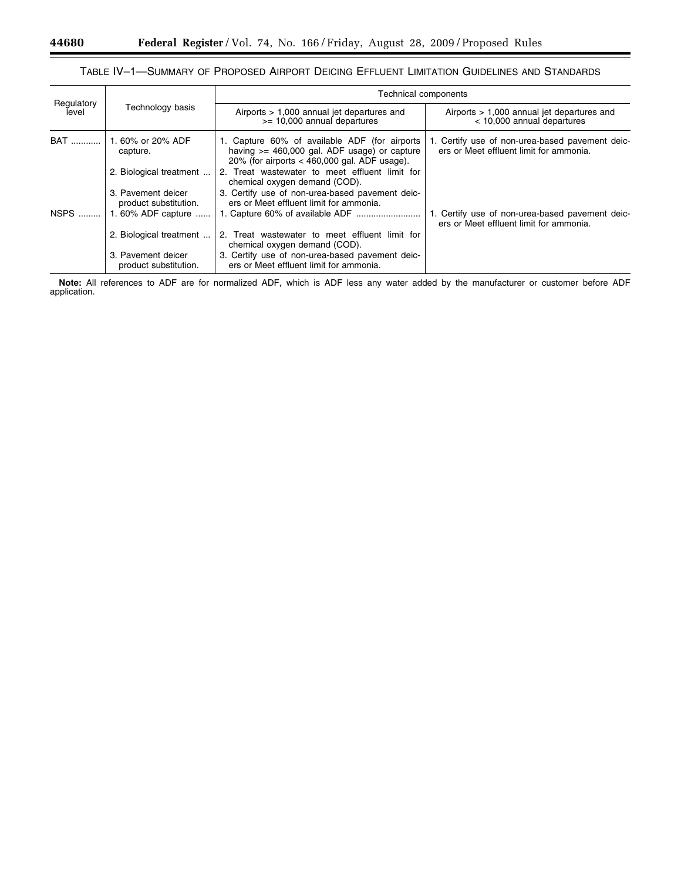Ξ

e<br>B

## TABLE IV–1—SUMMARY OF PROPOSED AIRPORT DEICING EFFLUENT LIMITATION GUIDELINES AND STANDARDS

|                                         |                                             | Technical components                                                                                                                              |                                                                                            |  |  |
|-----------------------------------------|---------------------------------------------|---------------------------------------------------------------------------------------------------------------------------------------------------|--------------------------------------------------------------------------------------------|--|--|
| Regulatory<br>Technology basis<br>level |                                             | Airports $> 1,000$ annual jet departures and<br>$>= 10,000$ annual departures                                                                     | Airports > 1,000 annual jet departures and<br>< 10,000 annual departures                   |  |  |
| <b>BAT</b>                              | 1.60% or 20% ADF<br>capture.                | 1. Capture 60% of available ADF (for airports<br>having $>= 460,000$ gal. ADF usage) or capture<br>20% (for airports $<$ 460,000 gal. ADF usage). | 1. Certify use of non-urea-based pavement deic-<br>ers or Meet effluent limit for ammonia. |  |  |
|                                         | 2. Biological treatment                     | 2. Treat wastewater to meet effluent limit for<br>chemical oxygen demand (COD).                                                                   |                                                                                            |  |  |
|                                         | 3. Pavement deicer<br>product substitution. | 3. Certify use of non-urea-based pavement deic-<br>ers or Meet effluent limit for ammonia.                                                        |                                                                                            |  |  |
| <b>NSPS</b>                             | 1.60% ADF capture                           |                                                                                                                                                   | 1. Certify use of non-urea-based pavement deic-<br>ers or Meet effluent limit for ammonia. |  |  |
|                                         | 2. Biological treatment                     | 2. Treat wastewater to meet effluent limit for<br>chemical oxygen demand (COD).                                                                   |                                                                                            |  |  |
|                                         | 3. Pavement deicer<br>product substitution. | 3. Certify use of non-urea-based pavement deic-<br>ers or Meet effluent limit for ammonia.                                                        |                                                                                            |  |  |

**Note:** All references to ADF are for normalized ADF, which is ADF less any water added by the manufacturer or customer before ADF application.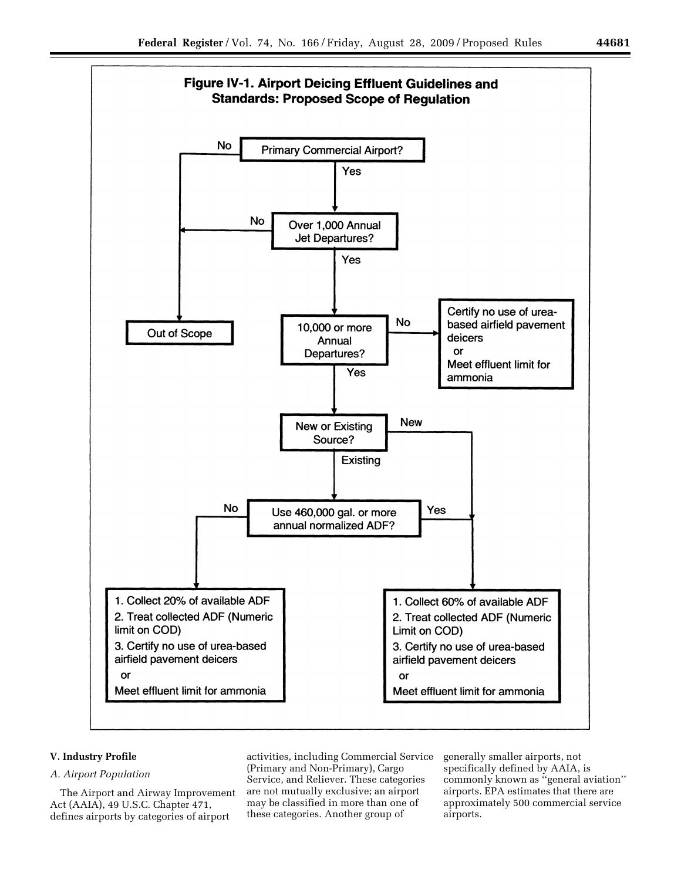

## **V. Industry Profile**

## *A. Airport Population*

The Airport and Airway Improvement Act (AAIA), 49 U.S.C. Chapter 471, defines airports by categories of airport

activities, including Commercial Service (Primary and Non-Primary), Cargo Service, and Reliever. These categories are not mutually exclusive; an airport may be classified in more than one of these categories. Another group of

generally smaller airports, not specifically defined by AAIA, is commonly known as ''general aviation'' airports. EPA estimates that there are approximately 500 commercial service airports.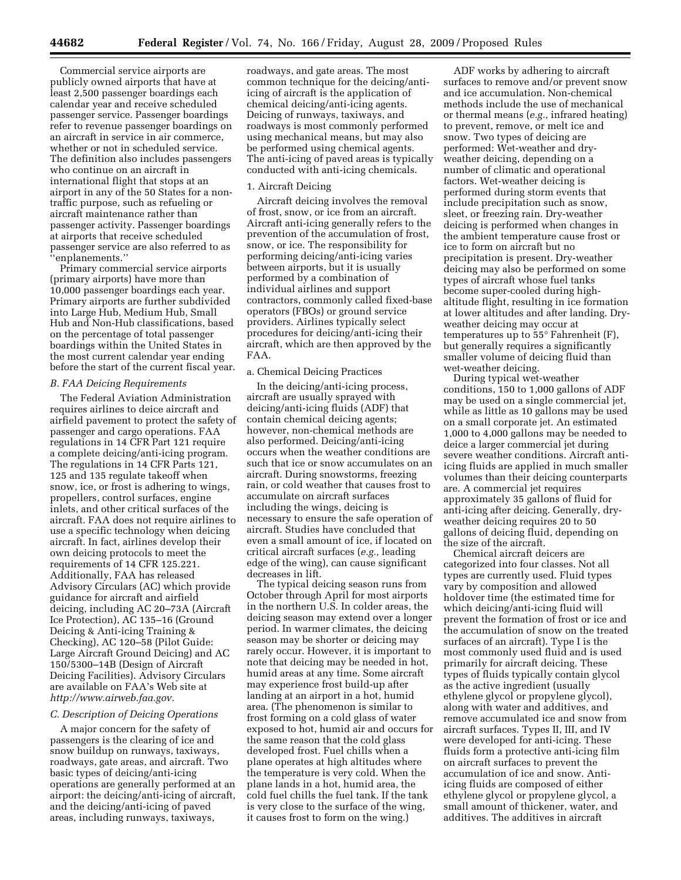Commercial service airports are publicly owned airports that have at least 2,500 passenger boardings each calendar year and receive scheduled passenger service. Passenger boardings refer to revenue passenger boardings on an aircraft in service in air commerce, whether or not in scheduled service. The definition also includes passengers who continue on an aircraft in international flight that stops at an airport in any of the 50 States for a nontraffic purpose, such as refueling or aircraft maintenance rather than passenger activity. Passenger boardings at airports that receive scheduled passenger service are also referred to as ''enplanements.''

Primary commercial service airports (primary airports) have more than 10,000 passenger boardings each year. Primary airports are further subdivided into Large Hub, Medium Hub, Small Hub and Non-Hub classifications, based on the percentage of total passenger boardings within the United States in the most current calendar year ending before the start of the current fiscal year.

## *B. FAA Deicing Requirements*

The Federal Aviation Administration requires airlines to deice aircraft and airfield pavement to protect the safety of passenger and cargo operations. FAA regulations in 14 CFR Part 121 require a complete deicing/anti-icing program. The regulations in 14 CFR Parts 121, 125 and 135 regulate takeoff when snow, ice, or frost is adhering to wings, propellers, control surfaces, engine inlets, and other critical surfaces of the aircraft. FAA does not require airlines to use a specific technology when deicing aircraft. In fact, airlines develop their own deicing protocols to meet the requirements of 14 CFR 125.221. Additionally, FAA has released Advisory Circulars (AC) which provide guidance for aircraft and airfield deicing, including AC 20–73A (Aircraft Ice Protection), AC 135–16 (Ground Deicing & Anti-icing Training & Checking), AC 120–58 (Pilot Guide: Large Aircraft Ground Deicing) and AC 150/5300–14B (Design of Aircraft Deicing Facilities). Advisory Circulars are available on FAA's Web site at *[http://www.airweb.faa.gov.](http://www.airweb.faa.gov)* 

## *C. Description of Deicing Operations*

A major concern for the safety of passengers is the clearing of ice and snow buildup on runways, taxiways, roadways, gate areas, and aircraft. Two basic types of deicing/anti-icing operations are generally performed at an airport: the deicing/anti-icing of aircraft, and the deicing/anti-icing of paved areas, including runways, taxiways,

roadways, and gate areas. The most common technique for the deicing/antiicing of aircraft is the application of chemical deicing/anti-icing agents. Deicing of runways, taxiways, and roadways is most commonly performed using mechanical means, but may also be performed using chemical agents. The anti-icing of paved areas is typically conducted with anti-icing chemicals.

#### 1. Aircraft Deicing

Aircraft deicing involves the removal of frost, snow, or ice from an aircraft. Aircraft anti-icing generally refers to the prevention of the accumulation of frost, snow, or ice. The responsibility for performing deicing/anti-icing varies between airports, but it is usually performed by a combination of individual airlines and support contractors, commonly called fixed-base operators (FBOs) or ground service providers. Airlines typically select procedures for deicing/anti-icing their aircraft, which are then approved by the FAA.

#### a. Chemical Deicing Practices

In the deicing/anti-icing process, aircraft are usually sprayed with deicing/anti-icing fluids (ADF) that contain chemical deicing agents; however, non-chemical methods are also performed. Deicing/anti-icing occurs when the weather conditions are such that ice or snow accumulates on an aircraft. During snowstorms, freezing rain, or cold weather that causes frost to accumulate on aircraft surfaces including the wings, deicing is necessary to ensure the safe operation of aircraft. Studies have concluded that even a small amount of ice, if located on critical aircraft surfaces (*e.g.,* leading edge of the wing), can cause significant decreases in lift.

The typical deicing season runs from October through April for most airports in the northern U.S. In colder areas, the deicing season may extend over a longer period. In warmer climates, the deicing season may be shorter or deicing may rarely occur. However, it is important to note that deicing may be needed in hot, humid areas at any time. Some aircraft may experience frost build-up after landing at an airport in a hot, humid area. (The phenomenon is similar to frost forming on a cold glass of water exposed to hot, humid air and occurs for the same reason that the cold glass developed frost. Fuel chills when a plane operates at high altitudes where the temperature is very cold. When the plane lands in a hot, humid area, the cold fuel chills the fuel tank. If the tank is very close to the surface of the wing, it causes frost to form on the wing.)

ADF works by adhering to aircraft surfaces to remove and/or prevent snow and ice accumulation. Non-chemical methods include the use of mechanical or thermal means (*e.g.,* infrared heating) to prevent, remove, or melt ice and snow. Two types of deicing are performed: Wet-weather and dryweather deicing, depending on a number of climatic and operational factors. Wet-weather deicing is performed during storm events that include precipitation such as snow, sleet, or freezing rain. Dry-weather deicing is performed when changes in the ambient temperature cause frost or ice to form on aircraft but no precipitation is present. Dry-weather deicing may also be performed on some types of aircraft whose fuel tanks become super-cooled during highaltitude flight, resulting in ice formation at lower altitudes and after landing. Dryweather deicing may occur at temperatures up to 55° Fahrenheit (F), but generally requires a significantly smaller volume of deicing fluid than wet-weather deicing.

During typical wet-weather conditions, 150 to 1,000 gallons of ADF may be used on a single commercial jet, while as little as 10 gallons may be used on a small corporate jet. An estimated 1,000 to 4,000 gallons may be needed to deice a larger commercial jet during severe weather conditions. Aircraft antiicing fluids are applied in much smaller volumes than their deicing counterparts are. A commercial jet requires approximately 35 gallons of fluid for anti-icing after deicing. Generally, dryweather deicing requires 20 to 50 gallons of deicing fluid, depending on the size of the aircraft.

Chemical aircraft deicers are categorized into four classes. Not all types are currently used. Fluid types vary by composition and allowed holdover time (the estimated time for which deicing/anti-icing fluid will prevent the formation of frost or ice and the accumulation of snow on the treated surfaces of an aircraft). Type I is the most commonly used fluid and is used primarily for aircraft deicing. These types of fluids typically contain glycol as the active ingredient (usually ethylene glycol or propylene glycol), along with water and additives, and remove accumulated ice and snow from aircraft surfaces. Types II, III, and IV were developed for anti-icing. These fluids form a protective anti-icing film on aircraft surfaces to prevent the accumulation of ice and snow. Antiicing fluids are composed of either ethylene glycol or propylene glycol, a small amount of thickener, water, and additives. The additives in aircraft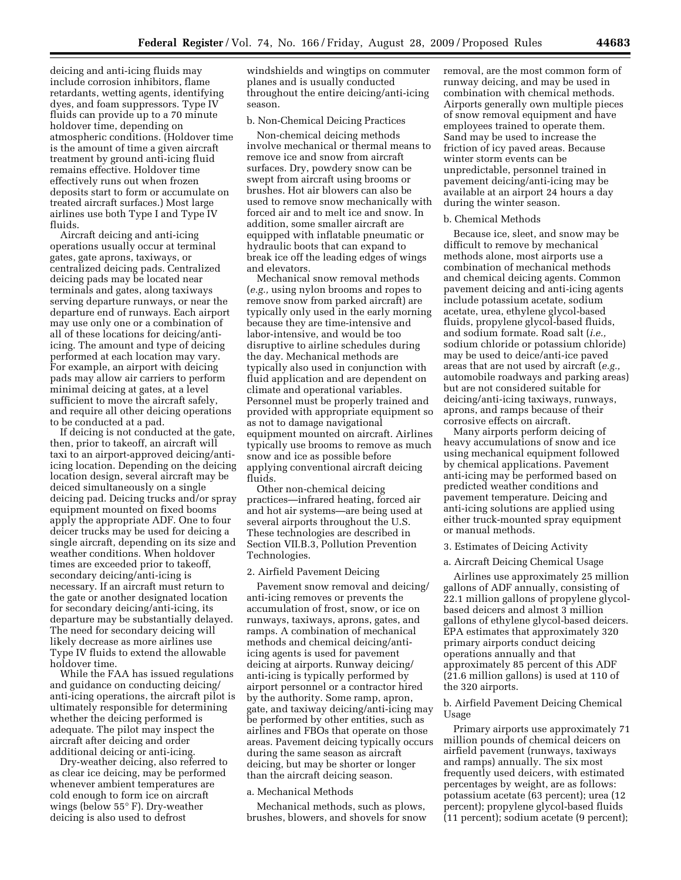deicing and anti-icing fluids may include corrosion inhibitors, flame retardants, wetting agents, identifying dyes, and foam suppressors. Type IV fluids can provide up to a 70 minute holdover time, depending on atmospheric conditions. (Holdover time is the amount of time a given aircraft treatment by ground anti-icing fluid remains effective. Holdover time effectively runs out when frozen deposits start to form or accumulate on treated aircraft surfaces.) Most large airlines use both Type I and Type IV fluids.

Aircraft deicing and anti-icing operations usually occur at terminal gates, gate aprons, taxiways, or centralized deicing pads. Centralized deicing pads may be located near terminals and gates, along taxiways serving departure runways, or near the departure end of runways. Each airport may use only one or a combination of all of these locations for deicing/antiicing. The amount and type of deicing performed at each location may vary. For example, an airport with deicing pads may allow air carriers to perform minimal deicing at gates, at a level sufficient to move the aircraft safely, and require all other deicing operations to be conducted at a pad.

If deicing is not conducted at the gate, then, prior to takeoff, an aircraft will taxi to an airport-approved deicing/antiicing location. Depending on the deicing location design, several aircraft may be deiced simultaneously on a single deicing pad. Deicing trucks and/or spray equipment mounted on fixed booms apply the appropriate ADF. One to four deicer trucks may be used for deicing a single aircraft, depending on its size and weather conditions. When holdover times are exceeded prior to takeoff, secondary deicing/anti-icing is necessary. If an aircraft must return to the gate or another designated location for secondary deicing/anti-icing, its departure may be substantially delayed. The need for secondary deicing will likely decrease as more airlines use Type IV fluids to extend the allowable holdover time.

While the FAA has issued regulations and guidance on conducting deicing/ anti-icing operations, the aircraft pilot is ultimately responsible for determining whether the deicing performed is adequate. The pilot may inspect the aircraft after deicing and order additional deicing or anti-icing.

Dry-weather deicing, also referred to as clear ice deicing, may be performed whenever ambient temperatures are cold enough to form ice on aircraft wings (below 55° F). Dry-weather deicing is also used to defrost

windshields and wingtips on commuter planes and is usually conducted throughout the entire deicing/anti-icing season.

#### b. Non-Chemical Deicing Practices

Non-chemical deicing methods involve mechanical or thermal means to remove ice and snow from aircraft surfaces. Dry, powdery snow can be swept from aircraft using brooms or brushes. Hot air blowers can also be used to remove snow mechanically with forced air and to melt ice and snow. In addition, some smaller aircraft are equipped with inflatable pneumatic or hydraulic boots that can expand to break ice off the leading edges of wings and elevators.

Mechanical snow removal methods (*e.g.,* using nylon brooms and ropes to remove snow from parked aircraft) are typically only used in the early morning because they are time-intensive and labor-intensive, and would be too disruptive to airline schedules during the day. Mechanical methods are typically also used in conjunction with fluid application and are dependent on climate and operational variables. Personnel must be properly trained and provided with appropriate equipment so as not to damage navigational equipment mounted on aircraft. Airlines typically use brooms to remove as much snow and ice as possible before applying conventional aircraft deicing fluids.

Other non-chemical deicing practices—infrared heating, forced air and hot air systems—are being used at several airports throughout the U.S. These technologies are described in Section VII.B.3, Pollution Prevention Technologies.

#### 2. Airfield Pavement Deicing

Pavement snow removal and deicing/ anti-icing removes or prevents the accumulation of frost, snow, or ice on runways, taxiways, aprons, gates, and ramps. A combination of mechanical methods and chemical deicing/antiicing agents is used for pavement deicing at airports. Runway deicing/ anti-icing is typically performed by airport personnel or a contractor hired by the authority. Some ramp, apron, gate, and taxiway deicing/anti-icing may be performed by other entities, such as airlines and FBOs that operate on those areas. Pavement deicing typically occurs during the same season as aircraft deicing, but may be shorter or longer than the aircraft deicing season.

## a. Mechanical Methods

Mechanical methods, such as plows, brushes, blowers, and shovels for snow removal, are the most common form of runway deicing, and may be used in combination with chemical methods. Airports generally own multiple pieces of snow removal equipment and have employees trained to operate them. Sand may be used to increase the friction of icy paved areas. Because winter storm events can be unpredictable, personnel trained in pavement deicing/anti-icing may be available at an airport 24 hours a day during the winter season.

#### b. Chemical Methods

Because ice, sleet, and snow may be difficult to remove by mechanical methods alone, most airports use a combination of mechanical methods and chemical deicing agents. Common pavement deicing and anti-icing agents include potassium acetate, sodium acetate, urea, ethylene glycol-based fluids, propylene glycol-based fluids, and sodium formate. Road salt (*i.e.,*  sodium chloride or potassium chloride) may be used to deice/anti-ice paved areas that are not used by aircraft (*e.g.,*  automobile roadways and parking areas) but are not considered suitable for deicing/anti-icing taxiways, runways, aprons, and ramps because of their corrosive effects on aircraft.

Many airports perform deicing of heavy accumulations of snow and ice using mechanical equipment followed by chemical applications. Pavement anti-icing may be performed based on predicted weather conditions and pavement temperature. Deicing and anti-icing solutions are applied using either truck-mounted spray equipment or manual methods.

#### 3. Estimates of Deicing Activity

#### a. Aircraft Deicing Chemical Usage

Airlines use approximately 25 million gallons of ADF annually, consisting of 22.1 million gallons of propylene glycolbased deicers and almost 3 million gallons of ethylene glycol-based deicers. EPA estimates that approximately 320 primary airports conduct deicing operations annually and that approximately 85 percent of this ADF (21.6 million gallons) is used at 110 of the 320 airports.

## b. Airfield Pavement Deicing Chemical Usage

Primary airports use approximately 71 million pounds of chemical deicers on airfield pavement (runways, taxiways and ramps) annually. The six most frequently used deicers, with estimated percentages by weight, are as follows: potassium acetate (63 percent); urea (12 percent); propylene glycol-based fluids (11 percent); sodium acetate (9 percent);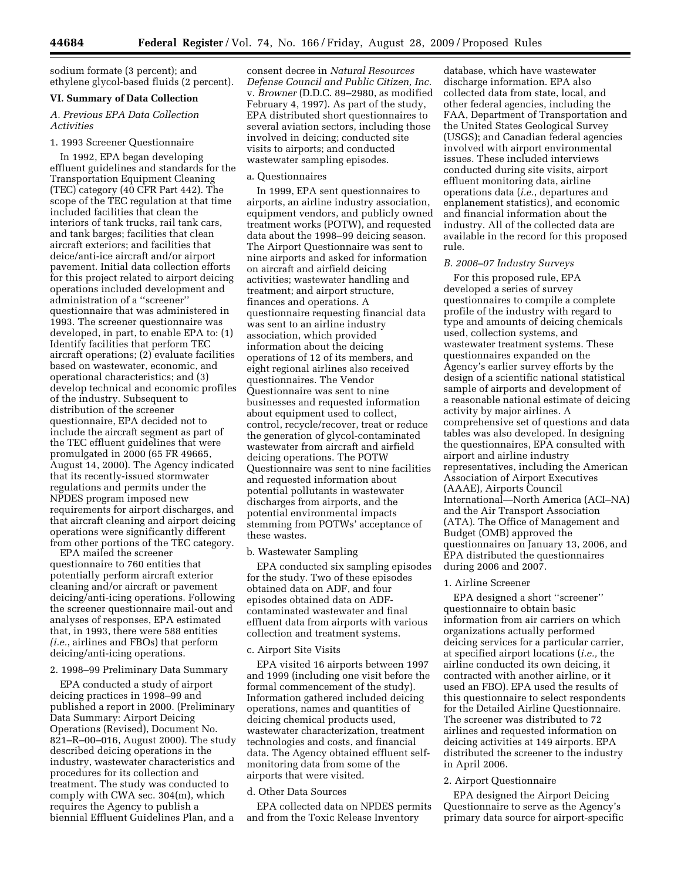sodium formate (3 percent); and ethylene glycol-based fluids (2 percent).

## **VI. Summary of Data Collection**

## *A. Previous EPA Data Collection Activities*

#### 1. 1993 Screener Questionnaire

In 1992, EPA began developing effluent guidelines and standards for the Transportation Equipment Cleaning (TEC) category (40 CFR Part 442). The scope of the TEC regulation at that time included facilities that clean the interiors of tank trucks, rail tank cars, and tank barges; facilities that clean aircraft exteriors; and facilities that deice/anti-ice aircraft and/or airport pavement. Initial data collection efforts for this project related to airport deicing operations included development and administration of a ''screener'' questionnaire that was administered in 1993. The screener questionnaire was developed, in part, to enable EPA to: (1) Identify facilities that perform TEC aircraft operations; (2) evaluate facilities based on wastewater, economic, and operational characteristics; and (3) develop technical and economic profiles of the industry. Subsequent to distribution of the screener questionnaire, EPA decided not to include the aircraft segment as part of the TEC effluent guidelines that were promulgated in 2000 (65 FR 49665, August 14, 2000). The Agency indicated that its recently-issued stormwater regulations and permits under the NPDES program imposed new requirements for airport discharges, and that aircraft cleaning and airport deicing operations were significantly different from other portions of the TEC category.

EPA mailed the screener questionnaire to 760 entities that potentially perform aircraft exterior cleaning and/or aircraft or pavement deicing/anti-icing operations. Following the screener questionnaire mail-out and analyses of responses, EPA estimated that, in 1993, there were 588 entities *(i.e.*, airlines and FBOs) that perform deicing/anti-icing operations.

#### 2. 1998–99 Preliminary Data Summary

EPA conducted a study of airport deicing practices in 1998–99 and published a report in 2000. (Preliminary Data Summary: Airport Deicing Operations (Revised), Document No. 821–R–00–016, August 2000). The study described deicing operations in the industry, wastewater characteristics and procedures for its collection and treatment. The study was conducted to comply with CWA sec. 304(m), which requires the Agency to publish a biennial Effluent Guidelines Plan, and a

consent decree in *Natural Resources Defense Council and Public Citizen, Inc.*  v. *Browner* (D.D.C. 89–2980, as modified February 4, 1997). As part of the study, EPA distributed short questionnaires to several aviation sectors, including those involved in deicing; conducted site visits to airports; and conducted wastewater sampling episodes.

#### a. Questionnaires

In 1999, EPA sent questionnaires to airports, an airline industry association, equipment vendors, and publicly owned treatment works (POTW), and requested data about the 1998–99 deicing season. The Airport Questionnaire was sent to nine airports and asked for information on aircraft and airfield deicing activities; wastewater handling and treatment; and airport structure, finances and operations. A questionnaire requesting financial data was sent to an airline industry association, which provided information about the deicing operations of 12 of its members, and eight regional airlines also received questionnaires. The Vendor Questionnaire was sent to nine businesses and requested information about equipment used to collect, control, recycle/recover, treat or reduce the generation of glycol-contaminated wastewater from aircraft and airfield deicing operations. The POTW Questionnaire was sent to nine facilities and requested information about potential pollutants in wastewater discharges from airports, and the potential environmental impacts stemming from POTWs' acceptance of these wastes.

#### b. Wastewater Sampling

EPA conducted six sampling episodes for the study. Two of these episodes obtained data on ADF, and four episodes obtained data on ADFcontaminated wastewater and final effluent data from airports with various collection and treatment systems.

#### c. Airport Site Visits

EPA visited 16 airports between 1997 and 1999 (including one visit before the formal commencement of the study). Information gathered included deicing operations, names and quantities of deicing chemical products used, wastewater characterization, treatment technologies and costs, and financial data. The Agency obtained effluent selfmonitoring data from some of the airports that were visited.

#### d. Other Data Sources

EPA collected data on NPDES permits and from the Toxic Release Inventory

database, which have wastewater discharge information. EPA also collected data from state, local, and other federal agencies, including the FAA, Department of Transportation and the United States Geological Survey (USGS); and Canadian federal agencies involved with airport environmental issues. These included interviews conducted during site visits, airport effluent monitoring data, airline operations data (*i.e.*, departures and enplanement statistics), and economic and financial information about the industry. All of the collected data are available in the record for this proposed rule.

#### *B. 2006–07 Industry Surveys*

For this proposed rule, EPA developed a series of survey questionnaires to compile a complete profile of the industry with regard to type and amounts of deicing chemicals used, collection systems, and wastewater treatment systems. These questionnaires expanded on the Agency's earlier survey efforts by the design of a scientific national statistical sample of airports and development of a reasonable national estimate of deicing activity by major airlines. A comprehensive set of questions and data tables was also developed. In designing the questionnaires, EPA consulted with airport and airline industry representatives, including the American Association of Airport Executives (AAAE), Airports Council International—North America (ACI–NA) and the Air Transport Association (ATA). The Office of Management and Budget (OMB) approved the questionnaires on January 13, 2006, and EPA distributed the questionnaires during 2006 and 2007.

#### 1. Airline Screener

EPA designed a short ''screener'' questionnaire to obtain basic information from air carriers on which organizations actually performed deicing services for a particular carrier, at specified airport locations (*i.e.,* the airline conducted its own deicing, it contracted with another airline, or it used an FBO). EPA used the results of this questionnaire to select respondents for the Detailed Airline Questionnaire. The screener was distributed to 72 airlines and requested information on deicing activities at 149 airports. EPA distributed the screener to the industry in April 2006.

#### 2. Airport Questionnaire

EPA designed the Airport Deicing Questionnaire to serve as the Agency's primary data source for airport-specific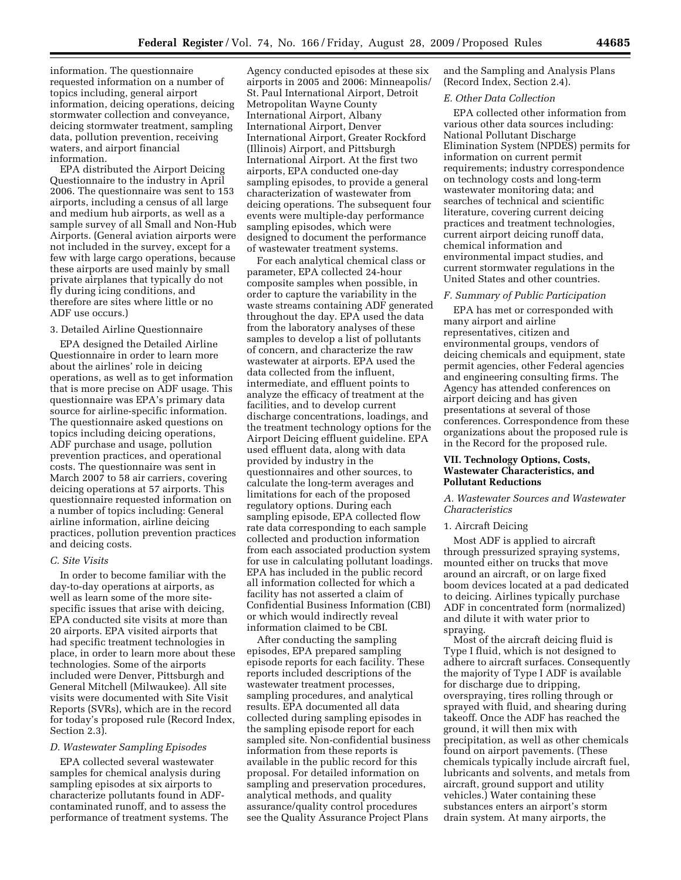information. The questionnaire requested information on a number of topics including, general airport information, deicing operations, deicing stormwater collection and conveyance, deicing stormwater treatment, sampling data, pollution prevention, receiving waters, and airport financial information.

EPA distributed the Airport Deicing Questionnaire to the industry in April 2006. The questionnaire was sent to 153 airports, including a census of all large and medium hub airports, as well as a sample survey of all Small and Non-Hub Airports. (General aviation airports were not included in the survey, except for a few with large cargo operations, because these airports are used mainly by small private airplanes that typically do not fly during icing conditions, and therefore are sites where little or no ADF use occurs.)

#### 3. Detailed Airline Questionnaire

EPA designed the Detailed Airline Questionnaire in order to learn more about the airlines' role in deicing operations, as well as to get information that is more precise on ADF usage. This questionnaire was EPA's primary data source for airline-specific information. The questionnaire asked questions on topics including deicing operations, ADF purchase and usage, pollution prevention practices, and operational costs. The questionnaire was sent in March 2007 to 58 air carriers, covering deicing operations at 57 airports. This questionnaire requested information on a number of topics including: General airline information, airline deicing practices, pollution prevention practices and deicing costs.

## *C. Site Visits*

In order to become familiar with the day-to-day operations at airports, as well as learn some of the more sitespecific issues that arise with deicing, EPA conducted site visits at more than 20 airports. EPA visited airports that had specific treatment technologies in place, in order to learn more about these technologies. Some of the airports included were Denver, Pittsburgh and General Mitchell (Milwaukee). All site visits were documented with Site Visit Reports (SVRs), which are in the record for today's proposed rule (Record Index, Section 2.3).

#### *D. Wastewater Sampling Episodes*

EPA collected several wastewater samples for chemical analysis during sampling episodes at six airports to characterize pollutants found in ADFcontaminated runoff, and to assess the performance of treatment systems. The

Agency conducted episodes at these six airports in 2005 and 2006: Minneapolis/ St. Paul International Airport, Detroit Metropolitan Wayne County International Airport, Albany International Airport, Denver International Airport, Greater Rockford (Illinois) Airport, and Pittsburgh International Airport. At the first two airports, EPA conducted one-day sampling episodes, to provide a general characterization of wastewater from deicing operations. The subsequent four events were multiple-day performance sampling episodes, which were designed to document the performance of wastewater treatment systems.

For each analytical chemical class or parameter, EPA collected 24-hour composite samples when possible, in order to capture the variability in the waste streams containing ADF generated throughout the day. EPA used the data from the laboratory analyses of these samples to develop a list of pollutants of concern, and characterize the raw wastewater at airports. EPA used the data collected from the influent, intermediate, and effluent points to analyze the efficacy of treatment at the facilities, and to develop current discharge concentrations, loadings, and the treatment technology options for the Airport Deicing effluent guideline. EPA used effluent data, along with data provided by industry in the questionnaires and other sources, to calculate the long-term averages and limitations for each of the proposed regulatory options. During each sampling episode, EPA collected flow rate data corresponding to each sample collected and production information from each associated production system for use in calculating pollutant loadings. EPA has included in the public record all information collected for which a facility has not asserted a claim of Confidential Business Information (CBI) or which would indirectly reveal information claimed to be CBI.

After conducting the sampling episodes, EPA prepared sampling episode reports for each facility. These reports included descriptions of the wastewater treatment processes, sampling procedures, and analytical results. EPA documented all data collected during sampling episodes in the sampling episode report for each sampled site. Non-confidential business information from these reports is available in the public record for this proposal. For detailed information on sampling and preservation procedures, analytical methods, and quality assurance/quality control procedures see the Quality Assurance Project Plans

and the Sampling and Analysis Plans (Record Index, Section 2.4).

#### *E. Other Data Collection*

EPA collected other information from various other data sources including: National Pollutant Discharge Elimination System (NPDES) permits for information on current permit requirements; industry correspondence on technology costs and long-term wastewater monitoring data; and searches of technical and scientific literature, covering current deicing practices and treatment technologies, current airport deicing runoff data, chemical information and environmental impact studies, and current stormwater regulations in the United States and other countries.

#### *F. Summary of Public Participation*

EPA has met or corresponded with many airport and airline representatives, citizen and environmental groups, vendors of deicing chemicals and equipment, state permit agencies, other Federal agencies and engineering consulting firms. The Agency has attended conferences on airport deicing and has given presentations at several of those conferences. Correspondence from these organizations about the proposed rule is in the Record for the proposed rule.

## **VII. Technology Options, Costs, Wastewater Characteristics, and Pollutant Reductions**

#### *A. Wastewater Sources and Wastewater Characteristics*

#### 1. Aircraft Deicing

Most ADF is applied to aircraft through pressurized spraying systems, mounted either on trucks that move around an aircraft, or on large fixed boom devices located at a pad dedicated to deicing. Airlines typically purchase ADF in concentrated form (normalized) and dilute it with water prior to spraying.

Most of the aircraft deicing fluid is Type I fluid, which is not designed to adhere to aircraft surfaces. Consequently the majority of Type I ADF is available for discharge due to dripping, overspraying, tires rolling through or sprayed with fluid, and shearing during takeoff. Once the ADF has reached the ground, it will then mix with precipitation, as well as other chemicals found on airport pavements. (These chemicals typically include aircraft fuel, lubricants and solvents, and metals from aircraft, ground support and utility vehicles.) Water containing these substances enters an airport's storm drain system. At many airports, the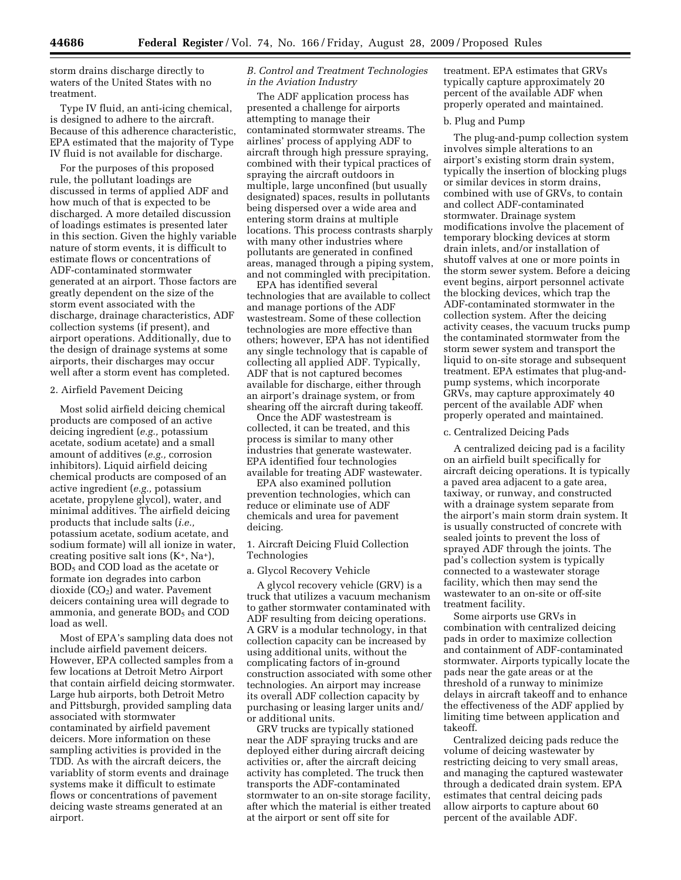storm drains discharge directly to waters of the United States with no treatment.

Type IV fluid, an anti-icing chemical, is designed to adhere to the aircraft. Because of this adherence characteristic, EPA estimated that the majority of Type IV fluid is not available for discharge.

For the purposes of this proposed rule, the pollutant loadings are discussed in terms of applied ADF and how much of that is expected to be discharged. A more detailed discussion of loadings estimates is presented later in this section. Given the highly variable nature of storm events, it is difficult to estimate flows or concentrations of ADF-contaminated stormwater generated at an airport. Those factors are greatly dependent on the size of the storm event associated with the discharge, drainage characteristics, ADF collection systems (if present), and airport operations. Additionally, due to the design of drainage systems at some airports, their discharges may occur well after a storm event has completed.

#### 2. Airfield Pavement Deicing

Most solid airfield deicing chemical products are composed of an active deicing ingredient (*e.g.,* potassium acetate, sodium acetate) and a small amount of additives (*e.g.,* corrosion inhibitors). Liquid airfield deicing chemical products are composed of an active ingredient (*e.g.,* potassium acetate, propylene glycol), water, and minimal additives. The airfield deicing products that include salts (*i.e.,*  potassium acetate, sodium acetate, and sodium formate) will all ionize in water, creating positive salt ions  $(K^+, Na^+),$ BOD5 and COD load as the acetate or formate ion degrades into carbon  $divide (CO<sub>2</sub>)$  and water. Pavement deicers containing urea will degrade to ammonia, and generate BOD<sub>5</sub> and COD load as well.

Most of EPA's sampling data does not include airfield pavement deicers. However, EPA collected samples from a few locations at Detroit Metro Airport that contain airfield deicing stormwater. Large hub airports, both Detroit Metro and Pittsburgh, provided sampling data associated with stormwater contaminated by airfield pavement deicers. More information on these sampling activities is provided in the TDD. As with the aircraft deicers, the variablity of storm events and drainage systems make it difficult to estimate flows or concentrations of pavement deicing waste streams generated at an airport.

## *B. Control and Treatment Technologies in the Aviation Industry*

The ADF application process has presented a challenge for airports attempting to manage their contaminated stormwater streams. The airlines' process of applying ADF to aircraft through high pressure spraying, combined with their typical practices of spraying the aircraft outdoors in multiple, large unconfined (but usually designated) spaces, results in pollutants being dispersed over a wide area and entering storm drains at multiple locations. This process contrasts sharply with many other industries where pollutants are generated in confined areas, managed through a piping system, and not commingled with precipitation.

EPA has identified several technologies that are available to collect and manage portions of the ADF wastestream. Some of these collection technologies are more effective than others; however, EPA has not identified any single technology that is capable of collecting all applied ADF. Typically, ADF that is not captured becomes available for discharge, either through an airport's drainage system, or from shearing off the aircraft during takeoff.

Once the ADF wastestream is collected, it can be treated, and this process is similar to many other industries that generate wastewater. EPA identified four technologies available for treating ADF wastewater.

EPA also examined pollution prevention technologies, which can reduce or eliminate use of ADF chemicals and urea for pavement deicing.

## 1. Aircraft Deicing Fluid Collection Technologies

#### a. Glycol Recovery Vehicle

A glycol recovery vehicle (GRV) is a truck that utilizes a vacuum mechanism to gather stormwater contaminated with ADF resulting from deicing operations. A GRV is a modular technology, in that collection capacity can be increased by using additional units, without the complicating factors of in-ground construction associated with some other technologies. An airport may increase its overall ADF collection capacity by purchasing or leasing larger units and/ or additional units.

GRV trucks are typically stationed near the ADF spraying trucks and are deployed either during aircraft deicing activities or, after the aircraft deicing activity has completed. The truck then transports the ADF-contaminated stormwater to an on-site storage facility, after which the material is either treated at the airport or sent off site for

treatment. EPA estimates that GRVs typically capture approximately 20 percent of the available ADF when properly operated and maintained.

#### b. Plug and Pump

The plug-and-pump collection system involves simple alterations to an airport's existing storm drain system, typically the insertion of blocking plugs or similar devices in storm drains, combined with use of GRVs, to contain and collect ADF-contaminated stormwater. Drainage system modifications involve the placement of temporary blocking devices at storm drain inlets, and/or installation of shutoff valves at one or more points in the storm sewer system. Before a deicing event begins, airport personnel activate the blocking devices, which trap the ADF-contaminated stormwater in the collection system. After the deicing activity ceases, the vacuum trucks pump the contaminated stormwater from the storm sewer system and transport the liquid to on-site storage and subsequent treatment. EPA estimates that plug-andpump systems, which incorporate GRVs, may capture approximately 40 percent of the available ADF when properly operated and maintained.

#### c. Centralized Deicing Pads

A centralized deicing pad is a facility on an airfield built specifically for aircraft deicing operations. It is typically a paved area adjacent to a gate area, taxiway, or runway, and constructed with a drainage system separate from the airport's main storm drain system. It is usually constructed of concrete with sealed joints to prevent the loss of sprayed ADF through the joints. The pad's collection system is typically connected to a wastewater storage facility, which then may send the wastewater to an on-site or off-site treatment facility.

Some airports use GRVs in combination with centralized deicing pads in order to maximize collection and containment of ADF-contaminated stormwater. Airports typically locate the pads near the gate areas or at the threshold of a runway to minimize delays in aircraft takeoff and to enhance the effectiveness of the ADF applied by limiting time between application and takeoff.

Centralized deicing pads reduce the volume of deicing wastewater by restricting deicing to very small areas, and managing the captured wastewater through a dedicated drain system. EPA estimates that central deicing pads allow airports to capture about 60 percent of the available ADF.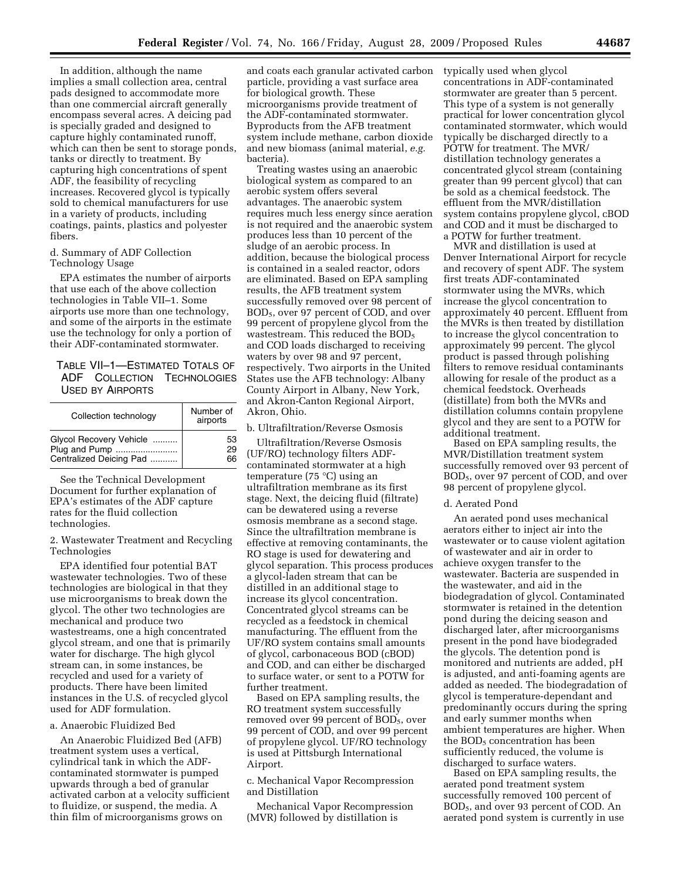In addition, although the name implies a small collection area, central pads designed to accommodate more than one commercial aircraft generally encompass several acres. A deicing pad is specially graded and designed to capture highly contaminated runoff, which can then be sent to storage ponds, tanks or directly to treatment. By capturing high concentrations of spent ADF, the feasibility of recycling increases. Recovered glycol is typically sold to chemical manufacturers for use in a variety of products, including coatings, paints, plastics and polyester fibers.

## d. Summary of ADF Collection Technology Usage

EPA estimates the number of airports that use each of the above collection technologies in Table VII–1. Some airports use more than one technology, and some of the airports in the estimate use the technology for only a portion of their ADF-contaminated stormwater.

## TABLE VII–1—ESTIMATED TOTALS OF ADF COLLECTION TECHNOLOGIES USED BY AIRPORTS

| Number of<br>airports |
|-----------------------|
| 53                    |
| 29<br>66              |
|                       |

See the Technical Development Document for further explanation of EPA's estimates of the ADF capture rates for the fluid collection technologies.

2. Wastewater Treatment and Recycling Technologies

EPA identified four potential BAT wastewater technologies. Two of these technologies are biological in that they use microorganisms to break down the glycol. The other two technologies are mechanical and produce two wastestreams, one a high concentrated glycol stream, and one that is primarily water for discharge. The high glycol stream can, in some instances, be recycled and used for a variety of products. There have been limited instances in the U.S. of recycled glycol used for ADF formulation.

#### a. Anaerobic Fluidized Bed

An Anaerobic Fluidized Bed (AFB) treatment system uses a vertical, cylindrical tank in which the ADFcontaminated stormwater is pumped upwards through a bed of granular activated carbon at a velocity sufficient to fluidize, or suspend, the media. A thin film of microorganisms grows on

and coats each granular activated carbon particle, providing a vast surface area for biological growth. These microorganisms provide treatment of the ADF-contaminated stormwater. Byproducts from the AFB treatment system include methane, carbon dioxide and new biomass (animal material, *e.g.*  bacteria).

Treating wastes using an anaerobic biological system as compared to an aerobic system offers several advantages. The anaerobic system requires much less energy since aeration is not required and the anaerobic system produces less than 10 percent of the sludge of an aerobic process. In addition, because the biological process is contained in a sealed reactor, odors are eliminated. Based on EPA sampling results, the AFB treatment system successfully removed over 98 percent of BOD5, over 97 percent of COD, and over 99 percent of propylene glycol from the wastestream. This reduced the  $BOD<sub>5</sub>$ and COD loads discharged to receiving waters by over 98 and 97 percent, respectively. Two airports in the United States use the AFB technology: Albany County Airport in Albany, New York, and Akron-Canton Regional Airport, Akron, Ohio.

b. Ultrafiltration/Reverse Osmosis

Ultrafiltration/Reverse Osmosis (UF/RO) technology filters ADFcontaminated stormwater at a high temperature (75 °C) using an ultrafiltration membrane as its first stage. Next, the deicing fluid (filtrate) can be dewatered using a reverse osmosis membrane as a second stage. Since the ultrafiltration membrane is effective at removing contaminants, the RO stage is used for dewatering and glycol separation. This process produces a glycol-laden stream that can be distilled in an additional stage to increase its glycol concentration. Concentrated glycol streams can be recycled as a feedstock in chemical manufacturing. The effluent from the UF/RO system contains small amounts of glycol, carbonaceous BOD (cBOD) and COD, and can either be discharged to surface water, or sent to a POTW for further treatment.

Based on EPA sampling results, the RO treatment system successfully removed over 99 percent of BOD<sub>5</sub>, over 99 percent of COD, and over 99 percent of propylene glycol. UF/RO technology is used at Pittsburgh International Airport.

c. Mechanical Vapor Recompression and Distillation

Mechanical Vapor Recompression (MVR) followed by distillation is

typically used when glycol concentrations in ADF-contaminated stormwater are greater than 5 percent. This type of a system is not generally practical for lower concentration glycol contaminated stormwater, which would typically be discharged directly to a POTW for treatment. The MVR/ distillation technology generates a concentrated glycol stream (containing greater than 99 percent glycol) that can be sold as a chemical feedstock. The effluent from the MVR/distillation system contains propylene glycol, cBOD and COD and it must be discharged to a POTW for further treatment.

MVR and distillation is used at Denver International Airport for recycle and recovery of spent ADF. The system first treats ADF-contaminated stormwater using the MVRs, which increase the glycol concentration to approximately 40 percent. Effluent from the MVRs is then treated by distillation to increase the glycol concentration to approximately 99 percent. The glycol product is passed through polishing filters to remove residual contaminants allowing for resale of the product as a chemical feedstock. Overheads (distillate) from both the MVRs and distillation columns contain propylene glycol and they are sent to a POTW for additional treatment.

Based on EPA sampling results, the MVR/Distillation treatment system successfully removed over 93 percent of BOD5, over 97 percent of COD, and over 98 percent of propylene glycol.

#### d. Aerated Pond

An aerated pond uses mechanical aerators either to inject air into the wastewater or to cause violent agitation of wastewater and air in order to achieve oxygen transfer to the wastewater. Bacteria are suspended in the wastewater, and aid in the biodegradation of glycol. Contaminated stormwater is retained in the detention pond during the deicing season and discharged later, after microorganisms present in the pond have biodegraded the glycols. The detention pond is monitored and nutrients are added, pH is adjusted, and anti-foaming agents are added as needed. The biodegradation of glycol is temperature-dependant and predominantly occurs during the spring and early summer months when ambient temperatures are higher. When the  $BOD<sub>5</sub>$  concentration has been sufficiently reduced, the volume is discharged to surface waters.

Based on EPA sampling results, the aerated pond treatment system successfully removed 100 percent of BOD5, and over 93 percent of COD. An aerated pond system is currently in use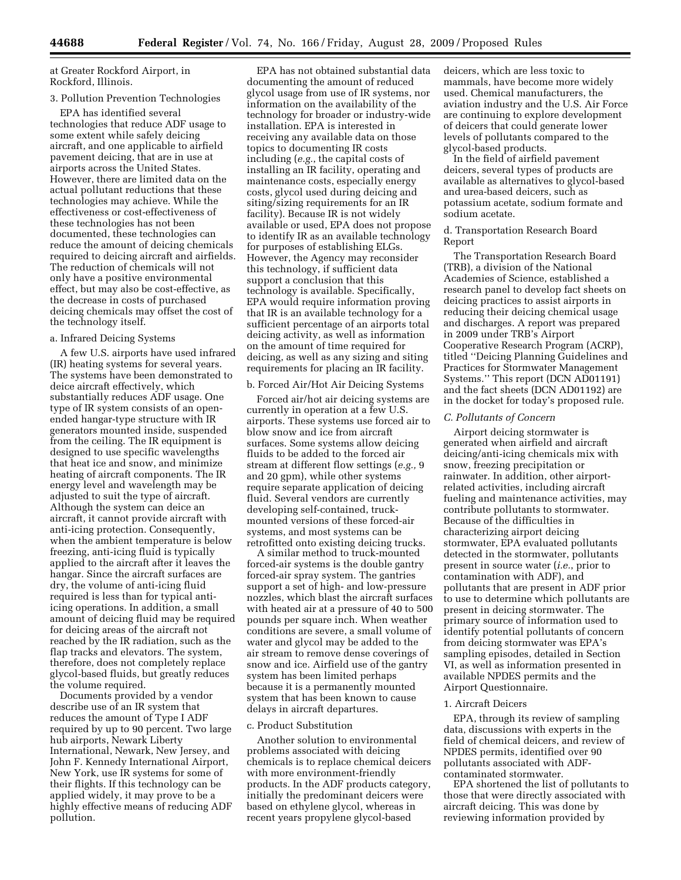at Greater Rockford Airport, in Rockford, Illinois.

#### 3. Pollution Prevention Technologies

EPA has identified several technologies that reduce ADF usage to some extent while safely deicing aircraft, and one applicable to airfield pavement deicing, that are in use at airports across the United States. However, there are limited data on the actual pollutant reductions that these technologies may achieve. While the effectiveness or cost-effectiveness of these technologies has not been documented, these technologies can reduce the amount of deicing chemicals required to deicing aircraft and airfields. The reduction of chemicals will not only have a positive environmental effect, but may also be cost-effective, as the decrease in costs of purchased deicing chemicals may offset the cost of the technology itself.

## a. Infrared Deicing Systems

A few U.S. airports have used infrared (IR) heating systems for several years. The systems have been demonstrated to deice aircraft effectively, which substantially reduces ADF usage. One type of IR system consists of an openended hangar-type structure with IR generators mounted inside, suspended from the ceiling. The IR equipment is designed to use specific wavelengths that heat ice and snow, and minimize heating of aircraft components. The IR energy level and wavelength may be adjusted to suit the type of aircraft. Although the system can deice an aircraft, it cannot provide aircraft with anti-icing protection. Consequently, when the ambient temperature is below freezing, anti-icing fluid is typically applied to the aircraft after it leaves the hangar. Since the aircraft surfaces are dry, the volume of anti-icing fluid required is less than for typical antiicing operations. In addition, a small amount of deicing fluid may be required for deicing areas of the aircraft not reached by the IR radiation, such as the flap tracks and elevators. The system, therefore, does not completely replace glycol-based fluids, but greatly reduces the volume required.

Documents provided by a vendor describe use of an IR system that reduces the amount of Type I ADF required by up to 90 percent. Two large hub airports, Newark Liberty International, Newark, New Jersey, and John F. Kennedy International Airport, New York, use IR systems for some of their flights. If this technology can be applied widely, it may prove to be a highly effective means of reducing ADF pollution.

EPA has not obtained substantial data documenting the amount of reduced glycol usage from use of IR systems, nor information on the availability of the technology for broader or industry-wide installation. EPA is interested in receiving any available data on those topics to documenting IR costs including (*e.g.*, the capital costs of installing an IR facility, operating and maintenance costs, especially energy costs, glycol used during deicing and siting/sizing requirements for an IR facility). Because IR is not widely available or used, EPA does not propose to identify IR as an available technology for purposes of establishing ELGs. However, the Agency may reconsider this technology, if sufficient data support a conclusion that this technology is available. Specifically, EPA would require information proving that IR is an available technology for a sufficient percentage of an airports total deicing activity, as well as information on the amount of time required for deicing, as well as any sizing and siting requirements for placing an IR facility.

## b. Forced Air/Hot Air Deicing Systems

Forced air/hot air deicing systems are currently in operation at a few U.S. airports. These systems use forced air to blow snow and ice from aircraft surfaces. Some systems allow deicing fluids to be added to the forced air stream at different flow settings (*e.g.,* 9 and 20 gpm), while other systems require separate application of deicing fluid. Several vendors are currently developing self-contained, truckmounted versions of these forced-air systems, and most systems can be retrofitted onto existing deicing trucks.

A similar method to truck-mounted forced-air systems is the double gantry forced-air spray system. The gantries support a set of high- and low-pressure nozzles, which blast the aircraft surfaces with heated air at a pressure of 40 to 500 pounds per square inch. When weather conditions are severe, a small volume of water and glycol may be added to the air stream to remove dense coverings of snow and ice. Airfield use of the gantry system has been limited perhaps because it is a permanently mounted system that has been known to cause delays in aircraft departures.

#### c. Product Substitution

Another solution to environmental problems associated with deicing chemicals is to replace chemical deicers with more environment-friendly products. In the ADF products category, initially the predominant deicers were based on ethylene glycol, whereas in recent years propylene glycol-based

deicers, which are less toxic to mammals, have become more widely used. Chemical manufacturers, the aviation industry and the U.S. Air Force are continuing to explore development of deicers that could generate lower levels of pollutants compared to the glycol-based products.

In the field of airfield pavement deicers, several types of products are available as alternatives to glycol-based and urea-based deicers, such as potassium acetate, sodium formate and sodium acetate.

## d. Transportation Research Board Report

The Transportation Research Board (TRB), a division of the National Academies of Science, established a research panel to develop fact sheets on deicing practices to assist airports in reducing their deicing chemical usage and discharges. A report was prepared in 2009 under TRB's Airport Cooperative Research Program (ACRP), titled ''Deicing Planning Guidelines and Practices for Stormwater Management Systems.'' This report (DCN AD01191) and the fact sheets (DCN AD01192) are in the docket for today's proposed rule.

#### *C. Pollutants of Concern*

Airport deicing stormwater is generated when airfield and aircraft deicing/anti-icing chemicals mix with snow, freezing precipitation or rainwater. In addition, other airportrelated activities, including aircraft fueling and maintenance activities, may contribute pollutants to stormwater. Because of the difficulties in characterizing airport deicing stormwater, EPA evaluated pollutants detected in the stormwater, pollutants present in source water (*i.e.*, prior to contamination with ADF), and pollutants that are present in ADF prior to use to determine which pollutants are present in deicing stormwater. The primary source of information used to identify potential pollutants of concern from deicing stormwater was EPA's sampling episodes, detailed in Section VI, as well as information presented in available NPDES permits and the Airport Questionnaire.

#### 1. Aircraft Deicers

EPA, through its review of sampling data, discussions with experts in the field of chemical deicers, and review of NPDES permits, identified over 90 pollutants associated with ADFcontaminated stormwater.

EPA shortened the list of pollutants to those that were directly associated with aircraft deicing. This was done by reviewing information provided by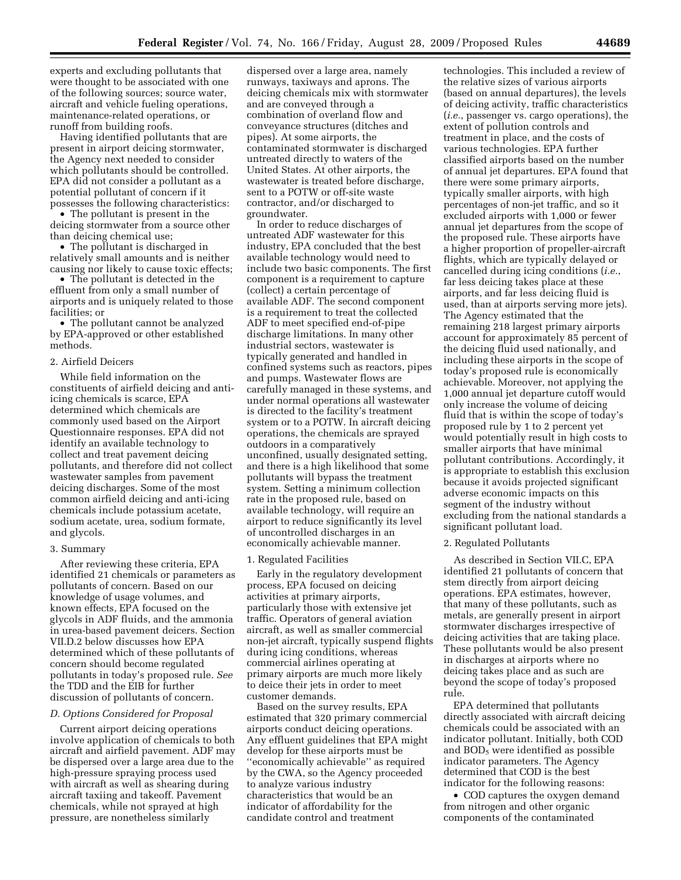experts and excluding pollutants that were thought to be associated with one of the following sources; source water, aircraft and vehicle fueling operations, maintenance-related operations, or runoff from building roofs.

Having identified pollutants that are present in airport deicing stormwater, the Agency next needed to consider which pollutants should be controlled. EPA did not consider a pollutant as a potential pollutant of concern if it possesses the following characteristics:

• The pollutant is present in the deicing stormwater from a source other than deicing chemical use;

• The pollutant is discharged in relatively small amounts and is neither causing nor likely to cause toxic effects;

• The pollutant is detected in the effluent from only a small number of airports and is uniquely related to those facilities; or

• The pollutant cannot be analyzed by EPA-approved or other established methods.

## 2. Airfield Deicers

While field information on the constituents of airfield deicing and antiicing chemicals is scarce, EPA determined which chemicals are commonly used based on the Airport Questionnaire responses. EPA did not identify an available technology to collect and treat pavement deicing pollutants, and therefore did not collect wastewater samples from pavement deicing discharges. Some of the most common airfield deicing and anti-icing chemicals include potassium acetate, sodium acetate, urea, sodium formate, and glycols.

#### 3. Summary

After reviewing these criteria, EPA identified 21 chemicals or parameters as pollutants of concern. Based on our knowledge of usage volumes, and known effects, EPA focused on the glycols in ADF fluids, and the ammonia in urea-based pavement deicers. Section VII.D.2 below discusses how EPA determined which of these pollutants of concern should become regulated pollutants in today's proposed rule. *See*  the TDD and the EIB for further discussion of pollutants of concern.

#### *D. Options Considered for Proposal*

Current airport deicing operations involve application of chemicals to both aircraft and airfield pavement. ADF may be dispersed over a large area due to the high-pressure spraying process used with aircraft as well as shearing during aircraft taxiing and takeoff. Pavement chemicals, while not sprayed at high pressure, are nonetheless similarly

dispersed over a large area, namely runways, taxiways and aprons. The deicing chemicals mix with stormwater and are conveyed through a combination of overland flow and conveyance structures (ditches and pipes). At some airports, the contaminated stormwater is discharged untreated directly to waters of the United States. At other airports, the wastewater is treated before discharge, sent to a POTW or off-site waste contractor, and/or discharged to groundwater.

In order to reduce discharges of untreated ADF wastewater for this industry, EPA concluded that the best available technology would need to include two basic components. The first component is a requirement to capture (collect) a certain percentage of available ADF. The second component is a requirement to treat the collected ADF to meet specified end-of-pipe discharge limitations. In many other industrial sectors, wastewater is typically generated and handled in confined systems such as reactors, pipes and pumps. Wastewater flows are carefully managed in these systems, and under normal operations all wastewater is directed to the facility's treatment system or to a POTW. In aircraft deicing operations, the chemicals are sprayed outdoors in a comparatively unconfined, usually designated setting, and there is a high likelihood that some pollutants will bypass the treatment system. Setting a minimum collection rate in the proposed rule, based on available technology, will require an airport to reduce significantly its level of uncontrolled discharges in an economically achievable manner.

#### 1. Regulated Facilities

Early in the regulatory development process, EPA focused on deicing activities at primary airports, particularly those with extensive jet traffic. Operators of general aviation aircraft, as well as smaller commercial non-jet aircraft, typically suspend flights during icing conditions, whereas commercial airlines operating at primary airports are much more likely to deice their jets in order to meet customer demands.

Based on the survey results, EPA estimated that 320 primary commercial airports conduct deicing operations. Any effluent guidelines that EPA might develop for these airports must be ''economically achievable'' as required by the CWA, so the Agency proceeded to analyze various industry characteristics that would be an indicator of affordability for the candidate control and treatment

technologies. This included a review of the relative sizes of various airports (based on annual departures), the levels of deicing activity, traffic characteristics (*i.e.*, passenger vs. cargo operations), the extent of pollution controls and treatment in place, and the costs of various technologies. EPA further classified airports based on the number of annual jet departures. EPA found that there were some primary airports, typically smaller airports, with high percentages of non-jet traffic, and so it excluded airports with 1,000 or fewer annual jet departures from the scope of the proposed rule. These airports have a higher proportion of propeller-aircraft flights, which are typically delayed or cancelled during icing conditions (*i.e.*, far less deicing takes place at these airports, and far less deicing fluid is used, than at airports serving more jets). The Agency estimated that the remaining 218 largest primary airports account for approximately 85 percent of the deicing fluid used nationally, and including these airports in the scope of today's proposed rule is economically achievable. Moreover, not applying the 1,000 annual jet departure cutoff would only increase the volume of deicing fluid that is within the scope of today's proposed rule by 1 to 2 percent yet would potentially result in high costs to smaller airports that have minimal pollutant contributions. Accordingly, it is appropriate to establish this exclusion because it avoids projected significant adverse economic impacts on this segment of the industry without excluding from the national standards a significant pollutant load.

#### 2. Regulated Pollutants

As described in Section VII.C, EPA identified 21 pollutants of concern that stem directly from airport deicing operations. EPA estimates, however, that many of these pollutants, such as metals, are generally present in airport stormwater discharges irrespective of deicing activities that are taking place. These pollutants would be also present in discharges at airports where no deicing takes place and as such are beyond the scope of today's proposed rule.

EPA determined that pollutants directly associated with aircraft deicing chemicals could be associated with an indicator pollutant. Initially, both COD and  $BOD<sub>5</sub>$  were identified as possible indicator parameters. The Agency determined that COD is the best indicator for the following reasons:

• COD captures the oxygen demand from nitrogen and other organic components of the contaminated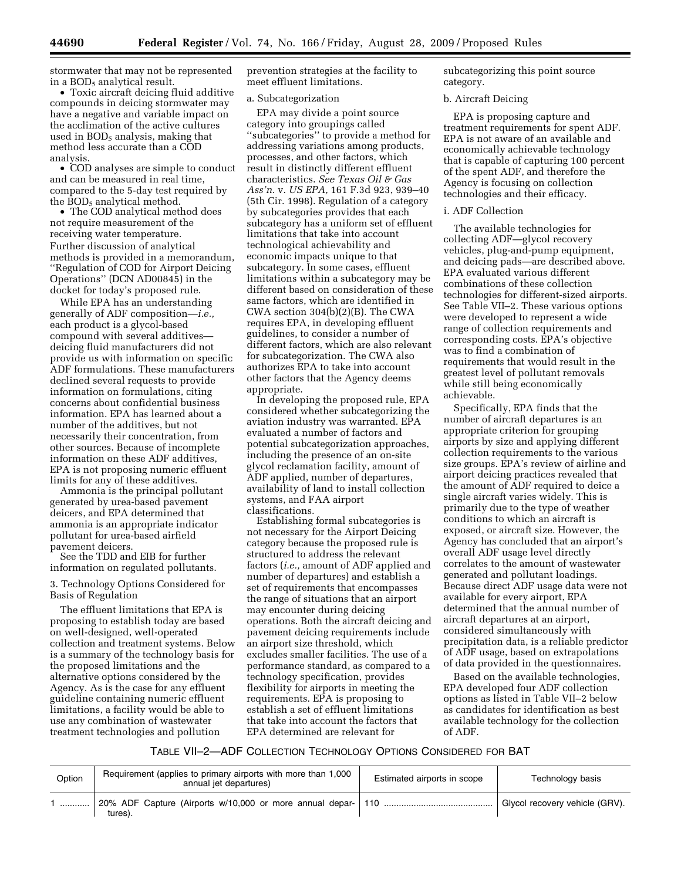stormwater that may not be represented in a  $BOD<sub>5</sub>$  analytical result.

• Toxic aircraft deicing fluid additive compounds in deicing stormwater may have a negative and variable impact on the acclimation of the active cultures used in  $BOD<sub>5</sub>$  analysis, making that method less accurate than a COD analysis.

• COD analyses are simple to conduct and can be measured in real time, compared to the 5-day test required by the BOD<sub>5</sub> analytical method.

• The COD analytical method does not require measurement of the receiving water temperature. Further discussion of analytical methods is provided in a memorandum, ''Regulation of COD for Airport Deicing Operations'' (DCN AD00845) in the docket for today's proposed rule.

While EPA has an understanding generally of ADF composition—*i.e.,*  each product is a glycol-based compound with several additives deicing fluid manufacturers did not provide us with information on specific ADF formulations. These manufacturers declined several requests to provide information on formulations, citing concerns about confidential business information. EPA has learned about a number of the additives, but not necessarily their concentration, from other sources. Because of incomplete information on these ADF additives, EPA is not proposing numeric effluent limits for any of these additives.

Ammonia is the principal pollutant generated by urea-based pavement deicers, and EPA determined that ammonia is an appropriate indicator pollutant for urea-based airfield pavement deicers.

See the TDD and EIB for further information on regulated pollutants.

## 3. Technology Options Considered for Basis of Regulation

The effluent limitations that EPA is proposing to establish today are based on well-designed, well-operated collection and treatment systems. Below is a summary of the technology basis for the proposed limitations and the alternative options considered by the Agency. As is the case for any effluent guideline containing numeric effluent limitations, a facility would be able to use any combination of wastewater treatment technologies and pollution

prevention strategies at the facility to meet effluent limitations.

## a. Subcategorization

EPA may divide a point source category into groupings called ''subcategories'' to provide a method for addressing variations among products, processes, and other factors, which result in distinctly different effluent characteristics. *See Texas Oil & Gas Ass'n.* v. *US EPA,* 161 F.3d 923, 939–40 (5th Cir. 1998). Regulation of a category by subcategories provides that each subcategory has a uniform set of effluent limitations that take into account technological achievability and economic impacts unique to that subcategory. In some cases, effluent limitations within a subcategory may be different based on consideration of these same factors, which are identified in CWA section 304(b)(2)(B). The CWA requires EPA, in developing effluent guidelines, to consider a number of different factors, which are also relevant for subcategorization. The CWA also authorizes EPA to take into account other factors that the Agency deems appropriate.

In developing the proposed rule, EPA considered whether subcategorizing the aviation industry was warranted. EPA evaluated a number of factors and potential subcategorization approaches, including the presence of an on-site glycol reclamation facility, amount of ADF applied, number of departures, availability of land to install collection systems, and FAA airport classifications.

Establishing formal subcategories is not necessary for the Airport Deicing category because the proposed rule is structured to address the relevant factors (*i.e.,* amount of ADF applied and number of departures) and establish a set of requirements that encompasses the range of situations that an airport may encounter during deicing operations. Both the aircraft deicing and pavement deicing requirements include an airport size threshold, which excludes smaller facilities. The use of a performance standard, as compared to a technology specification, provides flexibility for airports in meeting the requirements. EPA is proposing to establish a set of effluent limitations that take into account the factors that EPA determined are relevant for

subcategorizing this point source category.

## b. Aircraft Deicing

EPA is proposing capture and treatment requirements for spent ADF. EPA is not aware of an available and economically achievable technology that is capable of capturing 100 percent of the spent ADF, and therefore the Agency is focusing on collection technologies and their efficacy.

#### i. ADF Collection

The available technologies for collecting ADF—glycol recovery vehicles, plug-and-pump equipment, and deicing pads—are described above. EPA evaluated various different combinations of these collection technologies for different-sized airports. See Table VII–2. These various options were developed to represent a wide range of collection requirements and corresponding costs. EPA's objective was to find a combination of requirements that would result in the greatest level of pollutant removals while still being economically achievable.

Specifically, EPA finds that the number of aircraft departures is an appropriate criterion for grouping airports by size and applying different collection requirements to the various size groups. EPA's review of airline and airport deicing practices revealed that the amount of ADF required to deice a single aircraft varies widely. This is primarily due to the type of weather conditions to which an aircraft is exposed, or aircraft size. However, the Agency has concluded that an airport's overall ADF usage level directly correlates to the amount of wastewater generated and pollutant loadings. Because direct ADF usage data were not available for every airport, EPA determined that the annual number of aircraft departures at an airport, considered simultaneously with precipitation data, is a reliable predictor of ADF usage, based on extrapolations of data provided in the questionnaires.

Based on the available technologies, EPA developed four ADF collection options as listed in Table VII–2 below as candidates for identification as best available technology for the collection of ADF.

## TABLE VII–2—ADF COLLECTION TECHNOLOGY OPTIONS CONSIDERED FOR BAT

| Option | Requirement (applies to primary airports with more than 1,000<br>annual jet departures) | Estimated airports in scope | Technology basis               |
|--------|-----------------------------------------------------------------------------------------|-----------------------------|--------------------------------|
|        | 20% ADF Capture (Airports w/10,000 or more annual depar-<br>tures).                     | 110                         | Glycol recovery vehicle (GRV). |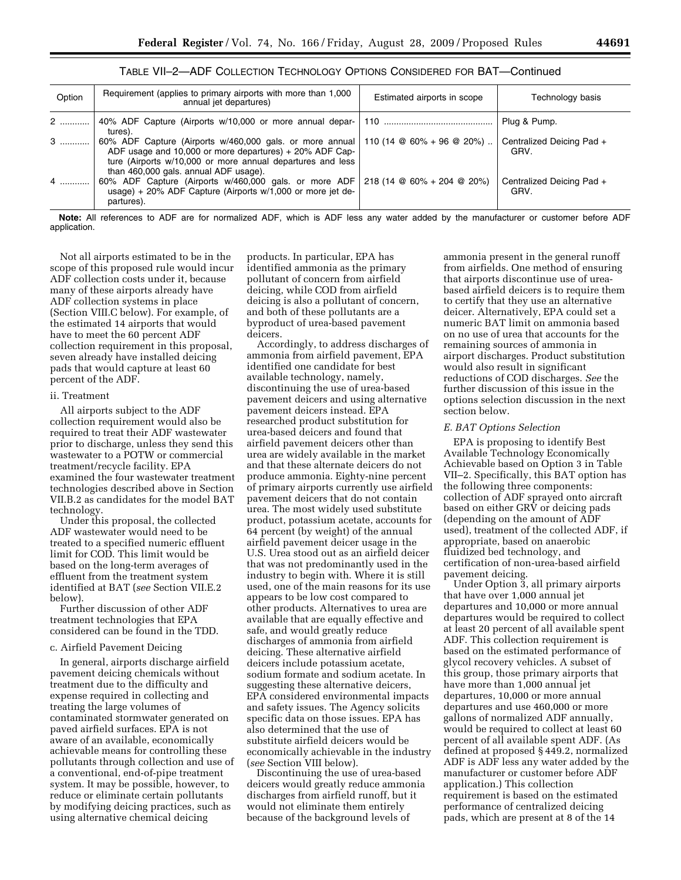TABLE VII–2—ADF COLLECTION TECHNOLOGY OPTIONS CONSIDERED FOR BAT—Continued

| Option | Requirement (applies to primary airports with more than 1,000<br>annual jet departures)                                                                                                                                    | Estimated airports in scope                         | Technology basis                  |
|--------|----------------------------------------------------------------------------------------------------------------------------------------------------------------------------------------------------------------------------|-----------------------------------------------------|-----------------------------------|
| 2      | tures).                                                                                                                                                                                                                    |                                                     | Plug & Pump.                      |
|        | 60% ADF Capture (Airports w/460,000 gals. or more annual<br>ADF usage and 10,000 or more departures) + 20% ADF Cap-<br>ture (Airports w/10,000 or more annual departures and less<br>than 460,000 gals. annual ADF usage). | 110 (14 $\circledcirc$ 60% + 96 $\circledcirc$ 20%) | Centralized Deicing Pad +<br>GRV. |
| 4      | 60% ADF Capture (Airports w/460,000 gals. or more ADF)<br>usage) + 20% ADF Capture (Airports w/1,000 or more jet de-<br>partures).                                                                                         | $218(14 \t@ 60\% + 204 \t@ 20\%)$                   | Centralized Deicing Pad +<br>GRV. |

**Note:** All references to ADF are for normalized ADF, which is ADF less any water added by the manufacturer or customer before ADF application.

Not all airports estimated to be in the scope of this proposed rule would incur ADF collection costs under it, because many of these airports already have ADF collection systems in place (Section VIII.C below). For example, of the estimated 14 airports that would have to meet the 60 percent ADF collection requirement in this proposal, seven already have installed deicing pads that would capture at least 60 percent of the ADF.

#### ii. Treatment

All airports subject to the ADF collection requirement would also be required to treat their ADF wastewater prior to discharge, unless they send this wastewater to a POTW or commercial treatment/recycle facility. EPA examined the four wastewater treatment technologies described above in Section VII.B.2 as candidates for the model BAT technology.

Under this proposal, the collected ADF wastewater would need to be treated to a specified numeric effluent limit for COD. This limit would be based on the long-term averages of effluent from the treatment system identified at BAT (*see* Section VII.E.2 below).

Further discussion of other ADF treatment technologies that EPA considered can be found in the TDD.

#### c. Airfield Pavement Deicing

In general, airports discharge airfield pavement deicing chemicals without treatment due to the difficulty and expense required in collecting and treating the large volumes of contaminated stormwater generated on paved airfield surfaces. EPA is not aware of an available, economically achievable means for controlling these pollutants through collection and use of a conventional, end-of-pipe treatment system. It may be possible, however, to reduce or eliminate certain pollutants by modifying deicing practices, such as using alternative chemical deicing

products. In particular, EPA has identified ammonia as the primary pollutant of concern from airfield deicing, while COD from airfield deicing is also a pollutant of concern, and both of these pollutants are a byproduct of urea-based pavement deicers.

Accordingly, to address discharges of ammonia from airfield pavement, EPA identified one candidate for best available technology, namely, discontinuing the use of urea-based pavement deicers and using alternative pavement deicers instead. EPA researched product substitution for urea-based deicers and found that airfield pavement deicers other than urea are widely available in the market and that these alternate deicers do not produce ammonia. Eighty-nine percent of primary airports currently use airfield pavement deicers that do not contain urea. The most widely used substitute product, potassium acetate, accounts for 64 percent (by weight) of the annual airfield pavement deicer usage in the U.S. Urea stood out as an airfield deicer that was not predominantly used in the industry to begin with. Where it is still used, one of the main reasons for its use appears to be low cost compared to other products. Alternatives to urea are available that are equally effective and safe, and would greatly reduce discharges of ammonia from airfield deicing. These alternative airfield deicers include potassium acetate, sodium formate and sodium acetate. In suggesting these alternative deicers, EPA considered environmental impacts and safety issues. The Agency solicits specific data on those issues. EPA has also determined that the use of substitute airfield deicers would be economically achievable in the industry (*see* Section VIII below).

Discontinuing the use of urea-based deicers would greatly reduce ammonia discharges from airfield runoff, but it would not eliminate them entirely because of the background levels of

ammonia present in the general runoff from airfields. One method of ensuring that airports discontinue use of ureabased airfield deicers is to require them to certify that they use an alternative deicer. Alternatively, EPA could set a numeric BAT limit on ammonia based on no use of urea that accounts for the remaining sources of ammonia in airport discharges. Product substitution would also result in significant reductions of COD discharges. *See* the further discussion of this issue in the options selection discussion in the next section below.

#### *E. BAT Options Selection*

EPA is proposing to identify Best Available Technology Economically Achievable based on Option 3 in Table VII–2. Specifically, this BAT option has the following three components: collection of ADF sprayed onto aircraft based on either GRV or deicing pads (depending on the amount of ADF used), treatment of the collected ADF, if appropriate, based on anaerobic fluidized bed technology, and certification of non-urea-based airfield pavement deicing.

Under Option 3, all primary airports that have over 1,000 annual jet departures and 10,000 or more annual departures would be required to collect at least 20 percent of all available spent ADF. This collection requirement is based on the estimated performance of glycol recovery vehicles. A subset of this group, those primary airports that have more than 1,000 annual jet departures, 10,000 or more annual departures and use 460,000 or more gallons of normalized ADF annually, would be required to collect at least 60 percent of all available spent ADF. (As defined at proposed § 449.2, normalized ADF is ADF less any water added by the manufacturer or customer before ADF application.) This collection requirement is based on the estimated performance of centralized deicing pads, which are present at 8 of the 14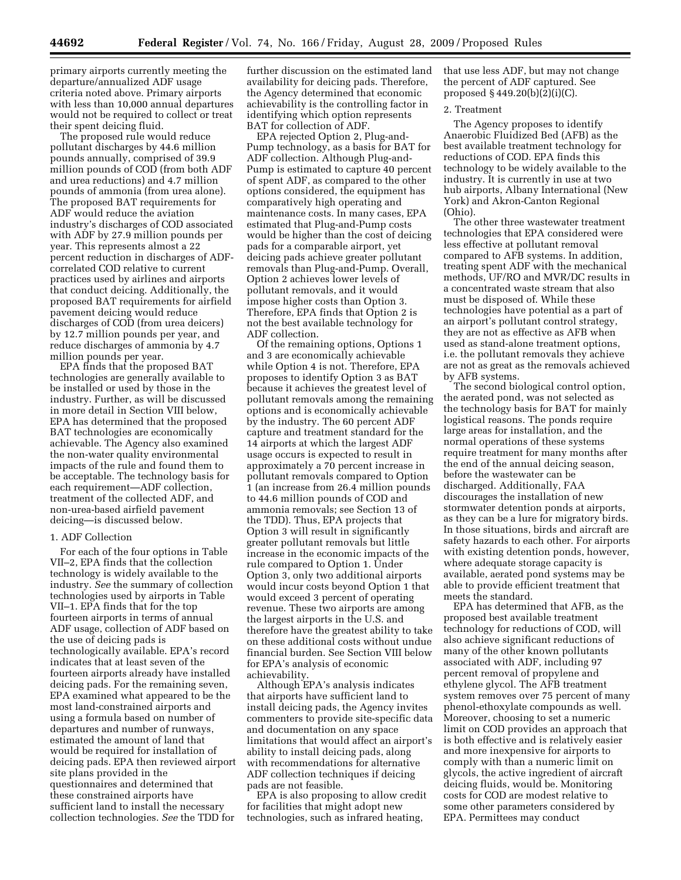primary airports currently meeting the departure/annualized ADF usage criteria noted above. Primary airports with less than 10,000 annual departures would not be required to collect or treat their spent deicing fluid.

The proposed rule would reduce pollutant discharges by 44.6 million pounds annually, comprised of 39.9 million pounds of COD (from both ADF and urea reductions) and 4.7 million pounds of ammonia (from urea alone). The proposed BAT requirements for ADF would reduce the aviation industry's discharges of COD associated with ADF by 27.9 million pounds per year. This represents almost a 22 percent reduction in discharges of ADFcorrelated COD relative to current practices used by airlines and airports that conduct deicing. Additionally, the proposed BAT requirements for airfield pavement deicing would reduce discharges of COD (from urea deicers) by 12.7 million pounds per year, and reduce discharges of ammonia by 4.7 million pounds per year.

EPA finds that the proposed BAT technologies are generally available to be installed or used by those in the industry. Further, as will be discussed in more detail in Section VIII below, EPA has determined that the proposed BAT technologies are economically achievable. The Agency also examined the non-water quality environmental impacts of the rule and found them to be acceptable. The technology basis for each requirement—ADF collection, treatment of the collected ADF, and non-urea-based airfield pavement deicing—is discussed below.

#### 1. ADF Collection

For each of the four options in Table VII–2, EPA finds that the collection technology is widely available to the industry. *See* the summary of collection technologies used by airports in Table VII–1. EPA finds that for the top fourteen airports in terms of annual ADF usage, collection of ADF based on the use of deicing pads is technologically available. EPA's record indicates that at least seven of the fourteen airports already have installed deicing pads. For the remaining seven, EPA examined what appeared to be the most land-constrained airports and using a formula based on number of departures and number of runways, estimated the amount of land that would be required for installation of deicing pads. EPA then reviewed airport site plans provided in the questionnaires and determined that these constrained airports have sufficient land to install the necessary collection technologies. *See* the TDD for

further discussion on the estimated land availability for deicing pads. Therefore, the Agency determined that economic achievability is the controlling factor in identifying which option represents BAT for collection of ADF.

EPA rejected Option 2, Plug-and-Pump technology, as a basis for BAT for ADF collection. Although Plug-and-Pump is estimated to capture 40 percent of spent ADF, as compared to the other options considered, the equipment has comparatively high operating and maintenance costs. In many cases, EPA estimated that Plug-and-Pump costs would be higher than the cost of deicing pads for a comparable airport, yet deicing pads achieve greater pollutant removals than Plug-and-Pump. Overall, Option 2 achieves lower levels of pollutant removals, and it would impose higher costs than Option 3. Therefore, EPA finds that Option 2 is not the best available technology for ADF collection.

Of the remaining options, Options 1 and 3 are economically achievable while Option 4 is not. Therefore, EPA proposes to identify Option 3 as BAT because it achieves the greatest level of pollutant removals among the remaining options and is economically achievable by the industry. The 60 percent ADF capture and treatment standard for the 14 airports at which the largest ADF usage occurs is expected to result in approximately a 70 percent increase in pollutant removals compared to Option 1 (an increase from 26.4 million pounds to 44.6 million pounds of COD and ammonia removals; see Section 13 of the TDD). Thus, EPA projects that Option 3 will result in significantly greater pollutant removals but little increase in the economic impacts of the rule compared to Option 1. Under Option 3, only two additional airports would incur costs beyond Option 1 that would exceed 3 percent of operating revenue. These two airports are among the largest airports in the U.S. and therefore have the greatest ability to take on these additional costs without undue financial burden. See Section VIII below for EPA's analysis of economic achievability.

Although EPA's analysis indicates that airports have sufficient land to install deicing pads, the Agency invites commenters to provide site-specific data and documentation on any space limitations that would affect an airport's ability to install deicing pads, along with recommendations for alternative ADF collection techniques if deicing pads are not feasible.

EPA is also proposing to allow credit for facilities that might adopt new technologies, such as infrared heating,

that use less ADF, but may not change the percent of ADF captured. See proposed § 449.20(b)(2)(i)(C).

## 2. Treatment

The Agency proposes to identify Anaerobic Fluidized Bed (AFB) as the best available treatment technology for reductions of COD. EPA finds this technology to be widely available to the industry. It is currently in use at two hub airports, Albany International (New York) and Akron-Canton Regional (Ohio).

The other three wastewater treatment technologies that EPA considered were less effective at pollutant removal compared to AFB systems. In addition, treating spent ADF with the mechanical methods, UF/RO and MVR/DC results in a concentrated waste stream that also must be disposed of. While these technologies have potential as a part of an airport's pollutant control strategy, they are not as effective as AFB when used as stand-alone treatment options, i.e. the pollutant removals they achieve are not as great as the removals achieved by AFB systems.

The second biological control option, the aerated pond, was not selected as the technology basis for BAT for mainly logistical reasons. The ponds require large areas for installation, and the normal operations of these systems require treatment for many months after the end of the annual deicing season, before the wastewater can be discharged. Additionally, FAA discourages the installation of new stormwater detention ponds at airports, as they can be a lure for migratory birds. In those situations, birds and aircraft are safety hazards to each other. For airports with existing detention ponds, however, where adequate storage capacity is available, aerated pond systems may be able to provide efficient treatment that meets the standard.

EPA has determined that AFB, as the proposed best available treatment technology for reductions of COD, will also achieve significant reductions of many of the other known pollutants associated with ADF, including 97 percent removal of propylene and ethylene glycol. The AFB treatment system removes over 75 percent of many phenol-ethoxylate compounds as well. Moreover, choosing to set a numeric limit on COD provides an approach that is both effective and is relatively easier and more inexpensive for airports to comply with than a numeric limit on glycols, the active ingredient of aircraft deicing fluids, would be. Monitoring costs for COD are modest relative to some other parameters considered by EPA. Permittees may conduct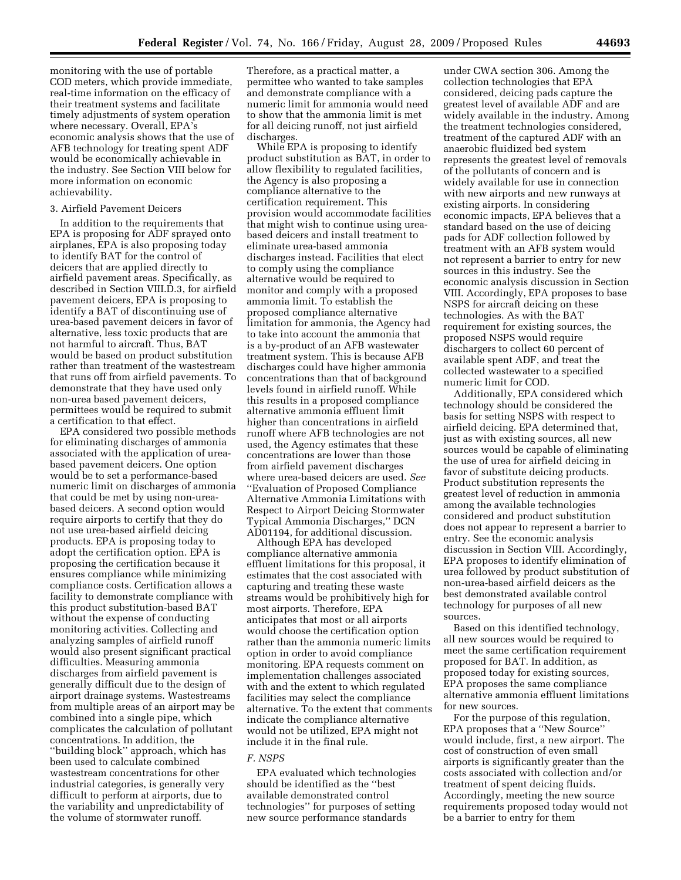monitoring with the use of portable COD meters, which provide immediate, real-time information on the efficacy of their treatment systems and facilitate timely adjustments of system operation where necessary. Overall, EPA's economic analysis shows that the use of AFB technology for treating spent ADF would be economically achievable in the industry. See Section VIII below for more information on economic achievability.

#### 3. Airfield Pavement Deicers

In addition to the requirements that EPA is proposing for ADF sprayed onto airplanes, EPA is also proposing today to identify BAT for the control of deicers that are applied directly to airfield pavement areas. Specifically, as described in Section VIII.D.3, for airfield pavement deicers, EPA is proposing to identify a BAT of discontinuing use of urea-based pavement deicers in favor of alternative, less toxic products that are not harmful to aircraft. Thus, BAT would be based on product substitution rather than treatment of the wastestream that runs off from airfield pavements. To demonstrate that they have used only non-urea based pavement deicers, permittees would be required to submit a certification to that effect.

EPA considered two possible methods for eliminating discharges of ammonia associated with the application of ureabased pavement deicers. One option would be to set a performance-based numeric limit on discharges of ammonia that could be met by using non-ureabased deicers. A second option would require airports to certify that they do not use urea-based airfield deicing products. EPA is proposing today to adopt the certification option. EPA is proposing the certification because it ensures compliance while minimizing compliance costs. Certification allows a facility to demonstrate compliance with this product substitution-based BAT without the expense of conducting monitoring activities. Collecting and analyzing samples of airfield runoff would also present significant practical difficulties. Measuring ammonia discharges from airfield pavement is generally difficult due to the design of airport drainage systems. Wastestreams from multiple areas of an airport may be combined into a single pipe, which complicates the calculation of pollutant concentrations. In addition, the ''building block'' approach, which has been used to calculate combined wastestream concentrations for other industrial categories, is generally very difficult to perform at airports, due to the variability and unpredictability of the volume of stormwater runoff.

Therefore, as a practical matter, a permittee who wanted to take samples and demonstrate compliance with a numeric limit for ammonia would need to show that the ammonia limit is met for all deicing runoff, not just airfield discharges.

While EPA is proposing to identify product substitution as BAT, in order to allow flexibility to regulated facilities, the Agency is also proposing a compliance alternative to the certification requirement. This provision would accommodate facilities that might wish to continue using ureabased deicers and install treatment to eliminate urea-based ammonia discharges instead. Facilities that elect to comply using the compliance alternative would be required to monitor and comply with a proposed ammonia limit. To establish the proposed compliance alternative limitation for ammonia, the Agency had to take into account the ammonia that is a by-product of an AFB wastewater treatment system. This is because AFB discharges could have higher ammonia concentrations than that of background levels found in airfield runoff. While this results in a proposed compliance alternative ammonia effluent limit higher than concentrations in airfield runoff where AFB technologies are not used, the Agency estimates that these concentrations are lower than those from airfield pavement discharges where urea-based deicers are used. *See*  ''Evaluation of Proposed Compliance Alternative Ammonia Limitations with Respect to Airport Deicing Stormwater Typical Ammonia Discharges,'' DCN AD01194, for additional discussion.

Although EPA has developed compliance alternative ammonia effluent limitations for this proposal, it estimates that the cost associated with capturing and treating these waste streams would be prohibitively high for most airports. Therefore, EPA anticipates that most or all airports would choose the certification option rather than the ammonia numeric limits option in order to avoid compliance monitoring. EPA requests comment on implementation challenges associated with and the extent to which regulated facilities may select the compliance alternative. To the extent that comments indicate the compliance alternative would not be utilized, EPA might not include it in the final rule.

## *F. NSPS*

EPA evaluated which technologies should be identified as the ''best available demonstrated control technologies'' for purposes of setting new source performance standards

under CWA section 306. Among the collection technologies that EPA considered, deicing pads capture the greatest level of available ADF and are widely available in the industry. Among the treatment technologies considered, treatment of the captured ADF with an anaerobic fluidized bed system represents the greatest level of removals of the pollutants of concern and is widely available for use in connection with new airports and new runways at existing airports. In considering economic impacts, EPA believes that a standard based on the use of deicing pads for ADF collection followed by treatment with an AFB system would not represent a barrier to entry for new sources in this industry. See the economic analysis discussion in Section VIII. Accordingly, EPA proposes to base NSPS for aircraft deicing on these technologies. As with the BAT requirement for existing sources, the proposed NSPS would require dischargers to collect 60 percent of available spent ADF, and treat the collected wastewater to a specified numeric limit for COD.

Additionally, EPA considered which technology should be considered the basis for setting NSPS with respect to airfield deicing. EPA determined that, just as with existing sources, all new sources would be capable of eliminating the use of urea for airfield deicing in favor of substitute deicing products. Product substitution represents the greatest level of reduction in ammonia among the available technologies considered and product substitution does not appear to represent a barrier to entry. See the economic analysis discussion in Section VIII. Accordingly, EPA proposes to identify elimination of urea followed by product substitution of non-urea-based airfield deicers as the best demonstrated available control technology for purposes of all new sources.

Based on this identified technology, all new sources would be required to meet the same certification requirement proposed for BAT. In addition, as proposed today for existing sources, EPA proposes the same compliance alternative ammonia effluent limitations for new sources.

For the purpose of this regulation, EPA proposes that a ''New Source'' would include, first, a new airport. The cost of construction of even small airports is significantly greater than the costs associated with collection and/or treatment of spent deicing fluids. Accordingly, meeting the new source requirements proposed today would not be a barrier to entry for them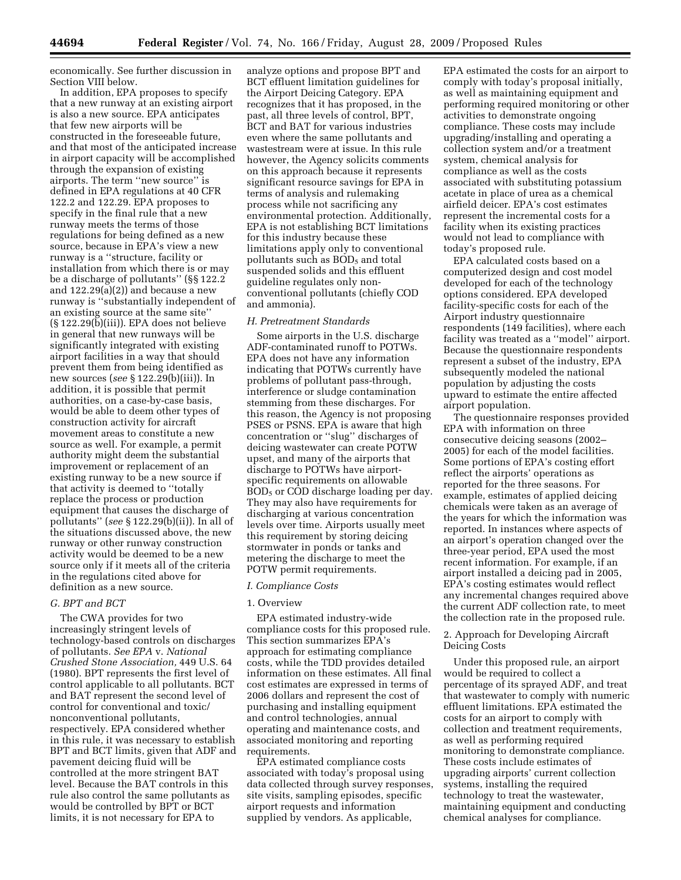economically. See further discussion in Section VIII below.

In addition, EPA proposes to specify that a new runway at an existing airport is also a new source. EPA anticipates that few new airports will be constructed in the foreseeable future, and that most of the anticipated increase in airport capacity will be accomplished through the expansion of existing airports. The term ''new source'' is defined in EPA regulations at 40 CFR 122.2 and 122.29. EPA proposes to specify in the final rule that a new runway meets the terms of those regulations for being defined as a new source, because in EPA's view a new runway is a ''structure, facility or installation from which there is or may be a discharge of pollutants'' (§§ 122.2 and 122.29(a)(2)) and because a new runway is ''substantially independent of an existing source at the same site'' (§ 122.29(b)(iii)). EPA does not believe in general that new runways will be significantly integrated with existing airport facilities in a way that should prevent them from being identified as new sources (*see* § 122.29(b)(iii)). In addition, it is possible that permit authorities, on a case-by-case basis, would be able to deem other types of construction activity for aircraft movement areas to constitute a new source as well. For example, a permit authority might deem the substantial improvement or replacement of an existing runway to be a new source if that activity is deemed to ''totally replace the process or production equipment that causes the discharge of pollutants'' (*see* § 122.29(b)(ii)). In all of the situations discussed above, the new runway or other runway construction activity would be deemed to be a new source only if it meets all of the criteria in the regulations cited above for definition as a new source.

#### *G. BPT and BCT*

The CWA provides for two increasingly stringent levels of technology-based controls on discharges of pollutants. *See EPA* v. *National Crushed Stone Association,* 449 U.S. 64 (1980). BPT represents the first level of control applicable to all pollutants. BCT and BAT represent the second level of control for conventional and toxic/ nonconventional pollutants, respectively. EPA considered whether in this rule, it was necessary to establish BPT and BCT limits, given that ADF and pavement deicing fluid will be controlled at the more stringent BAT level. Because the BAT controls in this rule also control the same pollutants as would be controlled by BPT or BCT limits, it is not necessary for EPA to

analyze options and propose BPT and BCT effluent limitation guidelines for the Airport Deicing Category. EPA recognizes that it has proposed, in the past, all three levels of control, BPT, BCT and BAT for various industries even where the same pollutants and wastestream were at issue. In this rule however, the Agency solicits comments on this approach because it represents significant resource savings for EPA in terms of analysis and rulemaking process while not sacrificing any environmental protection. Additionally, EPA is not establishing BCT limitations for this industry because these limitations apply only to conventional pollutants such as  $BOD<sub>5</sub>$  and total suspended solids and this effluent guideline regulates only nonconventional pollutants (chiefly COD and ammonia).

## *H. Pretreatment Standards*

Some airports in the U.S. discharge ADF-contaminated runoff to POTWs. EPA does not have any information indicating that POTWs currently have problems of pollutant pass-through, interference or sludge contamination stemming from these discharges. For this reason, the Agency is not proposing PSES or PSNS. EPA is aware that high concentration or ''slug'' discharges of deicing wastewater can create POTW upset, and many of the airports that discharge to POTWs have airportspecific requirements on allowable BOD5 or COD discharge loading per day. They may also have requirements for discharging at various concentration levels over time. Airports usually meet this requirement by storing deicing stormwater in ponds or tanks and metering the discharge to meet the POTW permit requirements.

#### *I. Compliance Costs*

#### 1. Overview

EPA estimated industry-wide compliance costs for this proposed rule. This section summarizes EPA's approach for estimating compliance costs, while the TDD provides detailed information on these estimates. All final cost estimates are expressed in terms of 2006 dollars and represent the cost of purchasing and installing equipment and control technologies, annual operating and maintenance costs, and associated monitoring and reporting requirements.

EPA estimated compliance costs associated with today's proposal using data collected through survey responses, site visits, sampling episodes, specific airport requests and information supplied by vendors. As applicable,

EPA estimated the costs for an airport to comply with today's proposal initially, as well as maintaining equipment and performing required monitoring or other activities to demonstrate ongoing compliance. These costs may include upgrading/installing and operating a collection system and/or a treatment system, chemical analysis for compliance as well as the costs associated with substituting potassium acetate in place of urea as a chemical airfield deicer. EPA's cost estimates represent the incremental costs for a facility when its existing practices would not lead to compliance with today's proposed rule.

EPA calculated costs based on a computerized design and cost model developed for each of the technology options considered. EPA developed facility-specific costs for each of the Airport industry questionnaire respondents (149 facilities), where each facility was treated as a ''model'' airport. Because the questionnaire respondents represent a subset of the industry, EPA subsequently modeled the national population by adjusting the costs upward to estimate the entire affected airport population.

The questionnaire responses provided EPA with information on three consecutive deicing seasons (2002– 2005) for each of the model facilities. Some portions of EPA's costing effort reflect the airports' operations as reported for the three seasons. For example, estimates of applied deicing chemicals were taken as an average of the years for which the information was reported. In instances where aspects of an airport's operation changed over the three-year period, EPA used the most recent information. For example, if an airport installed a deicing pad in 2005, EPA's costing estimates would reflect any incremental changes required above the current ADF collection rate, to meet the collection rate in the proposed rule.

## 2. Approach for Developing Aircraft Deicing Costs

Under this proposed rule, an airport would be required to collect a percentage of its sprayed ADF, and treat that wastewater to comply with numeric effluent limitations. EPA estimated the costs for an airport to comply with collection and treatment requirements, as well as performing required monitoring to demonstrate compliance. These costs include estimates of upgrading airports' current collection systems, installing the required technology to treat the wastewater, maintaining equipment and conducting chemical analyses for compliance.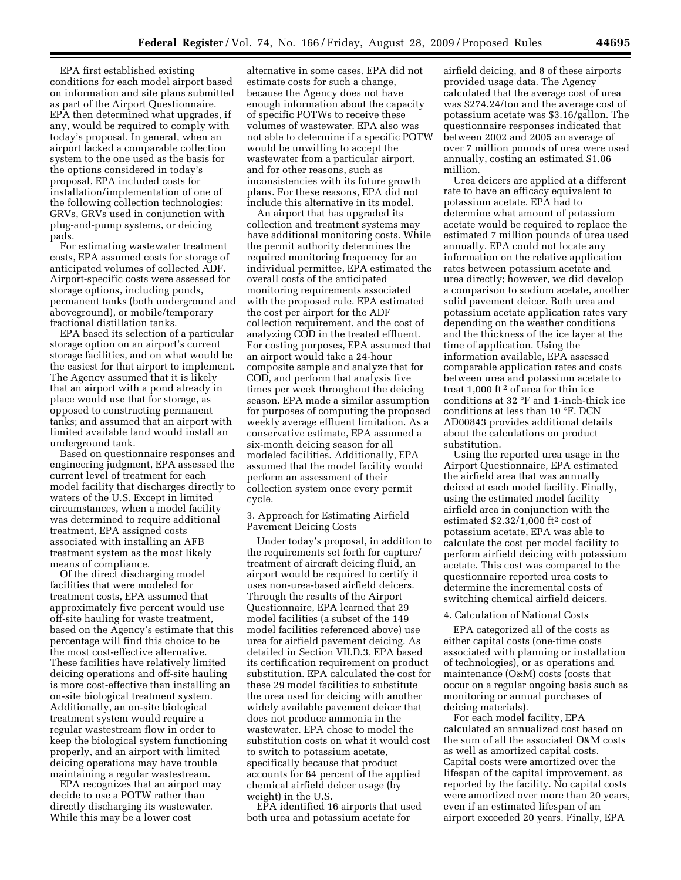EPA first established existing conditions for each model airport based on information and site plans submitted as part of the Airport Questionnaire. EPA then determined what upgrades, if any, would be required to comply with today's proposal. In general, when an airport lacked a comparable collection system to the one used as the basis for the options considered in today's proposal, EPA included costs for installation/implementation of one of the following collection technologies: GRVs, GRVs used in conjunction with plug-and-pump systems, or deicing pads.

For estimating wastewater treatment costs, EPA assumed costs for storage of anticipated volumes of collected ADF. Airport-specific costs were assessed for storage options, including ponds, permanent tanks (both underground and aboveground), or mobile/temporary fractional distillation tanks.

EPA based its selection of a particular storage option on an airport's current storage facilities, and on what would be the easiest for that airport to implement. The Agency assumed that it is likely that an airport with a pond already in place would use that for storage, as opposed to constructing permanent tanks; and assumed that an airport with limited available land would install an underground tank.

Based on questionnaire responses and engineering judgment, EPA assessed the current level of treatment for each model facility that discharges directly to waters of the U.S. Except in limited circumstances, when a model facility was determined to require additional treatment, EPA assigned costs associated with installing an AFB treatment system as the most likely means of compliance.

Of the direct discharging model facilities that were modeled for treatment costs, EPA assumed that approximately five percent would use off-site hauling for waste treatment, based on the Agency's estimate that this percentage will find this choice to be the most cost-effective alternative. These facilities have relatively limited deicing operations and off-site hauling is more cost-effective than installing an on-site biological treatment system. Additionally, an on-site biological treatment system would require a regular wastestream flow in order to keep the biological system functioning properly, and an airport with limited deicing operations may have trouble maintaining a regular wastestream.

EPA recognizes that an airport may decide to use a POTW rather than directly discharging its wastewater. While this may be a lower cost

alternative in some cases, EPA did not estimate costs for such a change, because the Agency does not have enough information about the capacity of specific POTWs to receive these volumes of wastewater. EPA also was not able to determine if a specific POTW would be unwilling to accept the wastewater from a particular airport, and for other reasons, such as inconsistencies with its future growth plans. For these reasons, EPA did not include this alternative in its model.

An airport that has upgraded its collection and treatment systems may have additional monitoring costs. While the permit authority determines the required monitoring frequency for an individual permittee, EPA estimated the overall costs of the anticipated monitoring requirements associated with the proposed rule. EPA estimated the cost per airport for the ADF collection requirement, and the cost of analyzing COD in the treated effluent. For costing purposes, EPA assumed that an airport would take a 24-hour composite sample and analyze that for COD, and perform that analysis five times per week throughout the deicing season. EPA made a similar assumption for purposes of computing the proposed weekly average effluent limitation. As a conservative estimate, EPA assumed a six-month deicing season for all modeled facilities. Additionally, EPA assumed that the model facility would perform an assessment of their collection system once every permit cycle.

3. Approach for Estimating Airfield Pavement Deicing Costs

Under today's proposal, in addition to the requirements set forth for capture/ treatment of aircraft deicing fluid, an airport would be required to certify it uses non-urea-based airfield deicers. Through the results of the Airport Questionnaire, EPA learned that 29 model facilities (a subset of the 149 model facilities referenced above) use urea for airfield pavement deicing. As detailed in Section VII.D.3, EPA based its certification requirement on product substitution. EPA calculated the cost for these 29 model facilities to substitute the urea used for deicing with another widely available pavement deicer that does not produce ammonia in the wastewater. EPA chose to model the substitution costs on what it would cost to switch to potassium acetate, specifically because that product accounts for 64 percent of the applied chemical airfield deicer usage (by weight) in the U.S.

EPA identified 16 airports that used both urea and potassium acetate for

airfield deicing, and 8 of these airports provided usage data. The Agency calculated that the average cost of urea was \$274.24/ton and the average cost of potassium acetate was \$3.16/gallon. The questionnaire responses indicated that between 2002 and 2005 an average of over 7 million pounds of urea were used annually, costing an estimated \$1.06 million.

Urea deicers are applied at a different rate to have an efficacy equivalent to potassium acetate. EPA had to determine what amount of potassium acetate would be required to replace the estimated 7 million pounds of urea used annually. EPA could not locate any information on the relative application rates between potassium acetate and urea directly; however, we did develop a comparison to sodium acetate, another solid pavement deicer. Both urea and potassium acetate application rates vary depending on the weather conditions and the thickness of the ice layer at the time of application. Using the information available, EPA assessed comparable application rates and costs between urea and potassium acetate to treat 1,000 ft 2 of area for thin ice conditions at 32 °F and 1-inch-thick ice conditions at less than 10 °F. DCN AD00843 provides additional details about the calculations on product substitution.

Using the reported urea usage in the Airport Questionnaire, EPA estimated the airfield area that was annually deiced at each model facility. Finally, using the estimated model facility airfield area in conjunction with the estimated \$2.32/1,000 ft2 cost of potassium acetate, EPA was able to calculate the cost per model facility to perform airfield deicing with potassium acetate. This cost was compared to the questionnaire reported urea costs to determine the incremental costs of switching chemical airfield deicers.

#### 4. Calculation of National Costs

EPA categorized all of the costs as either capital costs (one-time costs associated with planning or installation of technologies), or as operations and maintenance (O&M) costs (costs that occur on a regular ongoing basis such as monitoring or annual purchases of deicing materials).

For each model facility, EPA calculated an annualized cost based on the sum of all the associated O&M costs as well as amortized capital costs. Capital costs were amortized over the lifespan of the capital improvement, as reported by the facility. No capital costs were amortized over more than 20 years, even if an estimated lifespan of an airport exceeded 20 years. Finally, EPA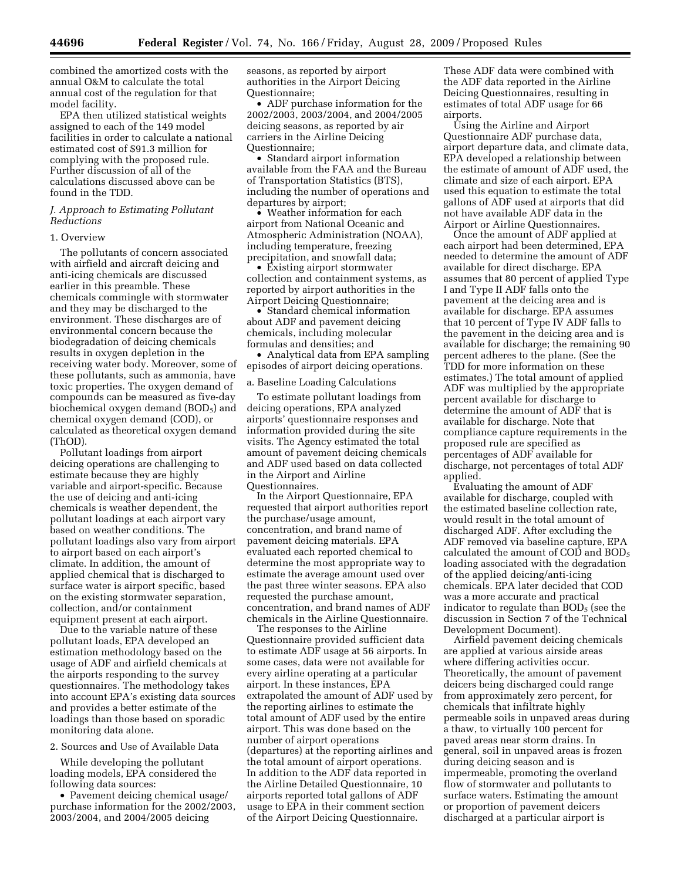combined the amortized costs with the annual O&M to calculate the total annual cost of the regulation for that model facility.

EPA then utilized statistical weights assigned to each of the 149 model facilities in order to calculate a national estimated cost of \$91.3 million for complying with the proposed rule. Further discussion of all of the calculations discussed above can be found in the TDD.

## *J. Approach to Estimating Pollutant Reductions*

#### 1. Overview

The pollutants of concern associated with airfield and aircraft deicing and anti-icing chemicals are discussed earlier in this preamble. These chemicals commingle with stormwater and they may be discharged to the environment. These discharges are of environmental concern because the biodegradation of deicing chemicals results in oxygen depletion in the receiving water body. Moreover, some of these pollutants, such as ammonia, have toxic properties. The oxygen demand of compounds can be measured as five-day biochemical oxygen demand (BOD<sub>5</sub>) and chemical oxygen demand (COD), or calculated as theoretical oxygen demand (ThOD).

Pollutant loadings from airport deicing operations are challenging to estimate because they are highly variable and airport-specific. Because the use of deicing and anti-icing chemicals is weather dependent, the pollutant loadings at each airport vary based on weather conditions. The pollutant loadings also vary from airport to airport based on each airport's climate. In addition, the amount of applied chemical that is discharged to surface water is airport specific, based on the existing stormwater separation, collection, and/or containment equipment present at each airport.

Due to the variable nature of these pollutant loads, EPA developed an estimation methodology based on the usage of ADF and airfield chemicals at the airports responding to the survey questionnaires. The methodology takes into account EPA's existing data sources and provides a better estimate of the loadings than those based on sporadic monitoring data alone.

## 2. Sources and Use of Available Data

While developing the pollutant loading models, EPA considered the following data sources:

• Pavement deicing chemical usage/ purchase information for the 2002/2003, 2003/2004, and 2004/2005 deicing

seasons, as reported by airport authorities in the Airport Deicing Questionnaire;

• ADF purchase information for the 2002/2003, 2003/2004, and 2004/2005 deicing seasons, as reported by air carriers in the Airline Deicing Questionnaire;

• Standard airport information available from the FAA and the Bureau of Transportation Statistics (BTS), including the number of operations and departures by airport;

• Weather information for each airport from National Oceanic and Atmospheric Administration (NOAA), including temperature, freezing precipitation, and snowfall data;

• Existing airport stormwater collection and containment systems, as reported by airport authorities in the Airport Deicing Questionnaire;

• Standard chemical information about ADF and pavement deicing chemicals, including molecular formulas and densities; and

• Analytical data from EPA sampling episodes of airport deicing operations.

#### a. Baseline Loading Calculations

To estimate pollutant loadings from deicing operations, EPA analyzed airports' questionnaire responses and information provided during the site visits. The Agency estimated the total amount of pavement deicing chemicals and ADF used based on data collected in the Airport and Airline Questionnaires.

In the Airport Questionnaire, EPA requested that airport authorities report the purchase/usage amount, concentration, and brand name of pavement deicing materials. EPA evaluated each reported chemical to determine the most appropriate way to estimate the average amount used over the past three winter seasons. EPA also requested the purchase amount, concentration, and brand names of ADF chemicals in the Airline Questionnaire.

The responses to the Airline Questionnaire provided sufficient data to estimate ADF usage at 56 airports. In some cases, data were not available for every airline operating at a particular airport. In these instances, EPA extrapolated the amount of ADF used by the reporting airlines to estimate the total amount of ADF used by the entire airport. This was done based on the number of airport operations (departures) at the reporting airlines and the total amount of airport operations. In addition to the ADF data reported in the Airline Detailed Questionnaire, 10 airports reported total gallons of ADF usage to EPA in their comment section of the Airport Deicing Questionnaire.

These ADF data were combined with the ADF data reported in the Airline Deicing Questionnaires, resulting in estimates of total ADF usage for 66 airports.

Using the Airline and Airport Questionnaire ADF purchase data, airport departure data, and climate data, EPA developed a relationship between the estimate of amount of ADF used, the climate and size of each airport. EPA used this equation to estimate the total gallons of ADF used at airports that did not have available ADF data in the Airport or Airline Questionnaires.

Once the amount of ADF applied at each airport had been determined, EPA needed to determine the amount of ADF available for direct discharge. EPA assumes that 80 percent of applied Type I and Type II ADF falls onto the pavement at the deicing area and is available for discharge. EPA assumes that 10 percent of Type IV ADF falls to the pavement in the deicing area and is available for discharge; the remaining 90 percent adheres to the plane. (See the TDD for more information on these estimates.) The total amount of applied ADF was multiplied by the appropriate percent available for discharge to determine the amount of ADF that is available for discharge. Note that compliance capture requirements in the proposed rule are specified as percentages of ADF available for discharge, not percentages of total ADF applied.

Evaluating the amount of ADF available for discharge, coupled with the estimated baseline collection rate, would result in the total amount of discharged ADF. After excluding the ADF removed via baseline capture, EPA calculated the amount of COD and BOD5 loading associated with the degradation of the applied deicing/anti-icing chemicals. EPA later decided that COD was a more accurate and practical indicator to regulate than  $BOD<sub>5</sub>$  (see the discussion in Section 7 of the Technical Development Document).

Airfield pavement deicing chemicals are applied at various airside areas where differing activities occur. Theoretically, the amount of pavement deicers being discharged could range from approximately zero percent, for chemicals that infiltrate highly permeable soils in unpaved areas during a thaw, to virtually 100 percent for paved areas near storm drains. In general, soil in unpaved areas is frozen during deicing season and is impermeable, promoting the overland flow of stormwater and pollutants to surface waters. Estimating the amount or proportion of pavement deicers discharged at a particular airport is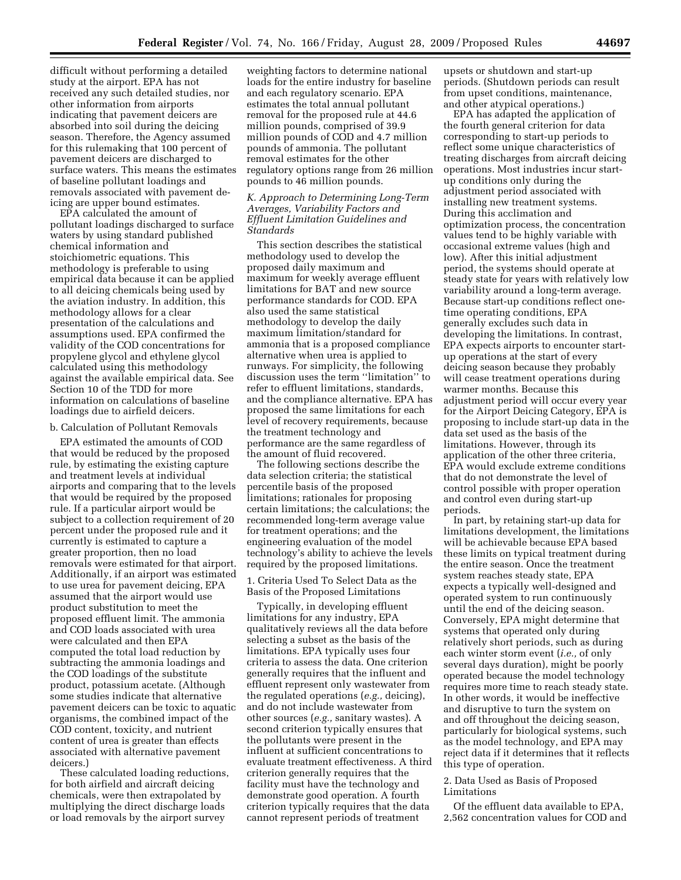difficult without performing a detailed study at the airport. EPA has not received any such detailed studies, nor other information from airports indicating that pavement deicers are absorbed into soil during the deicing season. Therefore, the Agency assumed for this rulemaking that 100 percent of pavement deicers are discharged to surface waters. This means the estimates of baseline pollutant loadings and removals associated with pavement deicing are upper bound estimates.

EPA calculated the amount of pollutant loadings discharged to surface waters by using standard published chemical information and stoichiometric equations. This methodology is preferable to using empirical data because it can be applied to all deicing chemicals being used by the aviation industry. In addition, this methodology allows for a clear presentation of the calculations and assumptions used. EPA confirmed the validity of the COD concentrations for propylene glycol and ethylene glycol calculated using this methodology against the available empirical data. See Section 10 of the TDD for more information on calculations of baseline loadings due to airfield deicers.

#### b. Calculation of Pollutant Removals

EPA estimated the amounts of COD that would be reduced by the proposed rule, by estimating the existing capture and treatment levels at individual airports and comparing that to the levels that would be required by the proposed rule. If a particular airport would be subject to a collection requirement of 20 percent under the proposed rule and it currently is estimated to capture a greater proportion, then no load removals were estimated for that airport. Additionally, if an airport was estimated to use urea for pavement deicing, EPA assumed that the airport would use product substitution to meet the proposed effluent limit. The ammonia and COD loads associated with urea were calculated and then EPA computed the total load reduction by subtracting the ammonia loadings and the COD loadings of the substitute product, potassium acetate. (Although some studies indicate that alternative pavement deicers can be toxic to aquatic organisms, the combined impact of the COD content, toxicity, and nutrient content of urea is greater than effects associated with alternative pavement deicers.)

These calculated loading reductions, for both airfield and aircraft deicing chemicals, were then extrapolated by multiplying the direct discharge loads or load removals by the airport survey

weighting factors to determine national loads for the entire industry for baseline and each regulatory scenario. EPA estimates the total annual pollutant removal for the proposed rule at 44.6 million pounds, comprised of 39.9 million pounds of COD and 4.7 million pounds of ammonia. The pollutant removal estimates for the other regulatory options range from 26 million pounds to 46 million pounds.

## *K. Approach to Determining Long-Term Averages, Variability Factors and Effluent Limitation Guidelines and Standards*

This section describes the statistical methodology used to develop the proposed daily maximum and maximum for weekly average effluent limitations for BAT and new source performance standards for COD. EPA also used the same statistical methodology to develop the daily maximum limitation/standard for ammonia that is a proposed compliance alternative when urea is applied to runways. For simplicity, the following discussion uses the term ''limitation'' to refer to effluent limitations, standards, and the compliance alternative. EPA has proposed the same limitations for each level of recovery requirements, because the treatment technology and performance are the same regardless of the amount of fluid recovered.

The following sections describe the data selection criteria; the statistical percentile basis of the proposed limitations; rationales for proposing certain limitations; the calculations; the recommended long-term average value for treatment operations; and the engineering evaluation of the model technology's ability to achieve the levels required by the proposed limitations.

## 1. Criteria Used To Select Data as the Basis of the Proposed Limitations

Typically, in developing effluent limitations for any industry, EPA qualitatively reviews all the data before selecting a subset as the basis of the limitations. EPA typically uses four criteria to assess the data. One criterion generally requires that the influent and effluent represent only wastewater from the regulated operations (*e.g.,* deicing), and do not include wastewater from other sources (*e.g.,* sanitary wastes). A second criterion typically ensures that the pollutants were present in the influent at sufficient concentrations to evaluate treatment effectiveness. A third criterion generally requires that the facility must have the technology and demonstrate good operation. A fourth criterion typically requires that the data cannot represent periods of treatment

upsets or shutdown and start-up periods. (Shutdown periods can result from upset conditions, maintenance, and other atypical operations.)

EPA has adapted the application of the fourth general criterion for data corresponding to start-up periods to reflect some unique characteristics of treating discharges from aircraft deicing operations. Most industries incur startup conditions only during the adjustment period associated with installing new treatment systems. During this acclimation and optimization process, the concentration values tend to be highly variable with occasional extreme values (high and low). After this initial adjustment period, the systems should operate at steady state for years with relatively low variability around a long-term average. Because start-up conditions reflect onetime operating conditions, EPA generally excludes such data in developing the limitations. In contrast, EPA expects airports to encounter startup operations at the start of every deicing season because they probably will cease treatment operations during warmer months. Because this adjustment period will occur every year for the Airport Deicing Category, EPA is proposing to include start-up data in the data set used as the basis of the limitations. However, through its application of the other three criteria, EPA would exclude extreme conditions that do not demonstrate the level of control possible with proper operation and control even during start-up periods.

In part, by retaining start-up data for limitations development, the limitations will be achievable because EPA based these limits on typical treatment during the entire season. Once the treatment system reaches steady state, EPA expects a typically well-designed and operated system to run continuously until the end of the deicing season. Conversely, EPA might determine that systems that operated only during relatively short periods, such as during each winter storm event (*i.e.,* of only several days duration), might be poorly operated because the model technology requires more time to reach steady state. In other words, it would be ineffective and disruptive to turn the system on and off throughout the deicing season, particularly for biological systems, such as the model technology, and EPA may reject data if it determines that it reflects this type of operation.

## 2. Data Used as Basis of Proposed Limitations

Of the effluent data available to EPA, 2,562 concentration values for COD and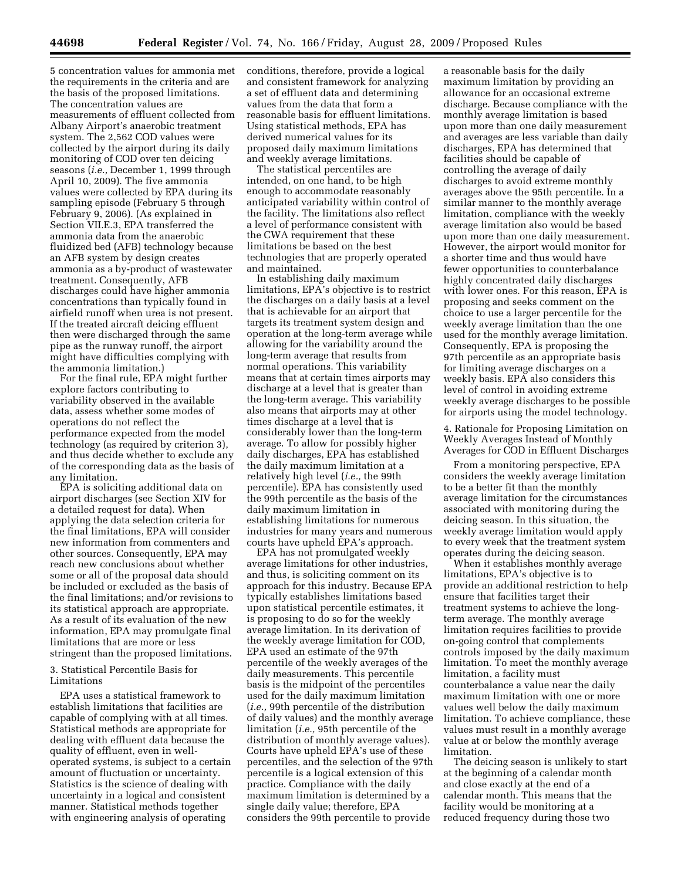5 concentration values for ammonia met the requirements in the criteria and are the basis of the proposed limitations. The concentration values are measurements of effluent collected from Albany Airport's anaerobic treatment system. The 2,562 COD values were collected by the airport during its daily monitoring of COD over ten deicing seasons (*i.e.,* December 1, 1999 through April 10, 2009). The five ammonia values were collected by EPA during its sampling episode (February 5 through February 9, 2006). (As explained in Section VII.E.3, EPA transferred the ammonia data from the anaerobic fluidized bed (AFB) technology because an AFB system by design creates ammonia as a by-product of wastewater treatment. Consequently, AFB discharges could have higher ammonia concentrations than typically found in airfield runoff when urea is not present. If the treated aircraft deicing effluent then were discharged through the same pipe as the runway runoff, the airport might have difficulties complying with the ammonia limitation.)

For the final rule, EPA might further explore factors contributing to variability observed in the available data, assess whether some modes of operations do not reflect the performance expected from the model technology (as required by criterion 3), and thus decide whether to exclude any of the corresponding data as the basis of any limitation.

EPA is soliciting additional data on airport discharges (see Section XIV for a detailed request for data). When applying the data selection criteria for the final limitations, EPA will consider new information from commenters and other sources. Consequently, EPA may reach new conclusions about whether some or all of the proposal data should be included or excluded as the basis of the final limitations; and/or revisions to its statistical approach are appropriate. As a result of its evaluation of the new information, EPA may promulgate final limitations that are more or less stringent than the proposed limitations.

3. Statistical Percentile Basis for Limitations

EPA uses a statistical framework to establish limitations that facilities are capable of complying with at all times. Statistical methods are appropriate for dealing with effluent data because the quality of effluent, even in welloperated systems, is subject to a certain amount of fluctuation or uncertainty. Statistics is the science of dealing with uncertainty in a logical and consistent manner. Statistical methods together with engineering analysis of operating

conditions, therefore, provide a logical and consistent framework for analyzing a set of effluent data and determining values from the data that form a reasonable basis for effluent limitations. Using statistical methods, EPA has derived numerical values for its proposed daily maximum limitations and weekly average limitations.

The statistical percentiles are intended, on one hand, to be high enough to accommodate reasonably anticipated variability within control of the facility. The limitations also reflect a level of performance consistent with the CWA requirement that these limitations be based on the best technologies that are properly operated and maintained.

In establishing daily maximum limitations, EPA's objective is to restrict the discharges on a daily basis at a level that is achievable for an airport that targets its treatment system design and operation at the long-term average while allowing for the variability around the long-term average that results from normal operations. This variability means that at certain times airports may discharge at a level that is greater than the long-term average. This variability also means that airports may at other times discharge at a level that is considerably lower than the long-term average. To allow for possibly higher daily discharges, EPA has established the daily maximum limitation at a relatively high level (*i.e.,* the 99th percentile). EPA has consistently used the 99th percentile as the basis of the daily maximum limitation in establishing limitations for numerous industries for many years and numerous courts have upheld EPA's approach.

EPA has not promulgated weekly average limitations for other industries, and thus, is soliciting comment on its approach for this industry. Because EPA typically establishes limitations based upon statistical percentile estimates, it is proposing to do so for the weekly average limitation. In its derivation of the weekly average limitation for COD, EPA used an estimate of the 97th percentile of the weekly averages of the daily measurements. This percentile basis is the midpoint of the percentiles used for the daily maximum limitation (*i.e.,* 99th percentile of the distribution of daily values) and the monthly average limitation (*i.e.,* 95th percentile of the distribution of monthly average values). Courts have upheld EPA's use of these percentiles, and the selection of the 97th percentile is a logical extension of this practice. Compliance with the daily maximum limitation is determined by a single daily value; therefore, EPA considers the 99th percentile to provide

a reasonable basis for the daily maximum limitation by providing an allowance for an occasional extreme discharge. Because compliance with the monthly average limitation is based upon more than one daily measurement and averages are less variable than daily discharges, EPA has determined that facilities should be capable of controlling the average of daily discharges to avoid extreme monthly averages above the 95th percentile. In a similar manner to the monthly average limitation, compliance with the weekly average limitation also would be based upon more than one daily measurement. However, the airport would monitor for a shorter time and thus would have fewer opportunities to counterbalance highly concentrated daily discharges with lower ones. For this reason, EPA is proposing and seeks comment on the choice to use a larger percentile for the weekly average limitation than the one used for the monthly average limitation. Consequently, EPA is proposing the 97th percentile as an appropriate basis for limiting average discharges on a weekly basis. EPA also considers this level of control in avoiding extreme weekly average discharges to be possible for airports using the model technology.

4. Rationale for Proposing Limitation on Weekly Averages Instead of Monthly Averages for COD in Effluent Discharges

From a monitoring perspective, EPA considers the weekly average limitation to be a better fit than the monthly average limitation for the circumstances associated with monitoring during the deicing season. In this situation, the weekly average limitation would apply to every week that the treatment system operates during the deicing season.

When it establishes monthly average limitations, EPA's objective is to provide an additional restriction to help ensure that facilities target their treatment systems to achieve the longterm average. The monthly average limitation requires facilities to provide on-going control that complements controls imposed by the daily maximum limitation. To meet the monthly average limitation, a facility must counterbalance a value near the daily maximum limitation with one or more values well below the daily maximum limitation. To achieve compliance, these values must result in a monthly average value at or below the monthly average limitation.

The deicing season is unlikely to start at the beginning of a calendar month and close exactly at the end of a calendar month. This means that the facility would be monitoring at a reduced frequency during those two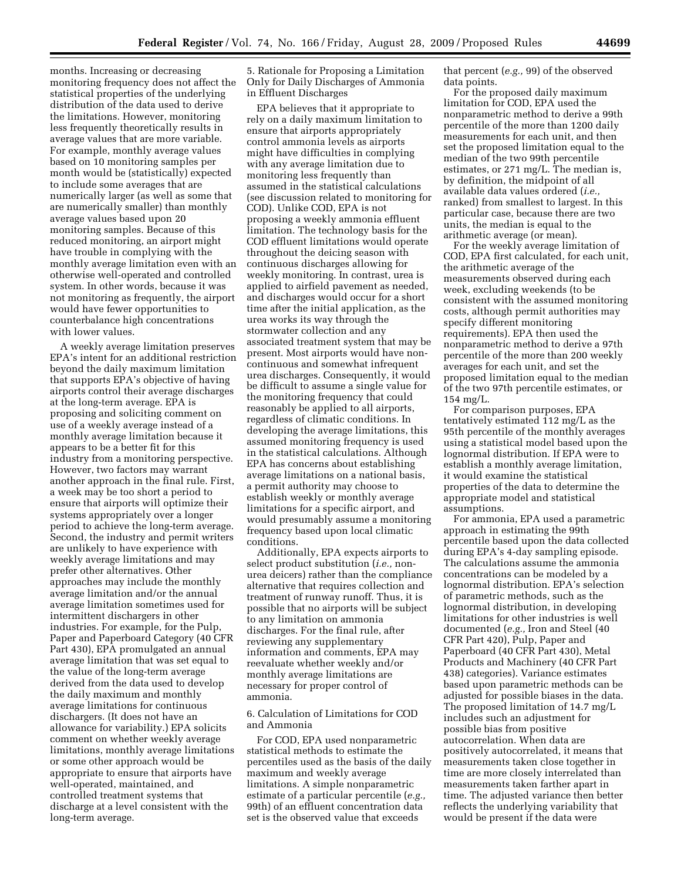months. Increasing or decreasing monitoring frequency does not affect the statistical properties of the underlying distribution of the data used to derive the limitations. However, monitoring less frequently theoretically results in average values that are more variable. For example, monthly average values based on 10 monitoring samples per month would be (statistically) expected to include some averages that are numerically larger (as well as some that are numerically smaller) than monthly average values based upon 20 monitoring samples. Because of this reduced monitoring, an airport might have trouble in complying with the monthly average limitation even with an otherwise well-operated and controlled system. In other words, because it was not monitoring as frequently, the airport would have fewer opportunities to counterbalance high concentrations with lower values.

A weekly average limitation preserves EPA's intent for an additional restriction beyond the daily maximum limitation that supports EPA's objective of having airports control their average discharges at the long-term average. EPA is proposing and soliciting comment on use of a weekly average instead of a monthly average limitation because it appears to be a better fit for this industry from a monitoring perspective. However, two factors may warrant another approach in the final rule. First, a week may be too short a period to ensure that airports will optimize their systems appropriately over a longer period to achieve the long-term average. Second, the industry and permit writers are unlikely to have experience with weekly average limitations and may prefer other alternatives. Other approaches may include the monthly average limitation and/or the annual average limitation sometimes used for intermittent dischargers in other industries. For example, for the Pulp, Paper and Paperboard Category (40 CFR Part 430), EPA promulgated an annual average limitation that was set equal to the value of the long-term average derived from the data used to develop the daily maximum and monthly average limitations for continuous dischargers. (It does not have an allowance for variability.) EPA solicits comment on whether weekly average limitations, monthly average limitations or some other approach would be appropriate to ensure that airports have well-operated, maintained, and controlled treatment systems that discharge at a level consistent with the long-term average.

5. Rationale for Proposing a Limitation Only for Daily Discharges of Ammonia in Effluent Discharges

EPA believes that it appropriate to rely on a daily maximum limitation to ensure that airports appropriately control ammonia levels as airports might have difficulties in complying with any average limitation due to monitoring less frequently than assumed in the statistical calculations (see discussion related to monitoring for COD). Unlike COD, EPA is not proposing a weekly ammonia effluent limitation. The technology basis for the COD effluent limitations would operate throughout the deicing season with continuous discharges allowing for weekly monitoring. In contrast, urea is applied to airfield pavement as needed, and discharges would occur for a short time after the initial application, as the urea works its way through the stormwater collection and any associated treatment system that may be present. Most airports would have noncontinuous and somewhat infrequent urea discharges. Consequently, it would be difficult to assume a single value for the monitoring frequency that could reasonably be applied to all airports, regardless of climatic conditions. In developing the average limitations, this assumed monitoring frequency is used in the statistical calculations. Although EPA has concerns about establishing average limitations on a national basis, a permit authority may choose to establish weekly or monthly average limitations for a specific airport, and would presumably assume a monitoring frequency based upon local climatic conditions.

Additionally, EPA expects airports to select product substitution (*i.e.,* nonurea deicers) rather than the compliance alternative that requires collection and treatment of runway runoff. Thus, it is possible that no airports will be subject to any limitation on ammonia discharges. For the final rule, after reviewing any supplementary information and comments, EPA may reevaluate whether weekly and/or monthly average limitations are necessary for proper control of ammonia.

## 6. Calculation of Limitations for COD and Ammonia

For COD, EPA used nonparametric statistical methods to estimate the percentiles used as the basis of the daily maximum and weekly average limitations. A simple nonparametric estimate of a particular percentile (*e.g.,*  99th) of an effluent concentration data set is the observed value that exceeds

that percent (*e.g.,* 99) of the observed data points.

For the proposed daily maximum limitation for COD, EPA used the nonparametric method to derive a 99th percentile of the more than 1200 daily measurements for each unit, and then set the proposed limitation equal to the median of the two 99th percentile estimates, or 271 mg/L. The median is, by definition, the midpoint of all available data values ordered (*i.e.,*  ranked) from smallest to largest. In this particular case, because there are two units, the median is equal to the arithmetic average (or mean).

For the weekly average limitation of COD, EPA first calculated, for each unit, the arithmetic average of the measurements observed during each week, excluding weekends (to be consistent with the assumed monitoring costs, although permit authorities may specify different monitoring requirements). EPA then used the nonparametric method to derive a 97th percentile of the more than 200 weekly averages for each unit, and set the proposed limitation equal to the median of the two 97th percentile estimates, or 154 mg/L.

For comparison purposes, EPA tentatively estimated 112 mg/L as the 95th percentile of the monthly averages using a statistical model based upon the lognormal distribution. If EPA were to establish a monthly average limitation, it would examine the statistical properties of the data to determine the appropriate model and statistical assumptions.

For ammonia, EPA used a parametric approach in estimating the 99th percentile based upon the data collected during EPA's 4-day sampling episode. The calculations assume the ammonia concentrations can be modeled by a lognormal distribution. EPA's selection of parametric methods, such as the lognormal distribution, in developing limitations for other industries is well documented (*e.g.,* Iron and Steel (40 CFR Part 420), Pulp, Paper and Paperboard (40 CFR Part 430), Metal Products and Machinery (40 CFR Part 438) categories). Variance estimates based upon parametric methods can be adjusted for possible biases in the data. The proposed limitation of 14.7 mg/L includes such an adjustment for possible bias from positive autocorrelation. When data are positively autocorrelated, it means that measurements taken close together in time are more closely interrelated than measurements taken farther apart in time. The adjusted variance then better reflects the underlying variability that would be present if the data were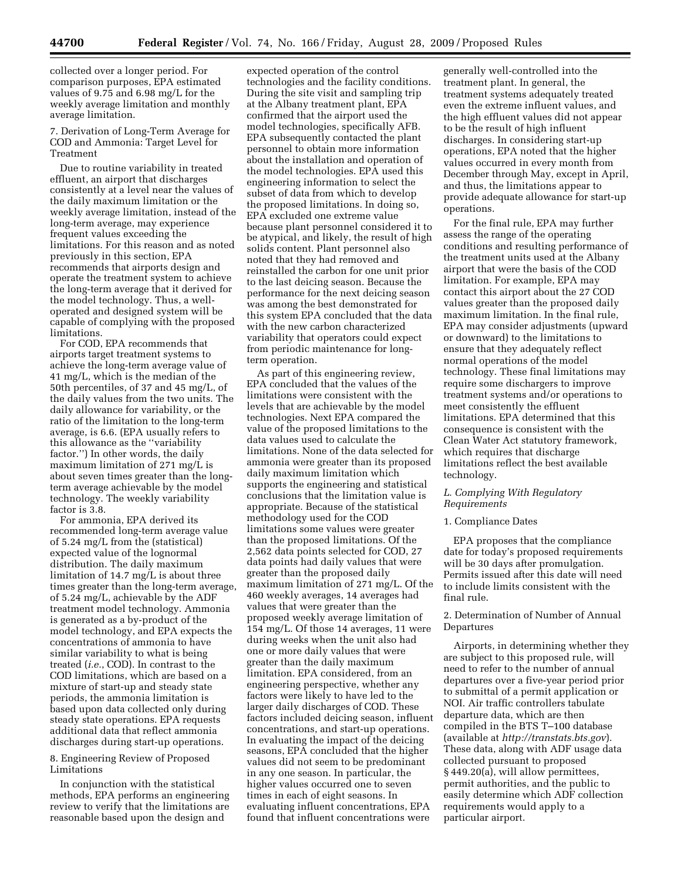collected over a longer period. For comparison purposes, EPA estimated values of 9.75 and 6.98 mg/L for the weekly average limitation and monthly average limitation.

7. Derivation of Long-Term Average for COD and Ammonia: Target Level for Treatment

Due to routine variability in treated effluent, an airport that discharges consistently at a level near the values of the daily maximum limitation or the weekly average limitation, instead of the long-term average, may experience frequent values exceeding the limitations. For this reason and as noted previously in this section, EPA recommends that airports design and operate the treatment system to achieve the long-term average that it derived for the model technology. Thus, a welloperated and designed system will be capable of complying with the proposed limitations.

For COD, EPA recommends that airports target treatment systems to achieve the long-term average value of 41 mg/L, which is the median of the 50th percentiles, of 37 and 45 mg/L, of the daily values from the two units. The daily allowance for variability, or the ratio of the limitation to the long-term average, is 6.6. (EPA usually refers to this allowance as the ''variability factor.'') In other words, the daily maximum limitation of 271 mg/L is about seven times greater than the longterm average achievable by the model technology. The weekly variability factor is 3.8.

For ammonia, EPA derived its recommended long-term average value of 5.24 mg/L from the (statistical) expected value of the lognormal distribution. The daily maximum limitation of 14.7 mg/L is about three times greater than the long-term average, of 5.24 mg/L, achievable by the ADF treatment model technology. Ammonia is generated as a by-product of the model technology, and EPA expects the concentrations of ammonia to have similar variability to what is being treated (*i.e.*, COD). In contrast to the COD limitations, which are based on a mixture of start-up and steady state periods, the ammonia limitation is based upon data collected only during steady state operations. EPA requests additional data that reflect ammonia discharges during start-up operations.

8. Engineering Review of Proposed Limitations

In conjunction with the statistical methods, EPA performs an engineering review to verify that the limitations are reasonable based upon the design and

expected operation of the control technologies and the facility conditions. During the site visit and sampling trip at the Albany treatment plant, EPA confirmed that the airport used the model technologies, specifically AFB. EPA subsequently contacted the plant personnel to obtain more information about the installation and operation of the model technologies. EPA used this engineering information to select the subset of data from which to develop the proposed limitations. In doing so, EPA excluded one extreme value because plant personnel considered it to be atypical, and likely, the result of high solids content. Plant personnel also noted that they had removed and reinstalled the carbon for one unit prior to the last deicing season. Because the performance for the next deicing season was among the best demonstrated for this system EPA concluded that the data with the new carbon characterized variability that operators could expect from periodic maintenance for longterm operation.

As part of this engineering review, EPA concluded that the values of the limitations were consistent with the levels that are achievable by the model technologies. Next EPA compared the value of the proposed limitations to the data values used to calculate the limitations. None of the data selected for ammonia were greater than its proposed daily maximum limitation which supports the engineering and statistical conclusions that the limitation value is appropriate. Because of the statistical methodology used for the COD limitations some values were greater than the proposed limitations. Of the 2,562 data points selected for COD, 27 data points had daily values that were greater than the proposed daily maximum limitation of 271 mg/L. Of the 460 weekly averages, 14 averages had values that were greater than the proposed weekly average limitation of 154 mg/L. Of those 14 averages, 11 were during weeks when the unit also had one or more daily values that were greater than the daily maximum limitation. EPA considered, from an engineering perspective, whether any factors were likely to have led to the larger daily discharges of COD. These factors included deicing season, influent concentrations, and start-up operations. In evaluating the impact of the deicing seasons, EPA concluded that the higher values did not seem to be predominant in any one season. In particular, the higher values occurred one to seven times in each of eight seasons. In evaluating influent concentrations, EPA found that influent concentrations were

generally well-controlled into the treatment plant. In general, the treatment systems adequately treated even the extreme influent values, and the high effluent values did not appear to be the result of high influent discharges. In considering start-up operations, EPA noted that the higher values occurred in every month from December through May, except in April, and thus, the limitations appear to provide adequate allowance for start-up operations.

For the final rule, EPA may further assess the range of the operating conditions and resulting performance of the treatment units used at the Albany airport that were the basis of the COD limitation. For example, EPA may contact this airport about the 27 COD values greater than the proposed daily maximum limitation. In the final rule, EPA may consider adjustments (upward or downward) to the limitations to ensure that they adequately reflect normal operations of the model technology. These final limitations may require some dischargers to improve treatment systems and/or operations to meet consistently the effluent limitations. EPA determined that this consequence is consistent with the Clean Water Act statutory framework, which requires that discharge limitations reflect the best available technology.

## *L. Complying With Regulatory Requirements*

## 1. Compliance Dates

EPA proposes that the compliance date for today's proposed requirements will be 30 days after promulgation. Permits issued after this date will need to include limits consistent with the final rule.

## 2. Determination of Number of Annual Departures

Airports, in determining whether they are subject to this proposed rule, will need to refer to the number of annual departures over a five-year period prior to submittal of a permit application or NOI. Air traffic controllers tabulate departure data, which are then compiled in the BTS T–100 database (available at *<http://transtats.bts.gov>*). These data, along with ADF usage data collected pursuant to proposed § 449.20(a), will allow permittees, permit authorities, and the public to easily determine which ADF collection requirements would apply to a particular airport.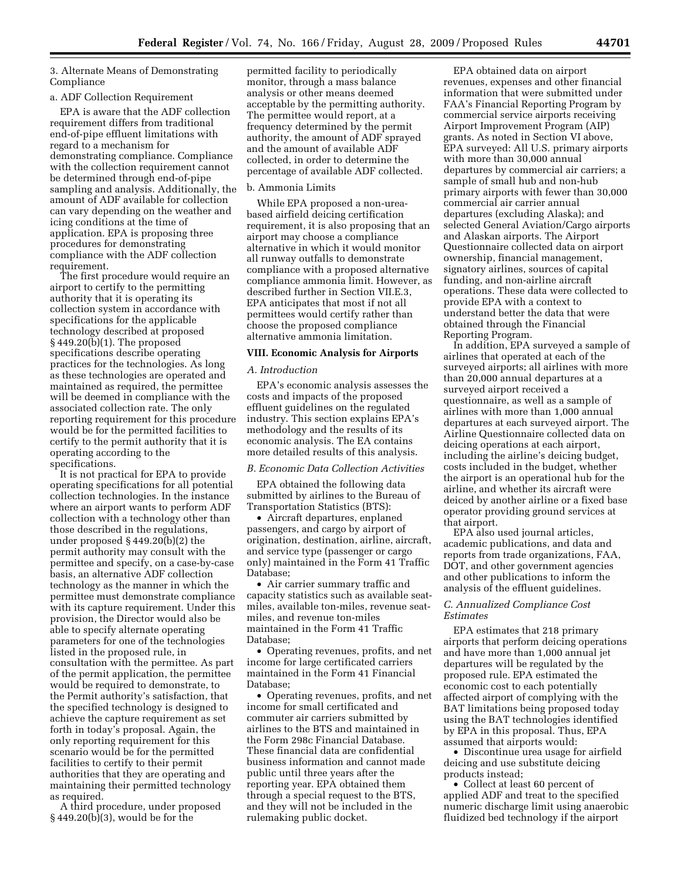3. Alternate Means of Demonstrating Compliance

#### a. ADF Collection Requirement

EPA is aware that the ADF collection requirement differs from traditional end-of-pipe effluent limitations with regard to a mechanism for demonstrating compliance. Compliance with the collection requirement cannot be determined through end-of-pipe sampling and analysis. Additionally, the amount of ADF available for collection can vary depending on the weather and icing conditions at the time of application. EPA is proposing three procedures for demonstrating compliance with the ADF collection requirement.

The first procedure would require an airport to certify to the permitting authority that it is operating its collection system in accordance with specifications for the applicable technology described at proposed § 449.20(b)(1). The proposed specifications describe operating practices for the technologies. As long as these technologies are operated and maintained as required, the permittee will be deemed in compliance with the associated collection rate. The only reporting requirement for this procedure would be for the permitted facilities to certify to the permit authority that it is operating according to the specifications.

It is not practical for EPA to provide operating specifications for all potential collection technologies. In the instance where an airport wants to perform ADF collection with a technology other than those described in the regulations, under proposed § 449.20(b)(2) the permit authority may consult with the permittee and specify, on a case-by-case basis, an alternative ADF collection technology as the manner in which the permittee must demonstrate compliance with its capture requirement. Under this provision, the Director would also be able to specify alternate operating parameters for one of the technologies listed in the proposed rule, in consultation with the permittee. As part of the permit application, the permittee would be required to demonstrate, to the Permit authority's satisfaction, that the specified technology is designed to achieve the capture requirement as set forth in today's proposal. Again, the only reporting requirement for this scenario would be for the permitted facilities to certify to their permit authorities that they are operating and maintaining their permitted technology as required.

A third procedure, under proposed § 449.20(b)(3), would be for the

permitted facility to periodically monitor, through a mass balance analysis or other means deemed acceptable by the permitting authority. The permittee would report, at a frequency determined by the permit authority, the amount of ADF sprayed and the amount of available ADF collected, in order to determine the percentage of available ADF collected.

## b. Ammonia Limits

While EPA proposed a non-ureabased airfield deicing certification requirement, it is also proposing that an airport may choose a compliance alternative in which it would monitor all runway outfalls to demonstrate compliance with a proposed alternative compliance ammonia limit. However, as described further in Section VII.E.3, EPA anticipates that most if not all permittees would certify rather than choose the proposed compliance alternative ammonia limitation.

#### **VIII. Economic Analysis for Airports**

#### *A. Introduction*

EPA's economic analysis assesses the costs and impacts of the proposed effluent guidelines on the regulated industry. This section explains EPA's methodology and the results of its economic analysis. The EA contains more detailed results of this analysis.

#### *B. Economic Data Collection Activities*

EPA obtained the following data submitted by airlines to the Bureau of Transportation Statistics (BTS):

• Aircraft departures, enplaned passengers, and cargo by airport of origination, destination, airline, aircraft, and service type (passenger or cargo only) maintained in the Form 41 Traffic Database;

• Air carrier summary traffic and capacity statistics such as available seatmiles, available ton-miles, revenue seatmiles, and revenue ton-miles maintained in the Form 41 Traffic Database;

• Operating revenues, profits, and net income for large certificated carriers maintained in the Form 41 Financial Database;

• Operating revenues, profits, and net income for small certificated and commuter air carriers submitted by airlines to the BTS and maintained in the Form 298c Financial Database. These financial data are confidential business information and cannot made public until three years after the reporting year. EPA obtained them through a special request to the BTS, and they will not be included in the rulemaking public docket.

EPA obtained data on airport revenues, expenses and other financial information that were submitted under FAA's Financial Reporting Program by commercial service airports receiving Airport Improvement Program (AIP) grants. As noted in Section VI above, EPA surveyed: All U.S. primary airports with more than 30,000 annual departures by commercial air carriers; a sample of small hub and non-hub primary airports with fewer than 30,000 commercial air carrier annual departures (excluding Alaska); and selected General Aviation/Cargo airports and Alaskan airports. The Airport Questionnaire collected data on airport ownership, financial management, signatory airlines, sources of capital funding, and non-airline aircraft operations. These data were collected to provide EPA with a context to understand better the data that were obtained through the Financial Reporting Program.

In addition, EPA surveyed a sample of airlines that operated at each of the surveyed airports; all airlines with more than 20,000 annual departures at a surveyed airport received a questionnaire, as well as a sample of airlines with more than 1,000 annual departures at each surveyed airport. The Airline Questionnaire collected data on deicing operations at each airport, including the airline's deicing budget, costs included in the budget, whether the airport is an operational hub for the airline, and whether its aircraft were deiced by another airline or a fixed base operator providing ground services at that airport.

EPA also used journal articles, academic publications, and data and reports from trade organizations, FAA, DOT, and other government agencies and other publications to inform the analysis of the effluent guidelines.

## *C. Annualized Compliance Cost Estimates*

EPA estimates that 218 primary airports that perform deicing operations and have more than 1,000 annual jet departures will be regulated by the proposed rule. EPA estimated the economic cost to each potentially affected airport of complying with the BAT limitations being proposed today using the BAT technologies identified by EPA in this proposal. Thus, EPA assumed that airports would:

• Discontinue urea usage for airfield deicing and use substitute deicing products instead;

• Collect at least 60 percent of applied ADF and treat to the specified numeric discharge limit using anaerobic fluidized bed technology if the airport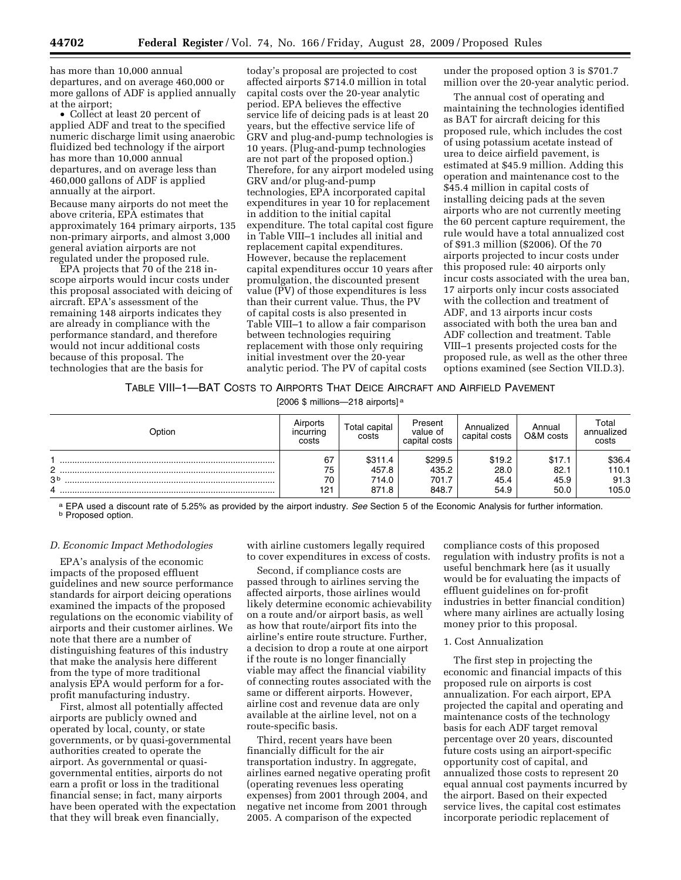has more than 10,000 annual departures, and on average 460,000 or more gallons of ADF is applied annually at the airport;

• Collect at least 20 percent of applied ADF and treat to the specified numeric discharge limit using anaerobic fluidized bed technology if the airport has more than 10,000 annual departures, and on average less than 460,000 gallons of ADF is applied annually at the airport. Because many airports do not meet the above criteria, EPA estimates that approximately 164 primary airports, 135 non-primary airports, and almost 3,000 general aviation airports are not

regulated under the proposed rule. EPA projects that 70 of the 218 inscope airports would incur costs under this proposal associated with deicing of aircraft. EPA's assessment of the remaining 148 airports indicates they are already in compliance with the performance standard, and therefore would not incur additional costs because of this proposal. The technologies that are the basis for

today's proposal are projected to cost affected airports \$714.0 million in total capital costs over the 20-year analytic period. EPA believes the effective service life of deicing pads is at least 20 years, but the effective service life of GRV and plug-and-pump technologies is 10 years. (Plug-and-pump technologies are not part of the proposed option.) Therefore, for any airport modeled using GRV and/or plug-and-pump technologies, EPA incorporated capital expenditures in year 10 for replacement in addition to the initial capital expenditure. The total capital cost figure in Table VIII–1 includes all initial and replacement capital expenditures. However, because the replacement capital expenditures occur 10 years after promulgation, the discounted present value (PV) of those expenditures is less than their current value. Thus, the PV of capital costs is also presented in Table VIII–1 to allow a fair comparison between technologies requiring replacement with those only requiring initial investment over the 20-year analytic period. The PV of capital costs

under the proposed option 3 is \$701.7 million over the 20-year analytic period.

The annual cost of operating and maintaining the technologies identified as BAT for aircraft deicing for this proposed rule, which includes the cost of using potassium acetate instead of urea to deice airfield pavement, is estimated at \$45.9 million. Adding this operation and maintenance cost to the \$45.4 million in capital costs of installing deicing pads at the seven airports who are not currently meeting the 60 percent capture requirement, the rule would have a total annualized cost of \$91.3 million (\$2006). Of the 70 airports projected to incur costs under this proposed rule: 40 airports only incur costs associated with the urea ban, 17 airports only incur costs associated with the collection and treatment of ADF, and 13 airports incur costs associated with both the urea ban and ADF collection and treatment. Table VIII–1 presents projected costs for the proposed rule, as well as the other three options examined (see Section VII.D.3).

## TABLE VIII–1—BAT COSTS TO AIRPORTS THAT DEICE AIRCRAFT AND AIRFIELD PAVEMENT

[2006 \$ millions—218 airports] a

| Option         | Airports<br>incurring<br>costs | Total capital<br>costs | Present<br>value of<br>capital costs | Annualized<br>capital costs | Annual<br>O&M costs | Total<br>annualized<br>costs |
|----------------|--------------------------------|------------------------|--------------------------------------|-----------------------------|---------------------|------------------------------|
|                | 67                             | \$311.4                | \$299.5                              | \$19.2                      | \$17.1              | \$36.4                       |
| c              | 75                             | 457.8                  | 435.2                                | 28.0                        | 82.1                | 110.1                        |
| 3 <sub>b</sub> | 70                             | 714.0                  | 701.7                                | 45.4                        | 45.9                | 91.3                         |
|                | 121                            | 871.8                  | 848.7                                | 54.9                        | 50.0                | 105.0                        |

a EPA used a discount rate of 5.25% as provided by the airport industry. *See* Section 5 of the Economic Analysis for further information.<br><sup>b</sup> Proposed option.

## *D. Economic Impact Methodologies*

EPA's analysis of the economic impacts of the proposed effluent guidelines and new source performance standards for airport deicing operations examined the impacts of the proposed regulations on the economic viability of airports and their customer airlines. We note that there are a number of distinguishing features of this industry that make the analysis here different from the type of more traditional analysis EPA would perform for a forprofit manufacturing industry.

First, almost all potentially affected airports are publicly owned and operated by local, county, or state governments, or by quasi-governmental authorities created to operate the airport. As governmental or quasigovernmental entities, airports do not earn a profit or loss in the traditional financial sense; in fact, many airports have been operated with the expectation that they will break even financially,

with airline customers legally required to cover expenditures in excess of costs.

Second, if compliance costs are passed through to airlines serving the affected airports, those airlines would likely determine economic achievability on a route and/or airport basis, as well as how that route/airport fits into the airline's entire route structure. Further, a decision to drop a route at one airport if the route is no longer financially viable may affect the financial viability of connecting routes associated with the same or different airports. However, airline cost and revenue data are only available at the airline level, not on a route-specific basis.

Third, recent years have been financially difficult for the air transportation industry. In aggregate, airlines earned negative operating profit (operating revenues less operating expenses) from 2001 through 2004, and negative net income from 2001 through 2005. A comparison of the expected

compliance costs of this proposed regulation with industry profits is not a useful benchmark here (as it usually would be for evaluating the impacts of effluent guidelines on for-profit industries in better financial condition) where many airlines are actually losing money prior to this proposal.

## 1. Cost Annualization

The first step in projecting the economic and financial impacts of this proposed rule on airports is cost annualization. For each airport, EPA projected the capital and operating and maintenance costs of the technology basis for each ADF target removal percentage over 20 years, discounted future costs using an airport-specific opportunity cost of capital, and annualized those costs to represent 20 equal annual cost payments incurred by the airport. Based on their expected service lives, the capital cost estimates incorporate periodic replacement of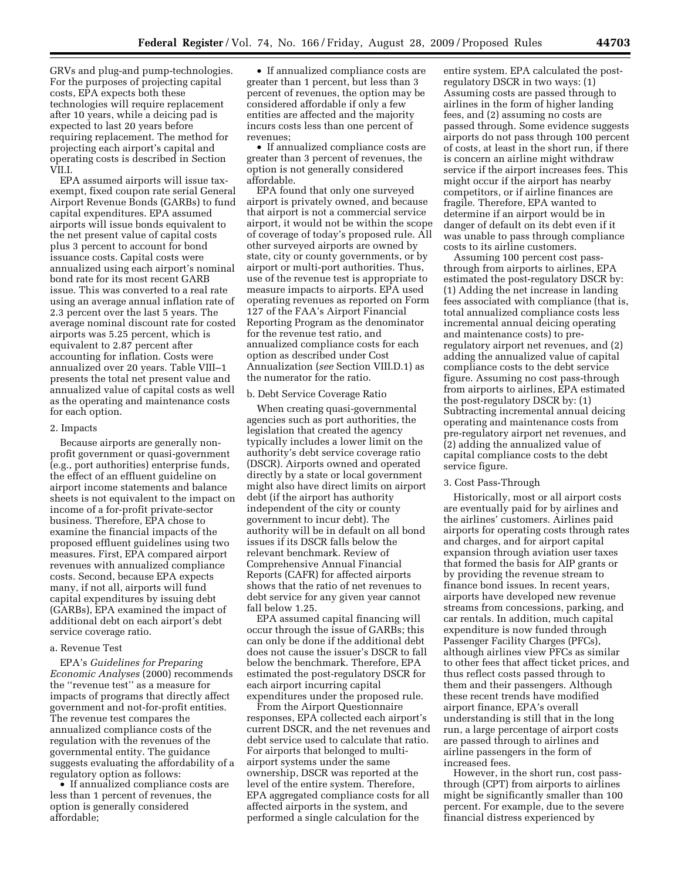GRVs and plug-and pump-technologies. For the purposes of projecting capital costs, EPA expects both these technologies will require replacement after 10 years, while a deicing pad is expected to last 20 years before requiring replacement. The method for projecting each airport's capital and operating costs is described in Section VII.I.

EPA assumed airports will issue taxexempt, fixed coupon rate serial General Airport Revenue Bonds (GARBs) to fund capital expenditures. EPA assumed airports will issue bonds equivalent to the net present value of capital costs plus 3 percent to account for bond issuance costs. Capital costs were annualized using each airport's nominal bond rate for its most recent GARB issue. This was converted to a real rate using an average annual inflation rate of 2.3 percent over the last 5 years. The average nominal discount rate for costed airports was 5.25 percent, which is equivalent to 2.87 percent after accounting for inflation. Costs were annualized over 20 years. Table VIII–1 presents the total net present value and annualized value of capital costs as well as the operating and maintenance costs for each option.

#### 2. Impacts

Because airports are generally nonprofit government or quasi-government (e.g., port authorities) enterprise funds, the effect of an effluent guideline on airport income statements and balance sheets is not equivalent to the impact on income of a for-profit private-sector business. Therefore, EPA chose to examine the financial impacts of the proposed effluent guidelines using two measures. First, EPA compared airport revenues with annualized compliance costs. Second, because EPA expects many, if not all, airports will fund capital expenditures by issuing debt (GARBs), EPA examined the impact of additional debt on each airport's debt service coverage ratio.

#### a. Revenue Test

EPA's *Guidelines for Preparing Economic Analyses* (2000) recommends the ''revenue test'' as a measure for impacts of programs that directly affect government and not-for-profit entities. The revenue test compares the annualized compliance costs of the regulation with the revenues of the governmental entity. The guidance suggests evaluating the affordability of a regulatory option as follows:

• If annualized compliance costs are less than 1 percent of revenues, the option is generally considered affordable;

• If annualized compliance costs are greater than 1 percent, but less than 3 percent of revenues, the option may be considered affordable if only a few entities are affected and the majority incurs costs less than one percent of revenues;

• If annualized compliance costs are greater than 3 percent of revenues, the option is not generally considered affordable.

EPA found that only one surveyed airport is privately owned, and because that airport is not a commercial service airport, it would not be within the scope of coverage of today's proposed rule. All other surveyed airports are owned by state, city or county governments, or by airport or multi-port authorities. Thus, use of the revenue test is appropriate to measure impacts to airports. EPA used operating revenues as reported on Form 127 of the FAA's Airport Financial Reporting Program as the denominator for the revenue test ratio, and annualized compliance costs for each option as described under Cost Annualization (*see* Section VIII.D.1) as the numerator for the ratio.

#### b. Debt Service Coverage Ratio

When creating quasi-governmental agencies such as port authorities, the legislation that created the agency typically includes a lower limit on the authority's debt service coverage ratio (DSCR). Airports owned and operated directly by a state or local government might also have direct limits on airport debt (if the airport has authority independent of the city or county government to incur debt). The authority will be in default on all bond issues if its DSCR falls below the relevant benchmark. Review of Comprehensive Annual Financial Reports (CAFR) for affected airports shows that the ratio of net revenues to debt service for any given year cannot fall below 1.25.

EPA assumed capital financing will occur through the issue of GARBs; this can only be done if the additional debt does not cause the issuer's DSCR to fall below the benchmark. Therefore, EPA estimated the post-regulatory DSCR for each airport incurring capital expenditures under the proposed rule.

From the Airport Questionnaire responses, EPA collected each airport's current DSCR, and the net revenues and debt service used to calculate that ratio. For airports that belonged to multiairport systems under the same ownership, DSCR was reported at the level of the entire system. Therefore, EPA aggregated compliance costs for all affected airports in the system, and performed a single calculation for the

entire system. EPA calculated the postregulatory DSCR in two ways: (1) Assuming costs are passed through to airlines in the form of higher landing fees, and (2) assuming no costs are passed through. Some evidence suggests airports do not pass through 100 percent of costs, at least in the short run, if there is concern an airline might withdraw service if the airport increases fees. This might occur if the airport has nearby competitors, or if airline finances are fragile. Therefore, EPA wanted to determine if an airport would be in danger of default on its debt even if it was unable to pass through compliance costs to its airline customers.

Assuming 100 percent cost passthrough from airports to airlines, EPA estimated the post-regulatory DSCR by: (1) Adding the net increase in landing fees associated with compliance (that is, total annualized compliance costs less incremental annual deicing operating and maintenance costs) to preregulatory airport net revenues, and (2) adding the annualized value of capital compliance costs to the debt service figure. Assuming no cost pass-through from airports to airlines, EPA estimated the post-regulatory DSCR by: (1) Subtracting incremental annual deicing operating and maintenance costs from pre-regulatory airport net revenues, and (2) adding the annualized value of capital compliance costs to the debt service figure.

#### 3. Cost Pass-Through

Historically, most or all airport costs are eventually paid for by airlines and the airlines' customers. Airlines paid airports for operating costs through rates and charges, and for airport capital expansion through aviation user taxes that formed the basis for AIP grants or by providing the revenue stream to finance bond issues. In recent years, airports have developed new revenue streams from concessions, parking, and car rentals. In addition, much capital expenditure is now funded through Passenger Facility Charges (PFCs), although airlines view PFCs as similar to other fees that affect ticket prices, and thus reflect costs passed through to them and their passengers. Although these recent trends have modified airport finance, EPA's overall understanding is still that in the long run, a large percentage of airport costs are passed through to airlines and airline passengers in the form of increased fees.

However, in the short run, cost passthrough (CPT) from airports to airlines might be significantly smaller than 100 percent. For example, due to the severe financial distress experienced by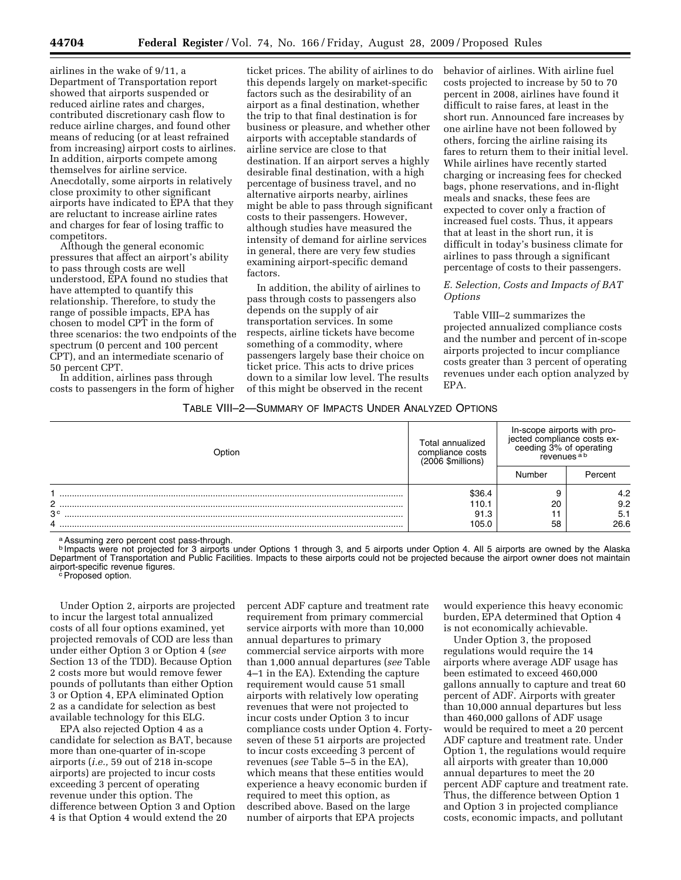airlines in the wake of 9/11, a Department of Transportation report showed that airports suspended or reduced airline rates and charges, contributed discretionary cash flow to reduce airline charges, and found other means of reducing (or at least refrained from increasing) airport costs to airlines. In addition, airports compete among themselves for airline service. Anecdotally, some airports in relatively close proximity to other significant airports have indicated to EPA that they are reluctant to increase airline rates and charges for fear of losing traffic to competitors.

Although the general economic pressures that affect an airport's ability to pass through costs are well understood, EPA found no studies that have attempted to quantify this relationship. Therefore, to study the range of possible impacts, EPA has chosen to model CPT in the form of three scenarios: the two endpoints of the spectrum (0 percent and 100 percent CPT), and an intermediate scenario of 50 percent CPT.

In addition, airlines pass through costs to passengers in the form of higher

ticket prices. The ability of airlines to do this depends largely on market-specific factors such as the desirability of an airport as a final destination, whether the trip to that final destination is for business or pleasure, and whether other airports with acceptable standards of airline service are close to that destination. If an airport serves a highly desirable final destination, with a high percentage of business travel, and no alternative airports nearby, airlines might be able to pass through significant costs to their passengers. However, although studies have measured the intensity of demand for airline services in general, there are very few studies examining airport-specific demand factors.

In addition, the ability of airlines to pass through costs to passengers also depends on the supply of air transportation services. In some respects, airline tickets have become something of a commodity, where passengers largely base their choice on ticket price. This acts to drive prices down to a similar low level. The results of this might be observed in the recent

behavior of airlines. With airline fuel costs projected to increase by 50 to 70 percent in 2008, airlines have found it difficult to raise fares, at least in the short run. Announced fare increases by one airline have not been followed by others, forcing the airline raising its fares to return them to their initial level. While airlines have recently started charging or increasing fees for checked bags, phone reservations, and in-flight meals and snacks, these fees are expected to cover only a fraction of increased fuel costs. Thus, it appears that at least in the short run, it is difficult in today's business climate for airlines to pass through a significant percentage of costs to their passengers.

## *E. Selection, Costs and Impacts of BAT Options*

Table VIII–2 summarizes the projected annualized compliance costs and the number and percent of in-scope airports projected to incur compliance costs greater than 3 percent of operating revenues under each option analyzed by EPA.

## TABLE VIII–2—SUMMARY OF IMPACTS UNDER ANALYZED OPTIONS

| ntior                                 | Total annualized<br>compliance costs<br>(2006 \$millions) | In-scope airports with pro-<br>jected compliance costs ex-<br>ceeding 3% of operating<br>revenues a b |                           |  |
|---------------------------------------|-----------------------------------------------------------|-------------------------------------------------------------------------------------------------------|---------------------------|--|
|                                       |                                                           | Number                                                                                                | Percent                   |  |
| $\overline{2}$<br>3 <sup>c</sup><br>4 | '10.<br>91.3<br>105.0                                     | 20<br>58                                                                                              | 4.2<br>9.2<br>5.1<br>26.6 |  |

a Assuming zero percent cost pass-through.

**b Impacts were not projected for 3 airports under Options 1 through 3, and 5 airports under Option 4. All 5 airports are owned by the Alaska** Department of Transportation and Public Facilities. Impacts to these airports could not be projected because the airport owner does not maintain airport-specific revenue figures.<br><sup>c</sup>Proposed option.

Under Option 2, airports are projected to incur the largest total annualized costs of all four options examined, yet projected removals of COD are less than under either Option 3 or Option 4 (*see*  Section 13 of the TDD). Because Option 2 costs more but would remove fewer pounds of pollutants than either Option 3 or Option 4, EPA eliminated Option 2 as a candidate for selection as best available technology for this ELG.

EPA also rejected Option 4 as a candidate for selection as BAT, because more than one-quarter of in-scope airports (*i.e.,* 59 out of 218 in-scope airports) are projected to incur costs exceeding 3 percent of operating revenue under this option. The difference between Option 3 and Option 4 is that Option 4 would extend the 20

percent ADF capture and treatment rate requirement from primary commercial service airports with more than 10,000 annual departures to primary commercial service airports with more than 1,000 annual departures (*see* Table 4–1 in the EA). Extending the capture requirement would cause 51 small airports with relatively low operating revenues that were not projected to incur costs under Option 3 to incur compliance costs under Option 4. Fortyseven of these 51 airports are projected to incur costs exceeding 3 percent of revenues (*see* Table 5–5 in the EA), which means that these entities would experience a heavy economic burden if required to meet this option, as described above. Based on the large number of airports that EPA projects

would experience this heavy economic burden, EPA determined that Option 4 is not economically achievable.

Under Option 3, the proposed regulations would require the 14 airports where average ADF usage has been estimated to exceed 460,000 gallons annually to capture and treat 60 percent of ADF. Airports with greater than 10,000 annual departures but less than 460,000 gallons of ADF usage would be required to meet a 20 percent ADF capture and treatment rate. Under Option 1, the regulations would require all airports with greater than 10,000 annual departures to meet the 20 percent ADF capture and treatment rate. Thus, the difference between Option 1 and Option 3 in projected compliance costs, economic impacts, and pollutant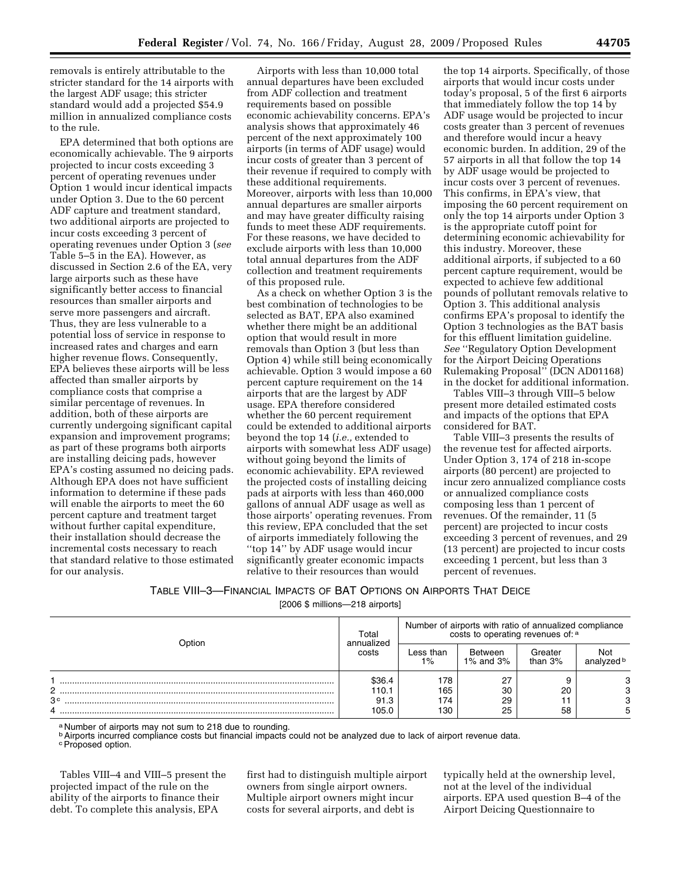removals is entirely attributable to the stricter standard for the 14 airports with the largest ADF usage; this stricter standard would add a projected \$54.9 million in annualized compliance costs to the rule.

EPA determined that both options are economically achievable. The 9 airports projected to incur costs exceeding 3 percent of operating revenues under Option 1 would incur identical impacts under Option 3. Due to the 60 percent ADF capture and treatment standard, two additional airports are projected to incur costs exceeding 3 percent of operating revenues under Option 3 (*see*  Table 5–5 in the EA). However, as discussed in Section 2.6 of the EA, very large airports such as these have significantly better access to financial resources than smaller airports and serve more passengers and aircraft. Thus, they are less vulnerable to a potential loss of service in response to increased rates and charges and earn higher revenue flows. Consequently, EPA believes these airports will be less affected than smaller airports by compliance costs that comprise a similar percentage of revenues. In addition, both of these airports are currently undergoing significant capital expansion and improvement programs; as part of these programs both airports are installing deicing pads, however EPA's costing assumed no deicing pads. Although EPA does not have sufficient information to determine if these pads will enable the airports to meet the 60 percent capture and treatment target without further capital expenditure, their installation should decrease the incremental costs necessary to reach that standard relative to those estimated for our analysis.

Airports with less than 10,000 total annual departures have been excluded from ADF collection and treatment requirements based on possible economic achievability concerns. EPA's analysis shows that approximately 46 percent of the next approximately 100 airports (in terms of ADF usage) would incur costs of greater than 3 percent of their revenue if required to comply with these additional requirements. Moreover, airports with less than 10,000 annual departures are smaller airports and may have greater difficulty raising funds to meet these ADF requirements. For these reasons, we have decided to exclude airports with less than 10,000 total annual departures from the ADF collection and treatment requirements of this proposed rule.

As a check on whether Option 3 is the best combination of technologies to be selected as BAT, EPA also examined whether there might be an additional option that would result in more removals than Option 3 (but less than Option 4) while still being economically achievable. Option 3 would impose a 60 percent capture requirement on the 14 airports that are the largest by ADF usage. EPA therefore considered whether the 60 percent requirement could be extended to additional airports beyond the top 14 (*i.e.,* extended to airports with somewhat less ADF usage) without going beyond the limits of economic achievability. EPA reviewed the projected costs of installing deicing pads at airports with less than 460,000 gallons of annual ADF usage as well as those airports' operating revenues. From this review, EPA concluded that the set of airports immediately following the ''top 14'' by ADF usage would incur significantly greater economic impacts relative to their resources than would

the top 14 airports. Specifically, of those airports that would incur costs under today's proposal, 5 of the first 6 airports that immediately follow the top 14 by ADF usage would be projected to incur costs greater than 3 percent of revenues and therefore would incur a heavy economic burden. In addition, 29 of the 57 airports in all that follow the top 14 by ADF usage would be projected to incur costs over 3 percent of revenues. This confirms, in EPA's view, that imposing the 60 percent requirement on only the top 14 airports under Option 3 is the appropriate cutoff point for determining economic achievability for this industry. Moreover, these additional airports, if subjected to a 60 percent capture requirement, would be expected to achieve few additional pounds of pollutant removals relative to Option 3. This additional analysis confirms EPA's proposal to identify the Option 3 technologies as the BAT basis for this effluent limitation guideline. *See* ''Regulatory Option Development for the Airport Deicing Operations Rulemaking Proposal'' (DCN AD01168) in the docket for additional information.

Tables VIII–3 through VIII–5 below present more detailed estimated costs and impacts of the options that EPA considered for BAT.

Table VIII–3 presents the results of the revenue test for affected airports. Under Option 3, 174 of 218 in-scope airports (80 percent) are projected to incur zero annualized compliance costs or annualized compliance costs composing less than 1 percent of revenues. Of the remainder, 11 (5 percent) are projected to incur costs exceeding 3 percent of revenues, and 29 (13 percent) are projected to incur costs exceeding 1 percent, but less than 3 percent of revenues.

| TABLE VIII—3—FINANCIAL IMPACTS OF BAT OPTIONS ON AIRPORTS THAT DEICE |  |  |  |  |
|----------------------------------------------------------------------|--|--|--|--|
|----------------------------------------------------------------------|--|--|--|--|

[2006 \$ millions-218 airports]

| Option                   | Total<br>annualized             | Number of airports with ratio of annualized compliance<br>costs to operating revenues of: a |                          |                      |     |
|--------------------------|---------------------------------|---------------------------------------------------------------------------------------------|--------------------------|----------------------|-----|
|                          | costs                           | Less than<br>$1\%$                                                                          | Between<br>1% and $3%$   | Greater<br>than $3%$ | Not |
| ົ<br>3 <sup>c</sup><br>4 | \$36.4<br>10.1<br>91.3<br>105.C | 178<br>165<br>174<br>130                                                                    | $\sim$<br>30<br>29<br>25 | 20<br>58             | ີ   |

a Number of airports may not sum to 218 due to rounding.

**b** Airports incurred compliance costs but financial impacts could not be analyzed due to lack of airport revenue data.

cProposed option.

Tables VIII–4 and VIII–5 present the projected impact of the rule on the ability of the airports to finance their debt. To complete this analysis, EPA

first had to distinguish multiple airport owners from single airport owners. Multiple airport owners might incur costs for several airports, and debt is

typically held at the ownership level, not at the level of the individual airports. EPA used question B–4 of the Airport Deicing Questionnaire to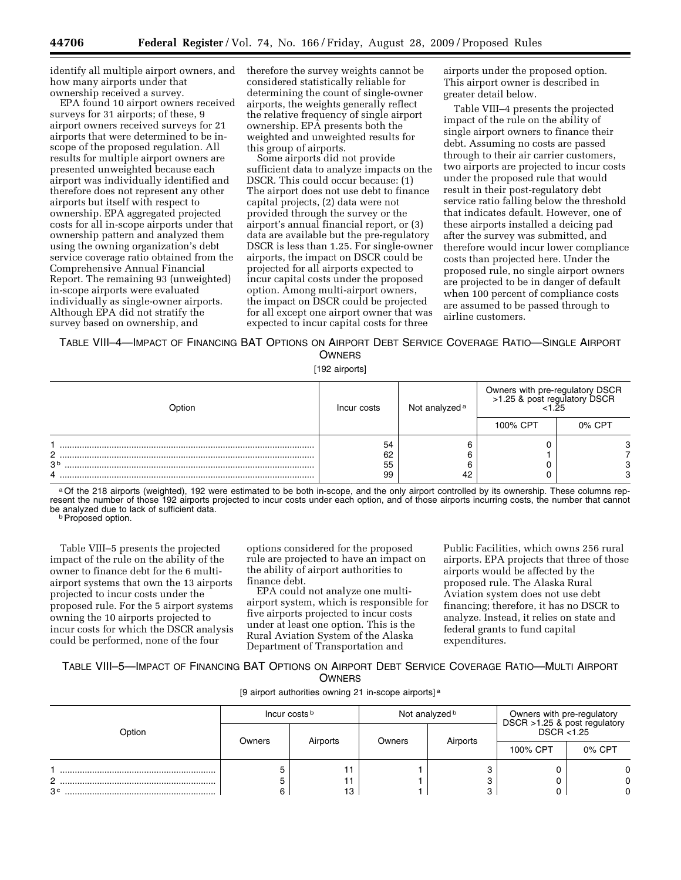identify all multiple airport owners, and how many airports under that ownership received a survey.

EPA found 10 airport owners received surveys for 31 airports; of these, 9 airport owners received surveys for 21 airports that were determined to be inscope of the proposed regulation. All results for multiple airport owners are presented unweighted because each airport was individually identified and therefore does not represent any other airports but itself with respect to ownership. EPA aggregated projected costs for all in-scope airports under that ownership pattern and analyzed them using the owning organization's debt service coverage ratio obtained from the Comprehensive Annual Financial Report. The remaining 93 (unweighted) in-scope airports were evaluated individually as single-owner airports. Although EPA did not stratify the survey based on ownership, and

therefore the survey weights cannot be considered statistically reliable for determining the count of single-owner airports, the weights generally reflect the relative frequency of single airport ownership. EPA presents both the weighted and unweighted results for this group of airports.

Some airports did not provide sufficient data to analyze impacts on the DSCR. This could occur because: (1) The airport does not use debt to finance capital projects, (2) data were not provided through the survey or the airport's annual financial report, or (3) data are available but the pre-regulatory DSCR is less than 1.25. For single-owner airports, the impact on DSCR could be projected for all airports expected to incur capital costs under the proposed option. Among multi-airport owners, the impact on DSCR could be projected for all except one airport owner that was expected to incur capital costs for three

airports under the proposed option. This airport owner is described in greater detail below.

Table VIII–4 presents the projected impact of the rule on the ability of single airport owners to finance their debt. Assuming no costs are passed through to their air carrier customers, two airports are projected to incur costs under the proposed rule that would result in their post-regulatory debt service ratio falling below the threshold that indicates default. However, one of these airports installed a deicing pad after the survey was submitted, and therefore would incur lower compliance costs than projected here. Under the proposed rule, no single airport owners are projected to be in danger of default when 100 percent of compliance costs are assumed to be passed through to airline customers.

TABLE VIII–4—IMPACT OF FINANCING BAT OPTIONS ON AIRPORT DEBT SERVICE COVERAGE RATIO—SINGLE AIRPORT **OWNERS** 

[192 airports]

| )ption              | Incur costs          | Not analyzed <sup>a</sup> | Owners with pre-regulatory DSCR<br>>1.25 & post regulatory DSCR |        |  |
|---------------------|----------------------|---------------------------|-----------------------------------------------------------------|--------|--|
|                     |                      |                           | 100% CPT                                                        | 0% CPT |  |
| c<br>3 <sub>b</sub> | 54<br>62<br>55<br>99 | 42                        |                                                                 |        |  |

a Of the 218 airports (weighted), 192 were estimated to be both in-scope, and the only airport controlled by its ownership. These columns represent the number of those 192 airports projected to incur costs under each option, and of those airports incurring costs, the number that cannot be analyzed due to lack of sufficient data.<br><sup>b</sup> Proposed option.

Table VIII–5 presents the projected impact of the rule on the ability of the owner to finance debt for the 6 multiairport systems that own the 13 airports projected to incur costs under the proposed rule. For the 5 airport systems owning the 10 airports projected to incur costs for which the DSCR analysis could be performed, none of the four

options considered for the proposed rule are projected to have an impact on the ability of airport authorities to finance debt.

EPA could not analyze one multiairport system, which is responsible for five airports projected to incur costs under at least one option. This is the Rural Aviation System of the Alaska Department of Transportation and

Public Facilities, which owns 256 rural airports. EPA projects that three of those airports would be affected by the proposed rule. The Alaska Rural Aviation system does not use debt financing; therefore, it has no DSCR to analyze. Instead, it relies on state and federal grants to fund capital expenditures.

#### TABLE VIII–5—IMPACT OF FINANCING BAT OPTIONS ON AIRPORT DEBT SERVICE COVERAGE RATIO—MULTI AIRPORT **OWNERS**

[9 airport authorities owning 21 in-scope airports] a

| Option         | Incur costs b      |    | Not analyzed b |          |          |                                                                          |  |
|----------------|--------------------|----|----------------|----------|----------|--------------------------------------------------------------------------|--|
|                | Airports<br>Owners |    | Owners         | Airports |          | Owners with pre-regulatory<br>DSCR >1.25 & post regulatory<br>DSCR <1.25 |  |
|                |                    |    |                |          | 100% CPT | 0% CPT                                                                   |  |
|                |                    | 11 |                |          |          | 0                                                                        |  |
| റ              |                    | 11 |                |          |          |                                                                          |  |
| 3 <sup>c</sup> |                    | 13 |                |          |          |                                                                          |  |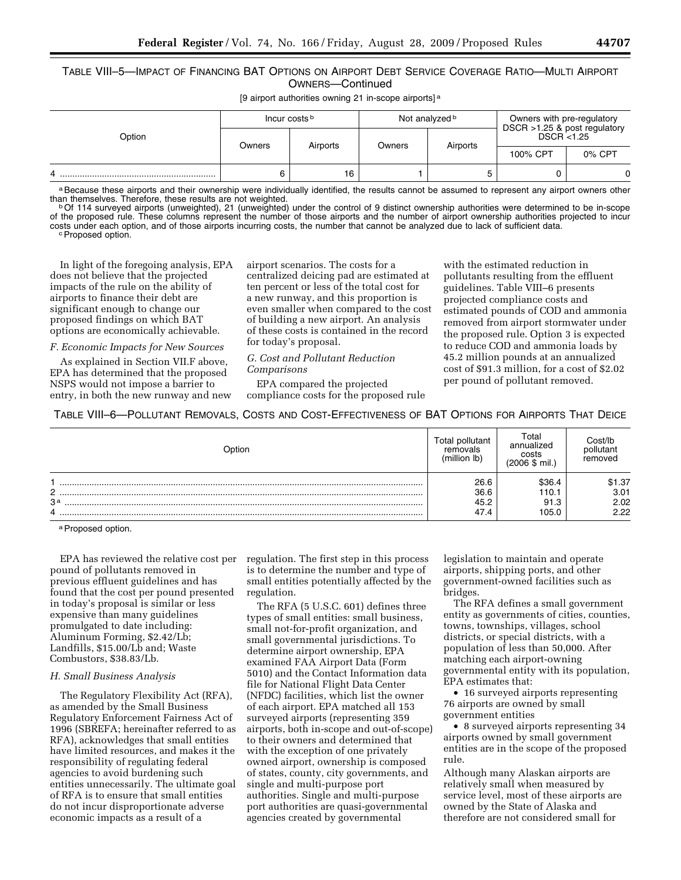## TABLE VIII–5—IMPACT OF FINANCING BAT OPTIONS ON AIRPORT DEBT SERVICE COVERAGE RATIO—MULTI AIRPORT OWNERS—Continued

[9 airport authorities owning 21 in-scope airports]<sup>a</sup>

| Option | Incur costs b |          | Not analyzed b |          | Owners with pre-regulatory<br>DSCR $>1.25$ & post regulatory |  |
|--------|---------------|----------|----------------|----------|--------------------------------------------------------------|--|
|        | Owners        | Airports | Owners         | Airports | DSCR < 1.25<br>0% CPT<br>100% CPT                            |  |
|        |               | 16       |                |          |                                                              |  |

a Because these airports and their ownership were individually identified, the results cannot be assumed to represent any airport owners other than themselves. Therefore, these results are not weighted.

<sup>b</sup>Of 114 surveyed airports (unweighted), 21 (unweighted) under the control of 9 distinct ownership authorities were determined to be in-scope of the proposed rule. These columns represent the number of those airports and the number of airport ownership authorities projected to incur costs under each option, and of those airports incurring costs, the number that cannot be analyzed due to lack of sufficient data.<br>CProposed option.

In light of the foregoing analysis, EPA does not believe that the projected impacts of the rule on the ability of airports to finance their debt are significant enough to change our proposed findings on which BAT options are economically achievable.

#### *F. Economic Impacts for New Sources*

As explained in Section VII.F above, EPA has determined that the proposed NSPS would not impose a barrier to entry, in both the new runway and new airport scenarios. The costs for a centralized deicing pad are estimated at ten percent or less of the total cost for a new runway, and this proportion is even smaller when compared to the cost of building a new airport. An analysis of these costs is contained in the record for today's proposal.

#### *G. Cost and Pollutant Reduction Comparisons*

EPA compared the projected compliance costs for the proposed rule

with the estimated reduction in pollutants resulting from the effluent guidelines. Table VIII–6 presents projected compliance costs and estimated pounds of COD and ammonia removed from airport stormwater under the proposed rule. Option 3 is expected to reduce COD and ammonia loads by 45.2 million pounds at an annualized cost of \$91.3 million, for a cost of \$2.02 per pound of pollutant removed.

## TABLE VIII–6—POLLUTANT REMOVALS, COSTS AND COST-EFFECTIVENESS OF BAT OPTIONS FOR AIRPORTS THAT DEICE

| )ption              | llutant<br>removals<br>(million lb) | Total<br>annualized<br>costs<br>06 \$ mil. | nollutant<br>removed           |
|---------------------|-------------------------------------|--------------------------------------------|--------------------------------|
| C<br>3 <sup>a</sup> | 26.6<br>36.6<br>45.2<br>47.4        | \$36.4<br>110.1<br>91.3<br>105.C           | \$1.37<br>3.01<br>2.02<br>2.22 |

a Proposed option.

EPA has reviewed the relative cost per pound of pollutants removed in previous effluent guidelines and has found that the cost per pound presented in today's proposal is similar or less expensive than many guidelines promulgated to date including: Aluminum Forming, \$2.42/Lb; Landfills, \$15.00/Lb and; Waste Combustors, \$38.83/Lb.

#### *H. Small Business Analysis*

The Regulatory Flexibility Act (RFA), as amended by the Small Business Regulatory Enforcement Fairness Act of 1996 (SBREFA; hereinafter referred to as RFA), acknowledges that small entities have limited resources, and makes it the responsibility of regulating federal agencies to avoid burdening such entities unnecessarily. The ultimate goal of RFA is to ensure that small entities do not incur disproportionate adverse economic impacts as a result of a

regulation. The first step in this process is to determine the number and type of small entities potentially affected by the regulation.

The RFA (5 U.S.C. 601) defines three types of small entities: small business, small not-for-profit organization, and small governmental jurisdictions. To determine airport ownership, EPA examined FAA Airport Data (Form 5010) and the Contact Information data file for National Flight Data Center (NFDC) facilities, which list the owner of each airport. EPA matched all 153 surveyed airports (representing 359 airports, both in-scope and out-of-scope) to their owners and determined that with the exception of one privately owned airport, ownership is composed of states, county, city governments, and single and multi-purpose port authorities. Single and multi-purpose port authorities are quasi-governmental agencies created by governmental

legislation to maintain and operate airports, shipping ports, and other government-owned facilities such as bridges.

The RFA defines a small government entity as governments of cities, counties, towns, townships, villages, school districts, or special districts, with a population of less than 50,000. After matching each airport-owning governmental entity with its population, EPA estimates that:

• 16 surveyed airports representing 76 airports are owned by small government entities

• 8 surveyed airports representing 34 airports owned by small government entities are in the scope of the proposed rule.

Although many Alaskan airports are relatively small when measured by service level, most of these airports are owned by the State of Alaska and therefore are not considered small for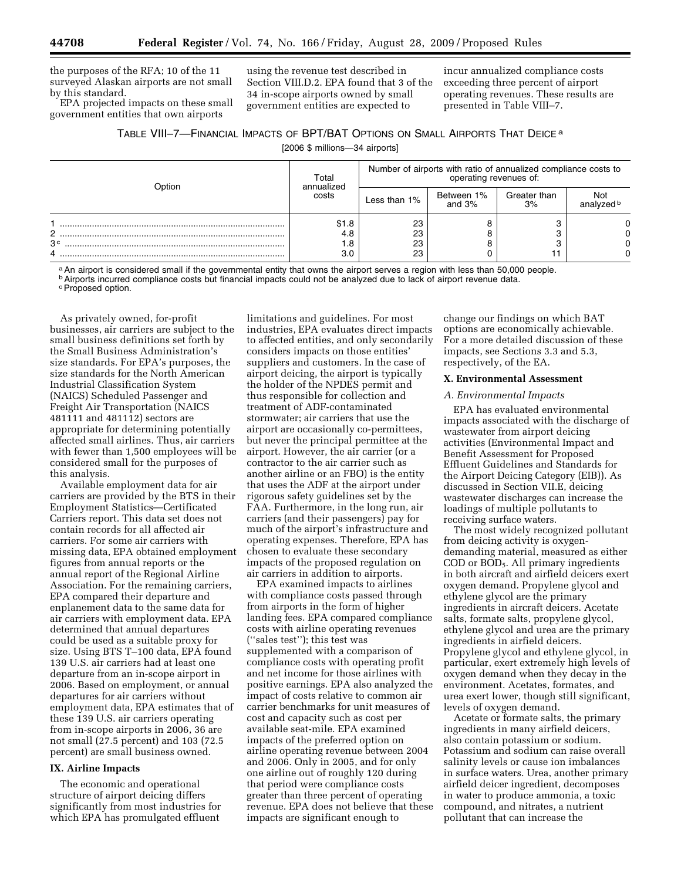the purposes of the RFA; 10 of the 11 surveyed Alaskan airports are not small by this standard.

EPA projected impacts on these small government entities that own airports

using the revenue test described in Section VIII.D.2. EPA found that 3 of the 34 in-scope airports owned by small government entities are expected to

incur annualized compliance costs exceeding three percent of airport operating revenues. These results are presented in Table VIII–7.

## TABLE VIII–7—FINANCIAL IMPACTS OF BPT/BAT OPTIONS ON SMALL AIRPORTS THAT DEICE a

[2006 \$ millions—34 airports]

| Option              | Total<br>annualized        | Number of airports with ratio of annualized compliance costs to<br>operating revenues of: |                        |                    |                              |  |
|---------------------|----------------------------|-------------------------------------------------------------------------------------------|------------------------|--------------------|------------------------------|--|
|                     | costs                      | Less than 1%                                                                              | Between 1%<br>and $3%$ | Greater than<br>3% | Not<br>analvzed <sup>b</sup> |  |
| c<br>3 <sup>c</sup> | \$1.8<br>4.8<br>1.8<br>3.0 | 23<br>23<br>23<br>23                                                                      |                        |                    |                              |  |

a An airport is considered small if the governmental entity that owns the airport serves a region with less than 50,000 people.

**b** Airports incurred compliance costs but financial impacts could not be analyzed due to lack of airport revenue data.

cProposed option.

As privately owned, for-profit businesses, air carriers are subject to the small business definitions set forth by the Small Business Administration's size standards. For EPA's purposes, the size standards for the North American Industrial Classification System (NAICS) Scheduled Passenger and Freight Air Transportation (NAICS 481111 and 481112) sectors are appropriate for determining potentially affected small airlines. Thus, air carriers with fewer than 1,500 employees will be considered small for the purposes of this analysis.

Available employment data for air carriers are provided by the BTS in their Employment Statistics—Certificated Carriers report. This data set does not contain records for all affected air carriers. For some air carriers with missing data, EPA obtained employment figures from annual reports or the annual report of the Regional Airline Association. For the remaining carriers, EPA compared their departure and enplanement data to the same data for air carriers with employment data. EPA determined that annual departures could be used as a suitable proxy for size. Using BTS T–100 data, EPA found 139 U.S. air carriers had at least one departure from an in-scope airport in 2006. Based on employment, or annual departures for air carriers without employment data, EPA estimates that of these 139 U.S. air carriers operating from in-scope airports in 2006, 36 are not small (27.5 percent) and 103 (72.5 percent) are small business owned.

#### **IX. Airline Impacts**

The economic and operational structure of airport deicing differs significantly from most industries for which EPA has promulgated effluent

limitations and guidelines. For most industries, EPA evaluates direct impacts to affected entities, and only secondarily considers impacts on those entities' suppliers and customers. In the case of airport deicing, the airport is typically the holder of the NPDES permit and thus responsible for collection and treatment of ADF-contaminated stormwater; air carriers that use the airport are occasionally co-permittees, but never the principal permittee at the airport. However, the air carrier (or a contractor to the air carrier such as another airline or an FBO) is the entity that uses the ADF at the airport under rigorous safety guidelines set by the FAA. Furthermore, in the long run, air carriers (and their passengers) pay for much of the airport's infrastructure and operating expenses. Therefore, EPA has chosen to evaluate these secondary impacts of the proposed regulation on air carriers in addition to airports.

EPA examined impacts to airlines with compliance costs passed through from airports in the form of higher landing fees. EPA compared compliance costs with airline operating revenues (''sales test''); this test was supplemented with a comparison of compliance costs with operating profit and net income for those airlines with positive earnings. EPA also analyzed the impact of costs relative to common air carrier benchmarks for unit measures of cost and capacity such as cost per available seat-mile. EPA examined impacts of the preferred option on airline operating revenue between 2004 and 2006. Only in 2005, and for only one airline out of roughly 120 during that period were compliance costs greater than three percent of operating revenue. EPA does not believe that these impacts are significant enough to

change our findings on which BAT options are economically achievable. For a more detailed discussion of these impacts, see Sections 3.3 and 5.3, respectively, of the EA.

#### **X. Environmental Assessment**

#### *A. Environmental Impacts*

EPA has evaluated environmental impacts associated with the discharge of wastewater from airport deicing activities (Environmental Impact and Benefit Assessment for Proposed Effluent Guidelines and Standards for the Airport Deicing Category (EIB)). As discussed in Section VII.E, deicing wastewater discharges can increase the loadings of multiple pollutants to receiving surface waters.

The most widely recognized pollutant from deicing activity is oxygendemanding material, measured as either COD or BOD<sub>5</sub>. All primary ingredients in both aircraft and airfield deicers exert oxygen demand. Propylene glycol and ethylene glycol are the primary ingredients in aircraft deicers. Acetate salts, formate salts, propylene glycol, ethylene glycol and urea are the primary ingredients in airfield deicers. Propylene glycol and ethylene glycol, in particular, exert extremely high levels of oxygen demand when they decay in the environment. Acetates, formates, and urea exert lower, though still significant, levels of oxygen demand.

Acetate or formate salts, the primary ingredients in many airfield deicers, also contain potassium or sodium. Potassium and sodium can raise overall salinity levels or cause ion imbalances in surface waters. Urea, another primary airfield deicer ingredient, decomposes in water to produce ammonia, a toxic compound, and nitrates, a nutrient pollutant that can increase the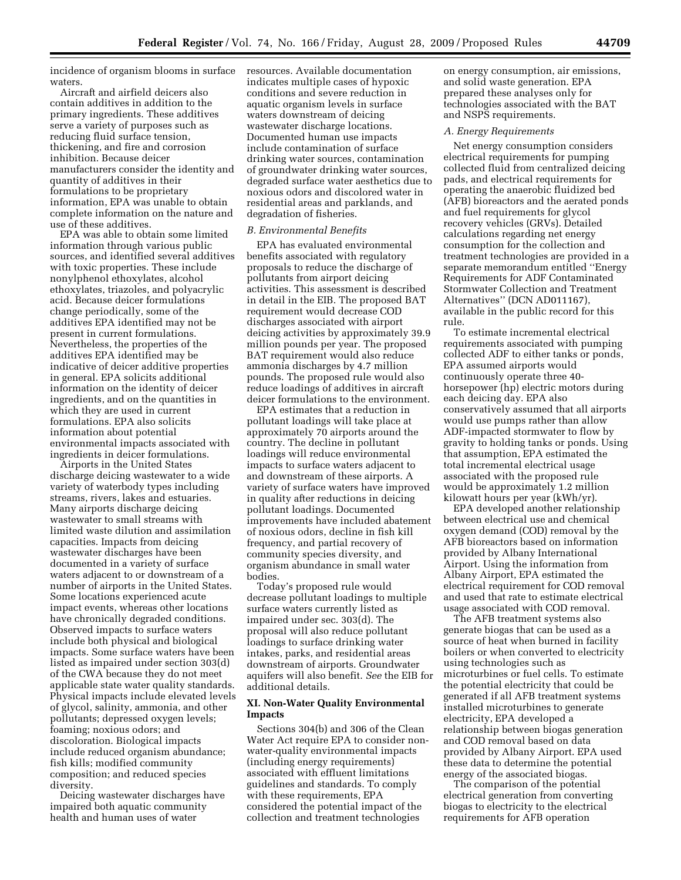incidence of organism blooms in surface waters.

Aircraft and airfield deicers also contain additives in addition to the primary ingredients. These additives serve a variety of purposes such as reducing fluid surface tension, thickening, and fire and corrosion inhibition. Because deicer manufacturers consider the identity and quantity of additives in their formulations to be proprietary information, EPA was unable to obtain complete information on the nature and use of these additives.

EPA was able to obtain some limited information through various public sources, and identified several additives with toxic properties. These include nonylphenol ethoxylates, alcohol ethoxylates, triazoles, and polyacrylic acid. Because deicer formulations change periodically, some of the additives EPA identified may not be present in current formulations. Nevertheless, the properties of the additives EPA identified may be indicative of deicer additive properties in general. EPA solicits additional information on the identity of deicer ingredients, and on the quantities in which they are used in current formulations. EPA also solicits information about potential environmental impacts associated with ingredients in deicer formulations.

Airports in the United States discharge deicing wastewater to a wide variety of waterbody types including streams, rivers, lakes and estuaries. Many airports discharge deicing wastewater to small streams with limited waste dilution and assimilation capacities. Impacts from deicing wastewater discharges have been documented in a variety of surface waters adjacent to or downstream of a number of airports in the United States. Some locations experienced acute impact events, whereas other locations have chronically degraded conditions. Observed impacts to surface waters include both physical and biological impacts. Some surface waters have been listed as impaired under section 303(d) of the CWA because they do not meet applicable state water quality standards. Physical impacts include elevated levels of glycol, salinity, ammonia, and other pollutants; depressed oxygen levels; foaming; noxious odors; and discoloration. Biological impacts include reduced organism abundance; fish kills; modified community composition; and reduced species diversity.

Deicing wastewater discharges have impaired both aquatic community health and human uses of water

resources. Available documentation indicates multiple cases of hypoxic conditions and severe reduction in aquatic organism levels in surface waters downstream of deicing wastewater discharge locations. Documented human use impacts include contamination of surface drinking water sources, contamination of groundwater drinking water sources, degraded surface water aesthetics due to noxious odors and discolored water in residential areas and parklands, and degradation of fisheries.

#### *B. Environmental Benefits*

EPA has evaluated environmental benefits associated with regulatory proposals to reduce the discharge of pollutants from airport deicing activities. This assessment is described in detail in the EIB. The proposed BAT requirement would decrease COD discharges associated with airport deicing activities by approximately 39.9 million pounds per year. The proposed BAT requirement would also reduce ammonia discharges by 4.7 million pounds. The proposed rule would also reduce loadings of additives in aircraft deicer formulations to the environment.

EPA estimates that a reduction in pollutant loadings will take place at approximately 70 airports around the country. The decline in pollutant loadings will reduce environmental impacts to surface waters adjacent to and downstream of these airports. A variety of surface waters have improved in quality after reductions in deicing pollutant loadings. Documented improvements have included abatement of noxious odors, decline in fish kill frequency, and partial recovery of community species diversity, and organism abundance in small water bodies.

Today's proposed rule would decrease pollutant loadings to multiple surface waters currently listed as impaired under sec. 303(d). The proposal will also reduce pollutant loadings to surface drinking water intakes, parks, and residential areas downstream of airports. Groundwater aquifers will also benefit. *See* the EIB for additional details.

## **XI. Non-Water Quality Environmental Impacts**

Sections 304(b) and 306 of the Clean Water Act require EPA to consider nonwater-quality environmental impacts (including energy requirements) associated with effluent limitations guidelines and standards. To comply with these requirements, EPA considered the potential impact of the collection and treatment technologies

on energy consumption, air emissions, and solid waste generation. EPA prepared these analyses only for technologies associated with the BAT and NSPS requirements.

#### *A. Energy Requirements*

Net energy consumption considers electrical requirements for pumping collected fluid from centralized deicing pads, and electrical requirements for operating the anaerobic fluidized bed (AFB) bioreactors and the aerated ponds and fuel requirements for glycol recovery vehicles (GRVs). Detailed calculations regarding net energy consumption for the collection and treatment technologies are provided in a separate memorandum entitled ''Energy Requirements for ADF Contaminated Stormwater Collection and Treatment Alternatives'' (DCN AD011167), available in the public record for this rule.

To estimate incremental electrical requirements associated with pumping collected ADF to either tanks or ponds, EPA assumed airports would continuously operate three 40 horsepower (hp) electric motors during each deicing day. EPA also conservatively assumed that all airports would use pumps rather than allow ADF-impacted stormwater to flow by gravity to holding tanks or ponds. Using that assumption, EPA estimated the total incremental electrical usage associated with the proposed rule would be approximately 1.2 million kilowatt hours per year (kWh/yr).

EPA developed another relationship between electrical use and chemical oxygen demand (COD) removal by the AFB bioreactors based on information provided by Albany International Airport. Using the information from Albany Airport, EPA estimated the electrical requirement for COD removal and used that rate to estimate electrical usage associated with COD removal.

The AFB treatment systems also generate biogas that can be used as a source of heat when burned in facility boilers or when converted to electricity using technologies such as microturbines or fuel cells. To estimate the potential electricity that could be generated if all AFB treatment systems installed microturbines to generate electricity, EPA developed a relationship between biogas generation and COD removal based on data provided by Albany Airport. EPA used these data to determine the potential energy of the associated biogas.

The comparison of the potential electrical generation from converting biogas to electricity to the electrical requirements for AFB operation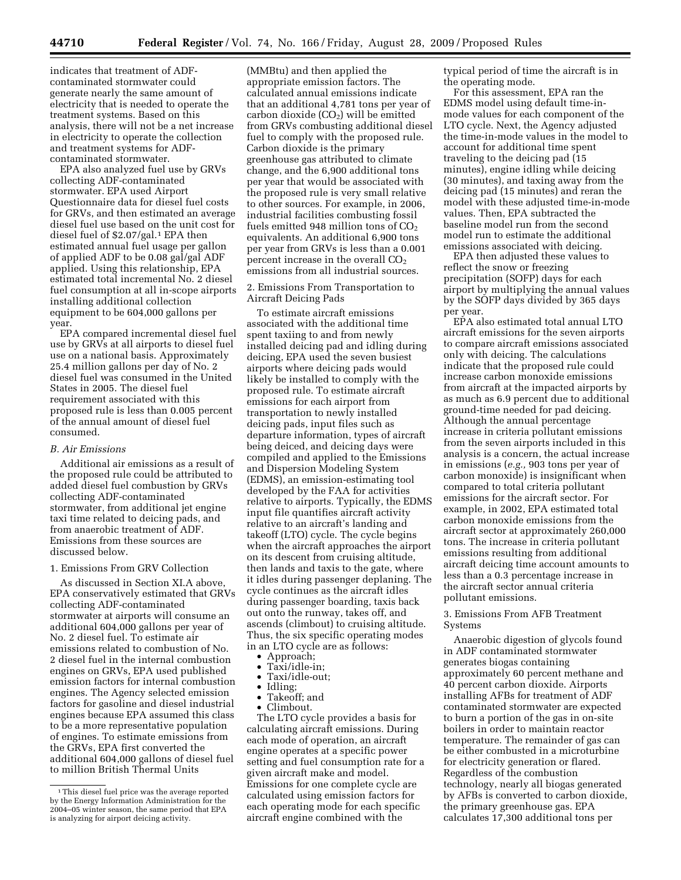indicates that treatment of ADFcontaminated stormwater could generate nearly the same amount of electricity that is needed to operate the treatment systems. Based on this analysis, there will not be a net increase in electricity to operate the collection and treatment systems for ADFcontaminated stormwater.

EPA also analyzed fuel use by GRVs collecting ADF-contaminated stormwater. EPA used Airport Questionnaire data for diesel fuel costs for GRVs, and then estimated an average diesel fuel use based on the unit cost for diesel fuel of \$2.07/gal.1 EPA then estimated annual fuel usage per gallon of applied ADF to be 0.08 gal/gal ADF applied. Using this relationship, EPA estimated total incremental No. 2 diesel fuel consumption at all in-scope airports installing additional collection equipment to be 604,000 gallons per year.

EPA compared incremental diesel fuel use by GRVs at all airports to diesel fuel use on a national basis. Approximately 25.4 million gallons per day of No. 2 diesel fuel was consumed in the United States in 2005. The diesel fuel requirement associated with this proposed rule is less than 0.005 percent of the annual amount of diesel fuel consumed.

#### *B. Air Emissions*

Additional air emissions as a result of the proposed rule could be attributed to added diesel fuel combustion by GRVs collecting ADF-contaminated stormwater, from additional jet engine taxi time related to deicing pads, and from anaerobic treatment of ADF. Emissions from these sources are discussed below.

#### 1. Emissions From GRV Collection

As discussed in Section XI.A above, EPA conservatively estimated that GRVs collecting ADF-contaminated stormwater at airports will consume an additional 604,000 gallons per year of No. 2 diesel fuel. To estimate air emissions related to combustion of No. 2 diesel fuel in the internal combustion engines on GRVs, EPA used published emission factors for internal combustion engines. The Agency selected emission factors for gasoline and diesel industrial engines because EPA assumed this class to be a more representative population of engines. To estimate emissions from the GRVs, EPA first converted the additional 604,000 gallons of diesel fuel to million British Thermal Units

(MMBtu) and then applied the appropriate emission factors. The calculated annual emissions indicate that an additional 4,781 tons per year of carbon dioxide  $(CO<sub>2</sub>)$  will be emitted from GRVs combusting additional diesel fuel to comply with the proposed rule. Carbon dioxide is the primary greenhouse gas attributed to climate change, and the 6,900 additional tons per year that would be associated with the proposed rule is very small relative to other sources. For example, in 2006, industrial facilities combusting fossil fuels emitted 948 million tons of  $CO<sub>2</sub>$ equivalents. An additional 6,900 tons per year from GRVs is less than a 0.001 percent increase in the overall  $CO<sub>2</sub>$ emissions from all industrial sources.

#### 2. Emissions From Transportation to Aircraft Deicing Pads

To estimate aircraft emissions associated with the additional time spent taxiing to and from newly installed deicing pad and idling during deicing, EPA used the seven busiest airports where deicing pads would likely be installed to comply with the proposed rule. To estimate aircraft emissions for each airport from transportation to newly installed deicing pads, input files such as departure information, types of aircraft being deiced, and deicing days were compiled and applied to the Emissions and Dispersion Modeling System (EDMS), an emission-estimating tool developed by the FAA for activities relative to airports. Typically, the EDMS input file quantifies aircraft activity relative to an aircraft's landing and takeoff (LTO) cycle. The cycle begins when the aircraft approaches the airport on its descent from cruising altitude, then lands and taxis to the gate, where it idles during passenger deplaning. The cycle continues as the aircraft idles during passenger boarding, taxis back out onto the runway, takes off, and ascends (climbout) to cruising altitude. Thus, the six specific operating modes in an LTO cycle are as follows:

- Approach;
- Taxi/idle-in;
- Taxi/idle-out;
- Idling;
- Takeoff; and
- Climbout.

The LTO cycle provides a basis for calculating aircraft emissions. During each mode of operation, an aircraft engine operates at a specific power setting and fuel consumption rate for a given aircraft make and model. Emissions for one complete cycle are calculated using emission factors for each operating mode for each specific aircraft engine combined with the

typical period of time the aircraft is in the operating mode.

For this assessment, EPA ran the EDMS model using default time-inmode values for each component of the LTO cycle. Next, the Agency adjusted the time-in-mode values in the model to account for additional time spent traveling to the deicing pad (15 minutes), engine idling while deicing (30 minutes), and taxing away from the deicing pad (15 minutes) and reran the model with these adjusted time-in-mode values. Then, EPA subtracted the baseline model run from the second model run to estimate the additional emissions associated with deicing.

EPA then adjusted these values to reflect the snow or freezing precipitation (SOFP) days for each airport by multiplying the annual values by the SOFP days divided by 365 days per year.

EPA also estimated total annual LTO aircraft emissions for the seven airports to compare aircraft emissions associated only with deicing. The calculations indicate that the proposed rule could increase carbon monoxide emissions from aircraft at the impacted airports by as much as 6.9 percent due to additional ground-time needed for pad deicing. Although the annual percentage increase in criteria pollutant emissions from the seven airports included in this analysis is a concern, the actual increase in emissions (*e.g.,* 903 tons per year of carbon monoxide) is insignificant when compared to total criteria pollutant emissions for the aircraft sector. For example, in 2002, EPA estimated total carbon monoxide emissions from the aircraft sector at approximately 260,000 tons. The increase in criteria pollutant emissions resulting from additional aircraft deicing time account amounts to less than a 0.3 percentage increase in the aircraft sector annual criteria pollutant emissions.

## 3. Emissions From AFB Treatment Systems

Anaerobic digestion of glycols found in ADF contaminated stormwater generates biogas containing approximately 60 percent methane and 40 percent carbon dioxide. Airports installing AFBs for treatment of ADF contaminated stormwater are expected to burn a portion of the gas in on-site boilers in order to maintain reactor temperature. The remainder of gas can be either combusted in a microturbine for electricity generation or flared. Regardless of the combustion technology, nearly all biogas generated by AFBs is converted to carbon dioxide, the primary greenhouse gas. EPA calculates 17,300 additional tons per

<sup>1</sup>This diesel fuel price was the average reported by the Energy Information Administration for the 2004–05 winter season, the same period that EPA is analyzing for airport deicing activity.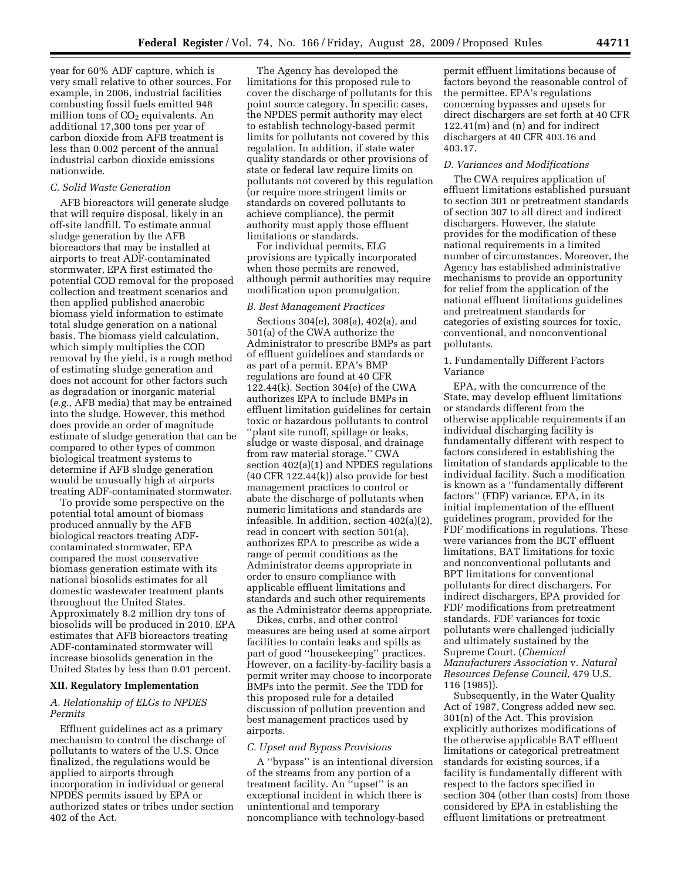year for 60% ADF capture, which is very small relative to other sources. For example, in 2006, industrial facilities combusting fossil fuels emitted 948 million tons of  $CO<sub>2</sub>$  equivalents. An additional 17,300 tons per year of carbon dioxide from AFB treatment is less than 0.002 percent of the annual industrial carbon dioxide emissions nationwide.

#### *C. Solid Waste Generation*

AFB bioreactors will generate sludge that will require disposal, likely in an off-site landfill. To estimate annual sludge generation by the AFB bioreactors that may be installed at airports to treat ADF-contaminated stormwater, EPA first estimated the potential COD removal for the proposed collection and treatment scenarios and then applied published anaerobic biomass yield information to estimate total sludge generation on a national basis. The biomass yield calculation, which simply multiplies the COD removal by the yield, is a rough method of estimating sludge generation and does not account for other factors such as degradation or inorganic material (*e.g.,* AFB media) that may be entrained into the sludge. However, this method does provide an order of magnitude estimate of sludge generation that can be compared to other types of common biological treatment systems to determine if AFB sludge generation would be unusually high at airports treating ADF-contaminated stormwater.

To provide some perspective on the potential total amount of biomass produced annually by the AFB biological reactors treating ADFcontaminated stormwater, EPA compared the most conservative biomass generation estimate with its national biosolids estimates for all domestic wastewater treatment plants throughout the United States. Approximately 8.2 million dry tons of biosolids will be produced in 2010. EPA estimates that AFB bioreactors treating ADF-contaminated stormwater will increase biosolids generation in the United States by less than 0.01 percent.

#### **XII. Regulatory Implementation**

## *A. Relationship of ELGs to NPDES Permits*

Effluent guidelines act as a primary mechanism to control the discharge of pollutants to waters of the U.S. Once finalized, the regulations would be applied to airports through incorporation in individual or general NPDES permits issued by EPA or authorized states or tribes under section 402 of the Act.

The Agency has developed the limitations for this proposed rule to cover the discharge of pollutants for this point source category. In specific cases, the NPDES permit authority may elect to establish technology-based permit limits for pollutants not covered by this regulation. In addition, if state water quality standards or other provisions of state or federal law require limits on pollutants not covered by this regulation (or require more stringent limits or standards on covered pollutants to achieve compliance), the permit authority must apply those effluent limitations or standards.

For individual permits, ELG provisions are typically incorporated when those permits are renewed, although permit authorities may require modification upon promulgation.

#### *B. Best Management Practices*

Sections 304(e), 308(a), 402(a), and 501(a) of the CWA authorize the Administrator to prescribe BMPs as part of effluent guidelines and standards or as part of a permit. EPA's BMP regulations are found at 40 CFR 122.44(k). Section 304(e) of the CWA authorizes EPA to include BMPs in effluent limitation guidelines for certain toxic or hazardous pollutants to control ''plant site runoff, spillage or leaks, sludge or waste disposal, and drainage from raw material storage.'' CWA section 402(a)(1) and NPDES regulations (40 CFR 122.44(k)) also provide for best management practices to control or abate the discharge of pollutants when numeric limitations and standards are infeasible. In addition, section 402(a)(2), read in concert with section 501(a), authorizes EPA to prescribe as wide a range of permit conditions as the Administrator deems appropriate in order to ensure compliance with applicable effluent limitations and standards and such other requirements as the Administrator deems appropriate.

Dikes, curbs, and other control measures are being used at some airport facilities to contain leaks and spills as part of good ''housekeeping'' practices. However, on a facility-by-facility basis a permit writer may choose to incorporate BMPs into the permit. *See* the TDD for this proposed rule for a detailed discussion of pollution prevention and best management practices used by airports.

#### *C. Upset and Bypass Provisions*

A ''bypass'' is an intentional diversion of the streams from any portion of a treatment facility. An ''upset'' is an exceptional incident in which there is unintentional and temporary noncompliance with technology-based

permit effluent limitations because of factors beyond the reasonable control of the permittee. EPA's regulations concerning bypasses and upsets for direct dischargers are set forth at 40 CFR 122.41(m) and (n) and for indirect dischargers at 40 CFR 403.16 and 403.17.

#### *D. Variances and Modifications*

The CWA requires application of effluent limitations established pursuant to section 301 or pretreatment standards of section 307 to all direct and indirect dischargers. However, the statute provides for the modification of these national requirements in a limited number of circumstances. Moreover, the Agency has established administrative mechanisms to provide an opportunity for relief from the application of the national effluent limitations guidelines and pretreatment standards for categories of existing sources for toxic, conventional, and nonconventional pollutants.

#### 1. Fundamentally Different Factors Variance

EPA, with the concurrence of the State, may develop effluent limitations or standards different from the otherwise applicable requirements if an individual discharging facility is fundamentally different with respect to factors considered in establishing the limitation of standards applicable to the individual facility. Such a modification is known as a ''fundamentally different factors'' (FDF) variance. EPA, in its initial implementation of the effluent guidelines program, provided for the FDF modifications in regulations. These were variances from the BCT effluent limitations, BAT limitations for toxic and nonconventional pollutants and BPT limitations for conventional pollutants for direct dischargers. For indirect dischargers, EPA provided for FDF modifications from pretreatment standards. FDF variances for toxic pollutants were challenged judicially and ultimately sustained by the Supreme Court. (*Chemical Manufacturers Association* v. *Natural Resources Defense Council,* 479 U.S. 116 (1985)).

Subsequently, in the Water Quality Act of 1987, Congress added new sec. 301(n) of the Act. This provision explicitly authorizes modifications of the otherwise applicable BAT effluent limitations or categorical pretreatment standards for existing sources, if a facility is fundamentally different with respect to the factors specified in section 304 (other than costs) from those considered by EPA in establishing the effluent limitations or pretreatment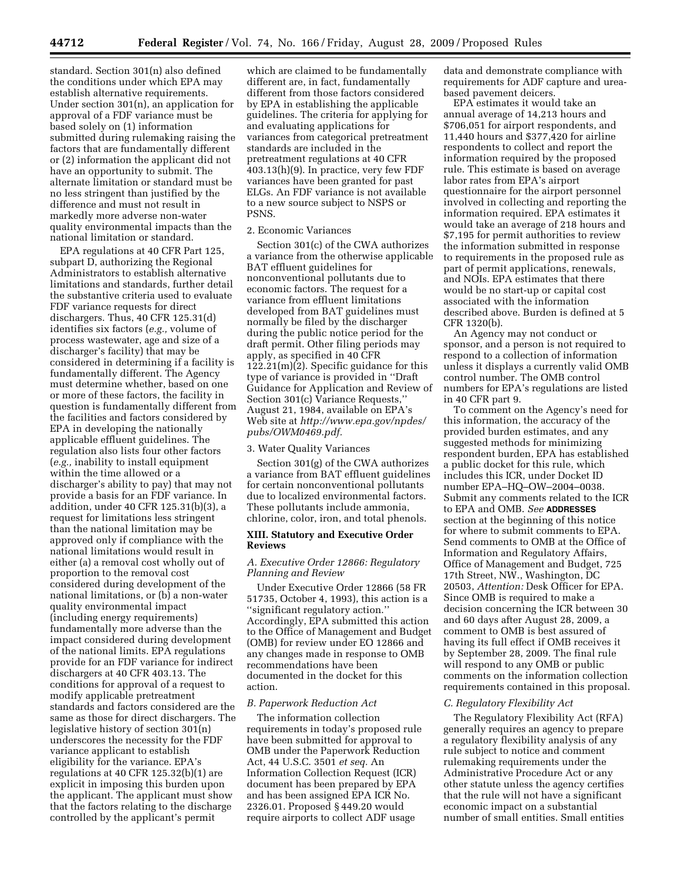standard. Section 301(n) also defined the conditions under which EPA may establish alternative requirements. Under section 301(n), an application for approval of a FDF variance must be based solely on (1) information submitted during rulemaking raising the factors that are fundamentally different or (2) information the applicant did not have an opportunity to submit. The alternate limitation or standard must be no less stringent than justified by the difference and must not result in markedly more adverse non-water quality environmental impacts than the national limitation or standard.

EPA regulations at 40 CFR Part 125, subpart D, authorizing the Regional Administrators to establish alternative limitations and standards, further detail the substantive criteria used to evaluate FDF variance requests for direct dischargers. Thus, 40 CFR 125.31(d) identifies six factors (*e.g.,* volume of process wastewater, age and size of a discharger's facility) that may be considered in determining if a facility is fundamentally different. The Agency must determine whether, based on one or more of these factors, the facility in question is fundamentally different from the facilities and factors considered by EPA in developing the nationally applicable effluent guidelines. The regulation also lists four other factors (*e.g.,* inability to install equipment within the time allowed or a discharger's ability to pay) that may not provide a basis for an FDF variance. In addition, under 40 CFR 125.31(b)(3), a request for limitations less stringent than the national limitation may be approved only if compliance with the national limitations would result in either (a) a removal cost wholly out of proportion to the removal cost considered during development of the national limitations, or (b) a non-water quality environmental impact (including energy requirements) fundamentally more adverse than the impact considered during development of the national limits. EPA regulations provide for an FDF variance for indirect dischargers at 40 CFR 403.13. The conditions for approval of a request to modify applicable pretreatment standards and factors considered are the same as those for direct dischargers. The legislative history of section 301(n) underscores the necessity for the FDF variance applicant to establish eligibility for the variance. EPA's regulations at 40 CFR 125.32(b)(1) are explicit in imposing this burden upon the applicant. The applicant must show that the factors relating to the discharge controlled by the applicant's permit

which are claimed to be fundamentally different are, in fact, fundamentally different from those factors considered by EPA in establishing the applicable guidelines. The criteria for applying for and evaluating applications for variances from categorical pretreatment standards are included in the pretreatment regulations at 40 CFR 403.13(h)(9). In practice, very few FDF variances have been granted for past ELGs. An FDF variance is not available to a new source subject to NSPS or PSNS.

#### 2. Economic Variances

Section 301(c) of the CWA authorizes a variance from the otherwise applicable BAT effluent guidelines for nonconventional pollutants due to economic factors. The request for a variance from effluent limitations developed from BAT guidelines must normally be filed by the discharger during the public notice period for the draft permit. Other filing periods may apply, as specified in 40 CFR  $122.21(m)(2)$ . Specific guidance for this type of variance is provided in ''Draft Guidance for Application and Review of Section 301(c) Variance Requests,'' August 21, 1984, available on EPA's Web site at *[http://www.epa.gov/npdes/](http://www.epa.gov/npdes/pubs/OWM0469.pdf)  pubs/OWM0469.pdf.* 

#### 3. Water Quality Variances

Section 301(g) of the CWA authorizes a variance from BAT effluent guidelines for certain nonconventional pollutants due to localized environmental factors. These pollutants include ammonia, chlorine, color, iron, and total phenols.

## **XIII. Statutory and Executive Order Reviews**

## *A. Executive Order 12866: Regulatory Planning and Review*

Under Executive Order 12866 (58 FR 51735, October 4, 1993), this action is a ''significant regulatory action.'' Accordingly, EPA submitted this action to the Office of Management and Budget (OMB) for review under EO 12866 and any changes made in response to OMB recommendations have been documented in the docket for this action.

## *B. Paperwork Reduction Act*

The information collection requirements in today's proposed rule have been submitted for approval to OMB under the Paperwork Reduction Act, 44 U.S.C. 3501 *et seq.* An Information Collection Request (ICR) document has been prepared by EPA and has been assigned EPA ICR No. 2326.01. Proposed § 449.20 would require airports to collect ADF usage

data and demonstrate compliance with requirements for ADF capture and ureabased pavement deicers.

EPA estimates it would take an annual average of 14,213 hours and \$706,051 for airport respondents, and 11,440 hours and \$377,420 for airline respondents to collect and report the information required by the proposed rule. This estimate is based on average labor rates from EPA's airport questionnaire for the airport personnel involved in collecting and reporting the information required. EPA estimates it would take an average of 218 hours and \$7,195 for permit authorities to review the information submitted in response to requirements in the proposed rule as part of permit applications, renewals, and NOIs. EPA estimates that there would be no start-up or capital cost associated with the information described above. Burden is defined at 5 CFR 1320(b).

An Agency may not conduct or sponsor, and a person is not required to respond to a collection of information unless it displays a currently valid OMB control number. The OMB control numbers for EPA's regulations are listed in 40 CFR part 9.

To comment on the Agency's need for this information, the accuracy of the provided burden estimates, and any suggested methods for minimizing respondent burden, EPA has established a public docket for this rule, which includes this ICR, under Docket ID number EPA–HQ–OW–2004–0038. Submit any comments related to the ICR to EPA and OMB. *See* **ADDRESSES** section at the beginning of this notice for where to submit comments to EPA. Send comments to OMB at the Office of Information and Regulatory Affairs, Office of Management and Budget, 725 17th Street, NW., Washington, DC 20503, *Attention:* Desk Officer for EPA. Since OMB is required to make a decision concerning the ICR between 30 and 60 days after August 28, 2009, a comment to OMB is best assured of having its full effect if OMB receives it by September 28, 2009. The final rule will respond to any OMB or public comments on the information collection requirements contained in this proposal.

#### *C. Regulatory Flexibility Act*

The Regulatory Flexibility Act (RFA) generally requires an agency to prepare a regulatory flexibility analysis of any rule subject to notice and comment rulemaking requirements under the Administrative Procedure Act or any other statute unless the agency certifies that the rule will not have a significant economic impact on a substantial number of small entities. Small entities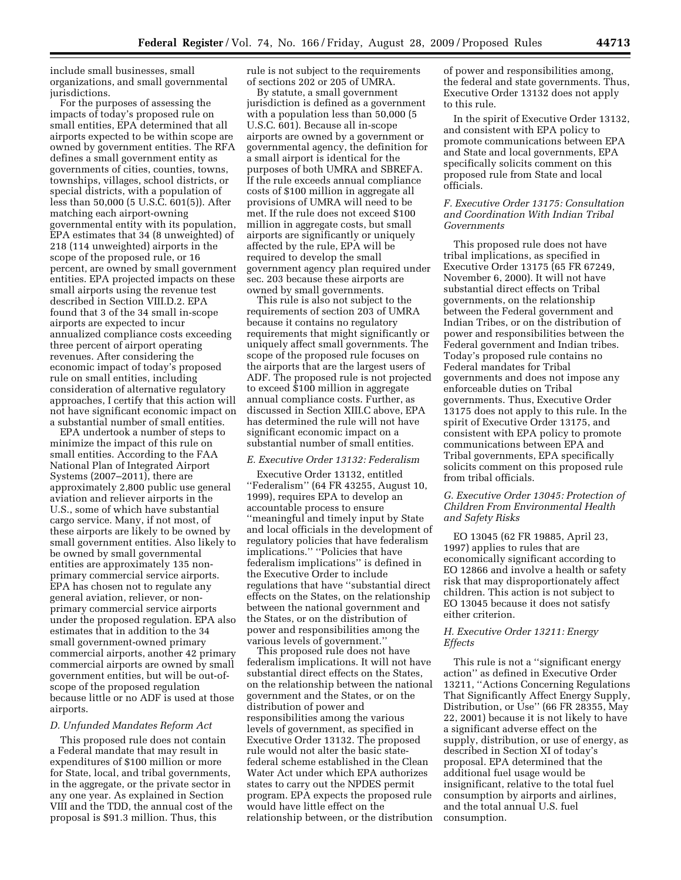include small businesses, small organizations, and small governmental jurisdictions.

For the purposes of assessing the impacts of today's proposed rule on small entities, EPA determined that all airports expected to be within scope are owned by government entities. The RFA defines a small government entity as governments of cities, counties, towns, townships, villages, school districts, or special districts, with a population of less than 50,000 (5 U.S.C. 601(5)). After matching each airport-owning governmental entity with its population, EPA estimates that 34 (8 unweighted) of 218 (114 unweighted) airports in the scope of the proposed rule, or 16 percent, are owned by small government entities. EPA projected impacts on these small airports using the revenue test described in Section VIII.D.2. EPA found that 3 of the 34 small in-scope airports are expected to incur annualized compliance costs exceeding three percent of airport operating revenues. After considering the economic impact of today's proposed rule on small entities, including consideration of alternative regulatory approaches, I certify that this action will not have significant economic impact on a substantial number of small entities.

EPA undertook a number of steps to minimize the impact of this rule on small entities. According to the FAA National Plan of Integrated Airport Systems (2007–2011), there are approximately 2,800 public use general aviation and reliever airports in the U.S., some of which have substantial cargo service. Many, if not most, of these airports are likely to be owned by small government entities. Also likely to be owned by small governmental entities are approximately 135 nonprimary commercial service airports. EPA has chosen not to regulate any general aviation, reliever, or nonprimary commercial service airports under the proposed regulation. EPA also estimates that in addition to the 34 small government-owned primary commercial airports, another 42 primary commercial airports are owned by small government entities, but will be out-ofscope of the proposed regulation because little or no ADF is used at those airports.

#### *D. Unfunded Mandates Reform Act*

This proposed rule does not contain a Federal mandate that may result in expenditures of \$100 million or more for State, local, and tribal governments, in the aggregate, or the private sector in any one year. As explained in Section VIII and the TDD, the annual cost of the proposal is \$91.3 million. Thus, this

rule is not subject to the requirements of sections 202 or 205 of UMRA.

By statute, a small government jurisdiction is defined as a government with a population less than 50,000 (5 U.S.C. 601). Because all in-scope airports are owned by a government or governmental agency, the definition for a small airport is identical for the purposes of both UMRA and SBREFA. If the rule exceeds annual compliance costs of \$100 million in aggregate all provisions of UMRA will need to be met. If the rule does not exceed \$100 million in aggregate costs, but small airports are significantly or uniquely affected by the rule, EPA will be required to develop the small government agency plan required under sec. 203 because these airports are owned by small governments.

This rule is also not subject to the requirements of section 203 of UMRA because it contains no regulatory requirements that might significantly or uniquely affect small governments. The scope of the proposed rule focuses on the airports that are the largest users of ADF. The proposed rule is not projected to exceed \$100 million in aggregate annual compliance costs. Further, as discussed in Section XIII.C above, EPA has determined the rule will not have significant economic impact on a substantial number of small entities.

#### *E. Executive Order 13132: Federalism*

Executive Order 13132, entitled ''Federalism'' (64 FR 43255, August 10, 1999), requires EPA to develop an accountable process to ensure ''meaningful and timely input by State and local officials in the development of regulatory policies that have federalism implications.'' ''Policies that have federalism implications'' is defined in the Executive Order to include regulations that have ''substantial direct effects on the States, on the relationship between the national government and the States, or on the distribution of power and responsibilities among the various levels of government.''

This proposed rule does not have federalism implications. It will not have substantial direct effects on the States, on the relationship between the national government and the States, or on the distribution of power and responsibilities among the various levels of government, as specified in Executive Order 13132. The proposed rule would not alter the basic statefederal scheme established in the Clean Water Act under which EPA authorizes states to carry out the NPDES permit program. EPA expects the proposed rule would have little effect on the relationship between, or the distribution

of power and responsibilities among, the federal and state governments. Thus, Executive Order 13132 does not apply to this rule.

In the spirit of Executive Order 13132, and consistent with EPA policy to promote communications between EPA and State and local governments, EPA specifically solicits comment on this proposed rule from State and local officials.

## *F. Executive Order 13175: Consultation and Coordination With Indian Tribal Governments*

This proposed rule does not have tribal implications, as specified in Executive Order 13175 (65 FR 67249, November 6, 2000). It will not have substantial direct effects on Tribal governments, on the relationship between the Federal government and Indian Tribes, or on the distribution of power and responsibilities between the Federal government and Indian tribes. Today's proposed rule contains no Federal mandates for Tribal governments and does not impose any enforceable duties on Tribal governments. Thus, Executive Order 13175 does not apply to this rule. In the spirit of Executive Order 13175, and consistent with EPA policy to promote communications between EPA and Tribal governments, EPA specifically solicits comment on this proposed rule from tribal officials.

#### *G. Executive Order 13045: Protection of Children From Environmental Health and Safety Risks*

EO 13045 (62 FR 19885, April 23, 1997) applies to rules that are economically significant according to EO 12866 and involve a health or safety risk that may disproportionately affect children. This action is not subject to EO 13045 because it does not satisfy either criterion.

#### *H. Executive Order 13211: Energy Effects*

This rule is not a ''significant energy action'' as defined in Executive Order 13211, ''Actions Concerning Regulations That Significantly Affect Energy Supply, Distribution, or Use'' (66 FR 28355, May 22, 2001) because it is not likely to have a significant adverse effect on the supply, distribution, or use of energy, as described in Section XI of today's proposal. EPA determined that the additional fuel usage would be insignificant, relative to the total fuel consumption by airports and airlines, and the total annual U.S. fuel consumption.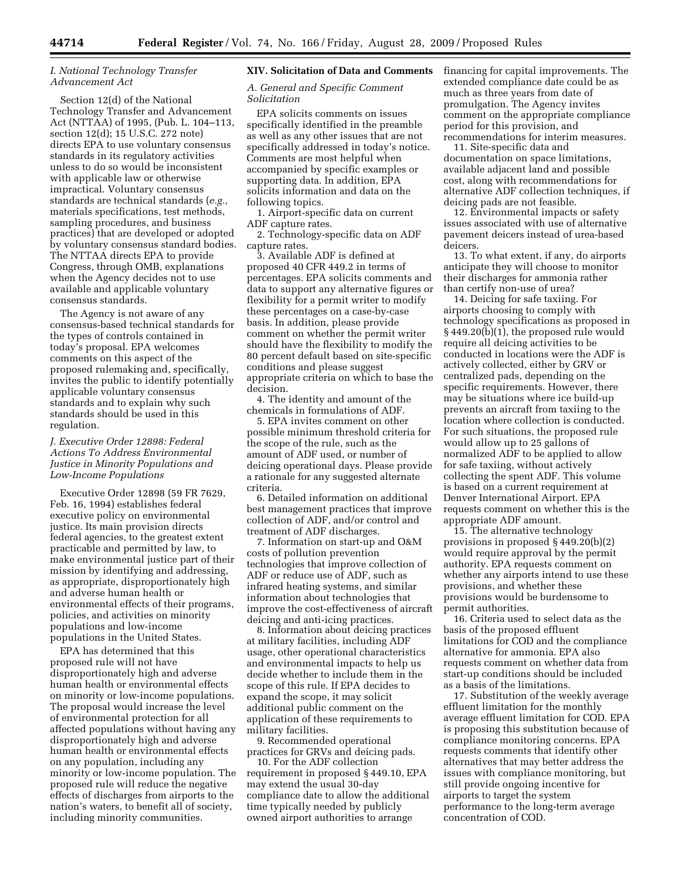## *I. National Technology Transfer Advancement Act*

Section 12(d) of the National Technology Transfer and Advancement Act (NTTAA) of 1995, (Pub. L. 104–113, section 12(d); 15 U.S.C. 272 note) directs EPA to use voluntary consensus standards in its regulatory activities unless to do so would be inconsistent with applicable law or otherwise impractical. Voluntary consensus standards are technical standards (*e.g.,*  materials specifications, test methods, sampling procedures, and business practices) that are developed or adopted by voluntary consensus standard bodies. The NTTAA directs EPA to provide Congress, through OMB, explanations when the Agency decides not to use available and applicable voluntary consensus standards.

The Agency is not aware of any consensus-based technical standards for the types of controls contained in today's proposal. EPA welcomes comments on this aspect of the proposed rulemaking and, specifically, invites the public to identify potentially applicable voluntary consensus standards and to explain why such standards should be used in this regulation.

## *J. Executive Order 12898: Federal Actions To Address Environmental Justice in Minority Populations and Low-Income Populations*

Executive Order 12898 (59 FR 7629, Feb. 16, 1994) establishes federal executive policy on environmental justice. Its main provision directs federal agencies, to the greatest extent practicable and permitted by law, to make environmental justice part of their mission by identifying and addressing, as appropriate, disproportionately high and adverse human health or environmental effects of their programs, policies, and activities on minority populations and low-income populations in the United States.

EPA has determined that this proposed rule will not have disproportionately high and adverse human health or environmental effects on minority or low-income populations. The proposal would increase the level of environmental protection for all affected populations without having any disproportionately high and adverse human health or environmental effects on any population, including any minority or low-income population. The proposed rule will reduce the negative effects of discharges from airports to the nation's waters, to benefit all of society, including minority communities.

## **XIV. Solicitation of Data and Comments**

## *A. General and Specific Comment Solicitation*

EPA solicits comments on issues specifically identified in the preamble as well as any other issues that are not specifically addressed in today's notice. Comments are most helpful when accompanied by specific examples or supporting data. In addition, EPA solicits information and data on the following topics.

1. Airport-specific data on current ADF capture rates.

2. Technology-specific data on ADF capture rates.

3. Available ADF is defined at proposed 40 CFR 449.2 in terms of percentages. EPA solicits comments and data to support any alternative figures or flexibility for a permit writer to modify these percentages on a case-by-case basis. In addition, please provide comment on whether the permit writer should have the flexibility to modify the 80 percent default based on site-specific conditions and please suggest appropriate criteria on which to base the decision.

4. The identity and amount of the chemicals in formulations of ADF.

5. EPA invites comment on other possible minimum threshold criteria for the scope of the rule, such as the amount of ADF used, or number of deicing operational days. Please provide a rationale for any suggested alternate criteria.

6. Detailed information on additional best management practices that improve collection of ADF, and/or control and treatment of ADF discharges.

7. Information on start-up and O&M costs of pollution prevention technologies that improve collection of ADF or reduce use of ADF, such as infrared heating systems, and similar information about technologies that improve the cost-effectiveness of aircraft deicing and anti-icing practices.

8. Information about deicing practices at military facilities, including ADF usage, other operational characteristics and environmental impacts to help us decide whether to include them in the scope of this rule. If EPA decides to expand the scope, it may solicit additional public comment on the application of these requirements to military facilities.

9. Recommended operational practices for GRVs and deicing pads.

10. For the ADF collection requirement in proposed § 449.10, EPA may extend the usual 30-day compliance date to allow the additional time typically needed by publicly owned airport authorities to arrange

financing for capital improvements. The extended compliance date could be as much as three years from date of promulgation. The Agency invites comment on the appropriate compliance period for this provision, and recommendations for interim measures.

11. Site-specific data and documentation on space limitations, available adjacent land and possible cost, along with recommendations for alternative ADF collection techniques, if deicing pads are not feasible.

12. Environmental impacts or safety issues associated with use of alternative pavement deicers instead of urea-based deicers.

13. To what extent, if any, do airports anticipate they will choose to monitor their discharges for ammonia rather than certify non-use of urea?

14. Deicing for safe taxiing. For airports choosing to comply with technology specifications as proposed in § 449.20(b)(1), the proposed rule would require all deicing activities to be conducted in locations were the ADF is actively collected, either by GRV or centralized pads, depending on the specific requirements. However, there may be situations where ice build-up prevents an aircraft from taxiing to the location where collection is conducted. For such situations, the proposed rule would allow up to 25 gallons of normalized ADF to be applied to allow for safe taxiing, without actively collecting the spent ADF. This volume is based on a current requirement at Denver International Airport. EPA requests comment on whether this is the appropriate ADF amount.

15. The alternative technology provisions in proposed § 449.20(b)(2) would require approval by the permit authority. EPA requests comment on whether any airports intend to use these provisions, and whether these provisions would be burdensome to permit authorities.

16. Criteria used to select data as the basis of the proposed effluent limitations for COD and the compliance alternative for ammonia. EPA also requests comment on whether data from start-up conditions should be included as a basis of the limitations.

17. Substitution of the weekly average effluent limitation for the monthly average effluent limitation for COD. EPA is proposing this substitution because of compliance monitoring concerns. EPA requests comments that identify other alternatives that may better address the issues with compliance monitoring, but still provide ongoing incentive for airports to target the system performance to the long-term average concentration of COD.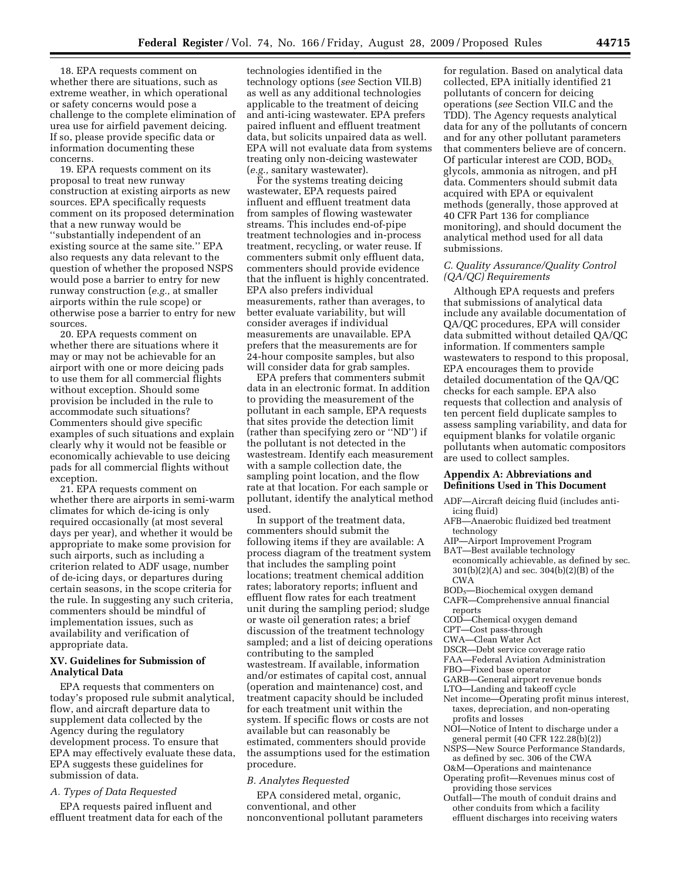18. EPA requests comment on whether there are situations, such as extreme weather, in which operational or safety concerns would pose a challenge to the complete elimination of urea use for airfield pavement deicing. If so, please provide specific data or information documenting these concerns.

19. EPA requests comment on its proposal to treat new runway construction at existing airports as new sources. EPA specifically requests comment on its proposed determination that a new runway would be ''substantially independent of an existing source at the same site.'' EPA also requests any data relevant to the question of whether the proposed NSPS would pose a barrier to entry for new runway construction (*e.g.,* at smaller airports within the rule scope) or otherwise pose a barrier to entry for new sources.

20. EPA requests comment on whether there are situations where it may or may not be achievable for an airport with one or more deicing pads to use them for all commercial flights without exception. Should some provision be included in the rule to accommodate such situations? Commenters should give specific examples of such situations and explain clearly why it would not be feasible or economically achievable to use deicing pads for all commercial flights without exception.

21. EPA requests comment on whether there are airports in semi-warm climates for which de-icing is only required occasionally (at most several days per year), and whether it would be appropriate to make some provision for such airports, such as including a criterion related to ADF usage, number of de-icing days, or departures during certain seasons, in the scope criteria for the rule. In suggesting any such criteria, commenters should be mindful of implementation issues, such as availability and verification of appropriate data.

## **XV. Guidelines for Submission of Analytical Data**

EPA requests that commenters on today's proposed rule submit analytical, flow, and aircraft departure data to supplement data collected by the Agency during the regulatory development process. To ensure that EPA may effectively evaluate these data, EPA suggests these guidelines for submission of data.

#### *A. Types of Data Requested*

EPA requests paired influent and effluent treatment data for each of the

technologies identified in the technology options (*see* Section VII.B) as well as any additional technologies applicable to the treatment of deicing and anti-icing wastewater. EPA prefers paired influent and effluent treatment data, but solicits unpaired data as well. EPA will not evaluate data from systems treating only non-deicing wastewater (*e.g.,* sanitary wastewater).

For the systems treating deicing wastewater, EPA requests paired influent and effluent treatment data from samples of flowing wastewater streams. This includes end-of-pipe treatment technologies and in-process treatment, recycling, or water reuse. If commenters submit only effluent data, commenters should provide evidence that the influent is highly concentrated. EPA also prefers individual measurements, rather than averages, to better evaluate variability, but will consider averages if individual measurements are unavailable. EPA prefers that the measurements are for 24-hour composite samples, but also will consider data for grab samples.

EPA prefers that commenters submit data in an electronic format. In addition to providing the measurement of the pollutant in each sample, EPA requests that sites provide the detection limit (rather than specifying zero or ''ND'') if the pollutant is not detected in the wastestream. Identify each measurement with a sample collection date, the sampling point location, and the flow rate at that location. For each sample or pollutant, identify the analytical method used.

In support of the treatment data, commenters should submit the following items if they are available: A process diagram of the treatment system that includes the sampling point locations; treatment chemical addition rates; laboratory reports; influent and effluent flow rates for each treatment unit during the sampling period; sludge or waste oil generation rates; a brief discussion of the treatment technology sampled; and a list of deicing operations contributing to the sampled wastestream. If available, information and/or estimates of capital cost, annual (operation and maintenance) cost, and treatment capacity should be included for each treatment unit within the system. If specific flows or costs are not available but can reasonably be estimated, commenters should provide the assumptions used for the estimation procedure.

#### *B. Analytes Requested*

EPA considered metal, organic, conventional, and other nonconventional pollutant parameters

for regulation. Based on analytical data collected, EPA initially identified 21 pollutants of concern for deicing operations (*see* Section VII.C and the TDD). The Agency requests analytical data for any of the pollutants of concern and for any other pollutant parameters that commenters believe are of concern. Of particular interest are COD, BOD<sub>5,</sub> glycols, ammonia as nitrogen, and pH data. Commenters should submit data acquired with EPA or equivalent methods (generally, those approved at 40 CFR Part 136 for compliance monitoring), and should document the analytical method used for all data submissions.

## *C. Quality Assurance/Quality Control (QA/QC) Requirements*

Although EPA requests and prefers that submissions of analytical data include any available documentation of QA/QC procedures, EPA will consider data submitted without detailed QA/QC information. If commenters sample wastewaters to respond to this proposal, EPA encourages them to provide detailed documentation of the QA/QC checks for each sample. EPA also requests that collection and analysis of ten percent field duplicate samples to assess sampling variability, and data for equipment blanks for volatile organic pollutants when automatic compositors are used to collect samples.

## **Appendix A: Abbreviations and Definitions Used in This Document**

- ADF—Aircraft deicing fluid (includes antiicing fluid)
- AFB—Anaerobic fluidized bed treatment technology
- AIP—Airport Improvement Program
- BAT—Best available technology
- economically achievable, as defined by sec. 301(b)(2)(A) and sec. 304(b)(2)(B) of the CWA
- BOD5—Biochemical oxygen demand CAFR—Comprehensive annual financial
- reports
- COD—Chemical oxygen demand
- CPT—Cost pass-through
- CWA—Clean Water Act
- DSCR—Debt service coverage ratio
- FAA—Federal Aviation Administration
- FBO—Fixed base operator
- GARB—General airport revenue bonds
- LTO—Landing and takeoff cycle
- Net income—Operating profit minus interest, taxes, depreciation, and non-operating profits and losses
- NOI—Notice of Intent to discharge under a general permit (40 CFR 122.28(b)(2))
- NSPS—New Source Performance Standards, as defined by sec. 306 of the CWA
- O&M—Operations and maintenance Operating profit—Revenues minus cost of
- providing those services Outfall—The mouth of conduit drains and
- other conduits from which a facility effluent discharges into receiving waters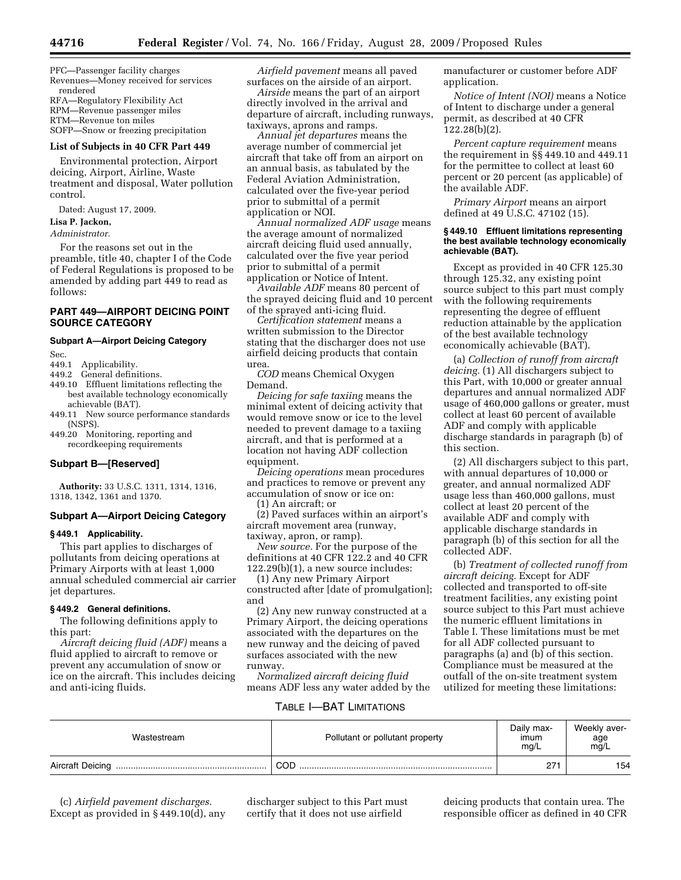PFC—Passenger facility charges Revenues—Money received for services rendered RFA—Regulatory Flexibility Act

RPM—Revenue passenger miles

RTM—Revenue ton miles

SOFP—Snow or freezing precipitation

## **List of Subjects in 40 CFR Part 449**

Environmental protection, Airport deicing, Airport, Airline, Waste treatment and disposal, Water pollution control.

Dated: August 17, 2009.

#### **Lisa P. Jackon,**

#### *Administrator.*

For the reasons set out in the preamble, title 40, chapter I of the Code of Federal Regulations is proposed to be amended by adding part 449 to read as follows:

## **PART 449—AIRPORT DEICING POINT SOURCE CATEGORY**

## **Subpart A—Airport Deicing Category**

- Sec.<br>449.1 Applicability.
- 449.2 General definitions.
- 449.10 Effluent limitations reflecting the best available technology economically achievable (BAT).
- 449.11 New source performance standards (NSPS).
- 449.20 Monitoring, reporting and recordkeeping requirements

## **Subpart B—[Reserved]**

**Authority:** 33 U.S.C. 1311, 1314, 1316, 1318, 1342, 1361 and 1370.

## **Subpart A—Airport Deicing Category**

#### **§ 449.1 Applicability.**

This part applies to discharges of pollutants from deicing operations at Primary Airports with at least 1,000 annual scheduled commercial air carrier jet departures.

#### **§ 449.2 General definitions.**

The following definitions apply to this part:

*Aircraft deicing fluid (ADF)* means a fluid applied to aircraft to remove or prevent any accumulation of snow or ice on the aircraft. This includes deicing and anti-icing fluids.

*Airfield pavement* means all paved surfaces on the airside of an airport.

*Airside* means the part of an airport directly involved in the arrival and departure of aircraft, including runways, taxiways, aprons and ramps.

*Annual jet departures* means the average number of commercial jet aircraft that take off from an airport on an annual basis, as tabulated by the Federal Aviation Administration, calculated over the five-year period prior to submittal of a permit application or NOI.

*Annual normalized ADF usage* means the average amount of normalized aircraft deicing fluid used annually, calculated over the five year period prior to submittal of a permit application or Notice of Intent.

*Available ADF* means 80 percent of the sprayed deicing fluid and 10 percent of the sprayed anti-icing fluid.

*Certification statement* means a written submission to the Director stating that the discharger does not use airfield deicing products that contain urea.

*COD* means Chemical Oxygen Demand.

*Deicing for safe taxiing* means the minimal extent of deicing activity that would remove snow or ice to the level needed to prevent damage to a taxiing aircraft, and that is performed at a location not having ADF collection equipment.

*Deicing operations* mean procedures and practices to remove or prevent any accumulation of snow or ice on:

(1) An aircraft; or

(2) Paved surfaces within an airport's aircraft movement area (runway, taxiway, apron, or ramp).

*New source.* For the purpose of the definitions at 40 CFR 122.2 and 40 CFR 122.29(b)(1), a new source includes:

(1) Any new Primary Airport constructed after [date of promulgation]; and

(2) Any new runway constructed at a Primary Airport, the deicing operations associated with the departures on the new runway and the deicing of paved surfaces associated with the new runway.

*Normalized aircraft deicing fluid*  means ADF less any water added by the manufacturer or customer before ADF application.

*Notice of Intent (NOI)* means a Notice of Intent to discharge under a general permit, as described at 40 CFR 122.28(b)(2).

*Percent capture requirement* means the requirement in §§ 449.10 and 449.11 for the permittee to collect at least 60 percent or 20 percent (as applicable) of the available ADF.

*Primary Airport* means an airport defined at 49 U.S.C. 47102 (15).

#### **§ 449.10 Effluent limitations representing the best available technology economically achievable (BAT).**

Except as provided in 40 CFR 125.30 through 125.32, any existing point source subject to this part must comply with the following requirements representing the degree of effluent reduction attainable by the application of the best available technology economically achievable (BAT).

(a) *Collection of runoff from aircraft deicing.* (1) All dischargers subject to this Part, with 10,000 or greater annual departures and annual normalized ADF usage of 460,000 gallons or greater, must collect at least 60 percent of available ADF and comply with applicable discharge standards in paragraph (b) of this section.

(2) All dischargers subject to this part, with annual departures of 10,000 or greater, and annual normalized ADF usage less than 460,000 gallons, must collect at least 20 percent of the available ADF and comply with applicable discharge standards in paragraph (b) of this section for all the collected ADF.

(b) *Treatment of collected runoff from aircraft deicing.* Except for ADF collected and transported to off-site treatment facilities, any existing point source subject to this Part must achieve the numeric effluent limitations in Table I. These limitations must be met for all ADF collected pursuant to paragraphs (a) and (b) of this section. Compliance must be measured at the outfall of the on-site treatment system utilized for meeting these limitations:

TABLE I—BAT LIMITATIONS

| Wastestream | Pollutant or pollutant property | Daily max-<br>ımum<br>mg/L | Weekly aver-<br>age<br>mg/L |
|-------------|---------------------------------|----------------------------|-----------------------------|
|             | <b>COD</b>                      | 271                        | 154                         |

(c) *Airfield pavement discharges.*  Except as provided in § 449.10(d), any discharger subject to this Part must certify that it does not use airfield

deicing products that contain urea. The responsible officer as defined in 40 CFR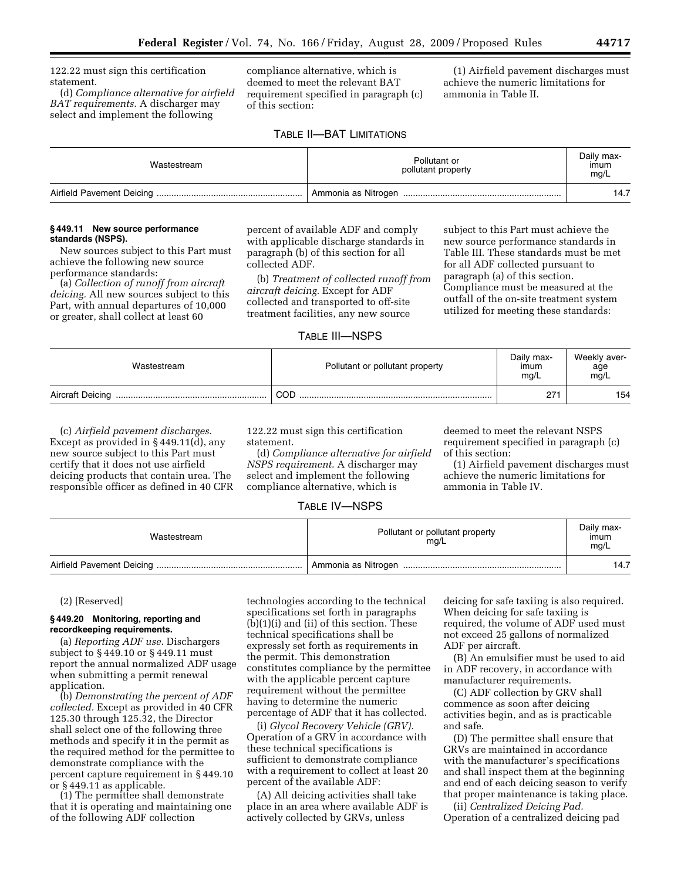122.22 must sign this certification statement.

(d) *Compliance alternative for airfield BAT requirements.* A discharger may select and implement the following

compliance alternative, which is deemed to meet the relevant BAT requirement specified in paragraph (c) of this section:

(1) Airfield pavement discharges must achieve the numeric limitations for ammonia in Table II.

## TABLE II—BAT LIMITATIONS

| Wastestream | Pollutant or<br>pollutant property | Daily max-<br>imum<br>mq/L |
|-------------|------------------------------------|----------------------------|
|             |                                    | 14.7                       |

#### **§ 449.11 New source performance standards (NSPS).**

New sources subject to this Part must achieve the following new source performance standards:

(a) *Collection of runoff from aircraft deicing.* All new sources subject to this Part, with annual departures of 10,000 or greater, shall collect at least 60

percent of available ADF and comply with applicable discharge standards in paragraph (b) of this section for all collected ADF.

(b) *Treatment of collected runoff from aircraft deicing.* Except for ADF collected and transported to off-site treatment facilities, any new source

subject to this Part must achieve the new source performance standards in Table III. These standards must be met for all ADF collected pursuant to paragraph (a) of this section. Compliance must be measured at the outfall of the on-site treatment system utilized for meeting these standards:

#### TABLE III—NSPS

| Wastestream | Pollutant or pollutant property | Daily max-<br>ımum<br>mq/L | Weekly aver-<br>age<br>mg/L |
|-------------|---------------------------------|----------------------------|-----------------------------|
|             | COD                             | 271                        | 154                         |

(c) *Airfield pavement discharges.*  Except as provided in § 449.11(d), any new source subject to this Part must certify that it does not use airfield deicing products that contain urea. The responsible officer as defined in 40 CFR 122.22 must sign this certification statement.

(d) *Compliance alternative for airfield NSPS requirement.* A discharger may select and implement the following compliance alternative, which is

deemed to meet the relevant NSPS requirement specified in paragraph (c) of this section:

(1) Airfield pavement discharges must achieve the numeric limitations for ammonia in Table IV.

## TABLE IV—NSPS

| Wastestream | Pollutant or pollutant property<br>mg/L | Daily max-<br>imum<br>mq/L |
|-------------|-----------------------------------------|----------------------------|
|             |                                         | 14.7                       |

#### (2) [Reserved]

#### **§ 449.20 Monitoring, reporting and recordkeeping requirements.**

(a) *Reporting ADF use.* Dischargers subject to § 449.10 or § 449.11 must report the annual normalized ADF usage when submitting a permit renewal application.

(b) *Demonstrating the percent of ADF collected.* Except as provided in 40 CFR 125.30 through 125.32, the Director shall select one of the following three methods and specify it in the permit as the required method for the permittee to demonstrate compliance with the percent capture requirement in § 449.10 or § 449.11 as applicable.

(1) The permittee shall demonstrate that it is operating and maintaining one of the following ADF collection

technologies according to the technical specifications set forth in paragraphs (b)(1)(i) and (ii) of this section. These technical specifications shall be expressly set forth as requirements in the permit. This demonstration constitutes compliance by the permittee with the applicable percent capture requirement without the permittee having to determine the numeric percentage of ADF that it has collected.

(i) *Glycol Recovery Vehicle (GRV).*  Operation of a GRV in accordance with these technical specifications is sufficient to demonstrate compliance with a requirement to collect at least 20 percent of the available ADF:

(A) All deicing activities shall take place in an area where available ADF is actively collected by GRVs, unless

deicing for safe taxiing is also required. When deicing for safe taxiing is required, the volume of ADF used must not exceed 25 gallons of normalized ADF per aircraft.

(B) An emulsifier must be used to aid in ADF recovery, in accordance with manufacturer requirements.

(C) ADF collection by GRV shall commence as soon after deicing activities begin, and as is practicable and safe.

(D) The permittee shall ensure that GRVs are maintained in accordance with the manufacturer's specifications and shall inspect them at the beginning and end of each deicing season to verify that proper maintenance is taking place.

(ii) *Centralized Deicing Pad.*  Operation of a centralized deicing pad